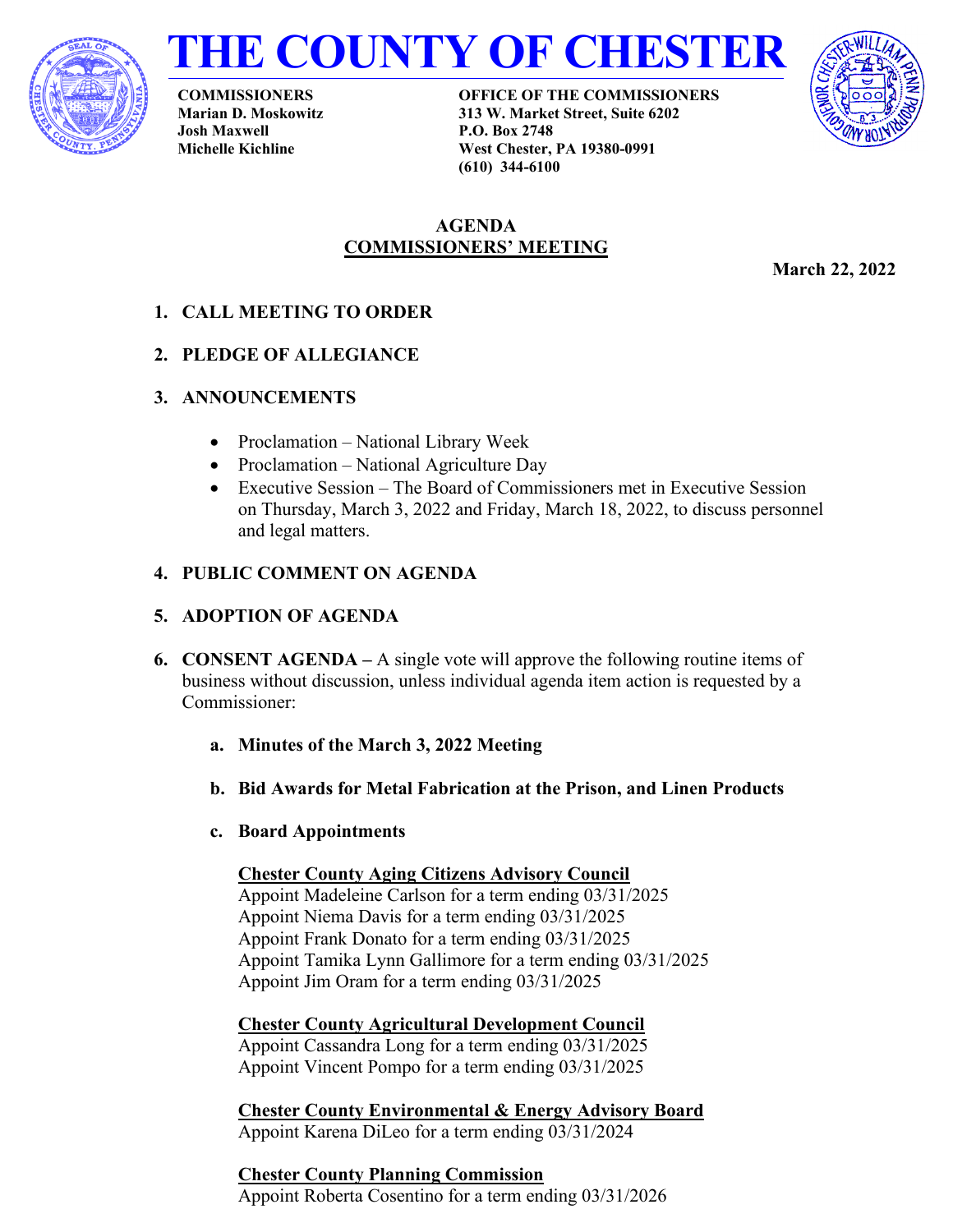



**COMMISSIONERS Marian D. Moskowitz Josh Maxwell Michelle Kichline**

**OFFICE OF THE COMMISSIONERS 313 W. Market Street, Suite 6202 P.O. Box 2748 West Chester, PA 19380-0991 (610) 344-6100**



# **AGENDA COMMISSIONERS' MEETING**

**March 22, 2022** 

- **1. CALL MEETING TO ORDER**
- **2. PLEDGE OF ALLEGIANCE**
- **3. ANNOUNCEMENTS**
	- Proclamation National Library Week
	- Proclamation National Agriculture Day
	- Executive Session The Board of Commissioners met in Executive Session on Thursday, March 3, 2022 and Friday, March 18, 2022, to discuss personnel and legal matters.

# **4. PUBLIC COMMENT ON AGENDA**

# **5. ADOPTION OF AGENDA**

- **6. CONSENT AGENDA** A single vote will approve the following routine items of business without discussion, unless individual agenda item action is requested by a Commissioner:
	- **a. Minutes of the March 3, 2022 Meeting**
	- **b. Bid Awards for Metal Fabrication at the Prison, and Linen Products**
	- **c. Board Appointments**

**Chester County Aging Citizens Advisory Council**  Appoint Madeleine Carlson for a term ending 03/31/2025 Appoint Niema Davis for a term ending 03/31/2025 Appoint Frank Donato for a term ending 03/31/2025 Appoint Tamika Lynn Gallimore for a term ending 03/31/2025 Appoint Jim Oram for a term ending 03/31/2025

**Chester County Agricultural Development Council** Appoint Cassandra Long for a term ending 03/31/2025 Appoint Vincent Pompo for a term ending 03/31/2025

**Chester County Environmental & Energy Advisory Board**  Appoint Karena DiLeo for a term ending 03/31/2024

**Chester County Planning Commission**  Appoint Roberta Cosentino for a term ending 03/31/2026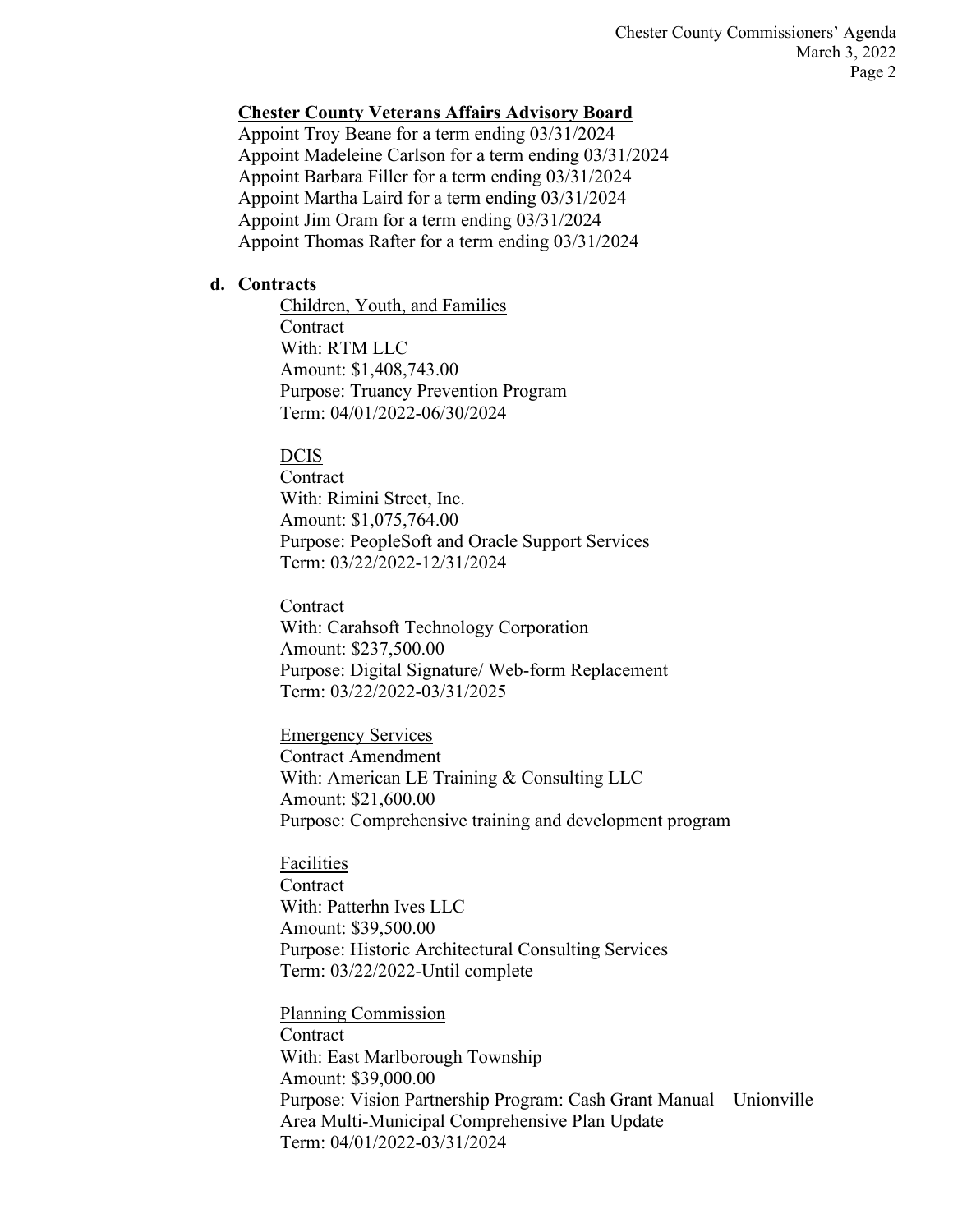Chester County Commissioners' Agenda March 3, 2022 Page 2

#### **Chester County Veterans Affairs Advisory Board**

Appoint Troy Beane for a term ending 03/31/2024 Appoint Madeleine Carlson for a term ending 03/31/2024 Appoint Barbara Filler for a term ending 03/31/2024 Appoint Martha Laird for a term ending 03/31/2024 Appoint Jim Oram for a term ending 03/31/2024 Appoint Thomas Rafter for a term ending 03/31/2024

### **d. Contracts**

Children, Youth, and Families **Contract** With: RTM LLC Amount: \$1,408,743.00 Purpose: Truancy Prevention Program Term: 04/01/2022-06/30/2024

#### DCIS

**Contract** With: Rimini Street, Inc. Amount: \$1,075,764.00 Purpose: PeopleSoft and Oracle Support Services Term: 03/22/2022-12/31/2024

**Contract** With: Carahsoft Technology Corporation Amount: \$237,500.00 Purpose: Digital Signature/ Web-form Replacement Term: 03/22/2022-03/31/2025

Emergency Services Contract Amendment With: American LE Training & Consulting LLC Amount: \$21,600.00 Purpose: Comprehensive training and development program

Facilities

**Contract** With: Patterhn Ives LLC Amount: \$39,500.00 Purpose: Historic Architectural Consulting Services Term: 03/22/2022-Until complete

Planning Commission Contract With: East Marlborough Township Amount: \$39,000.00 Purpose: Vision Partnership Program: Cash Grant Manual – Unionville Area Multi-Municipal Comprehensive Plan Update Term: 04/01/2022-03/31/2024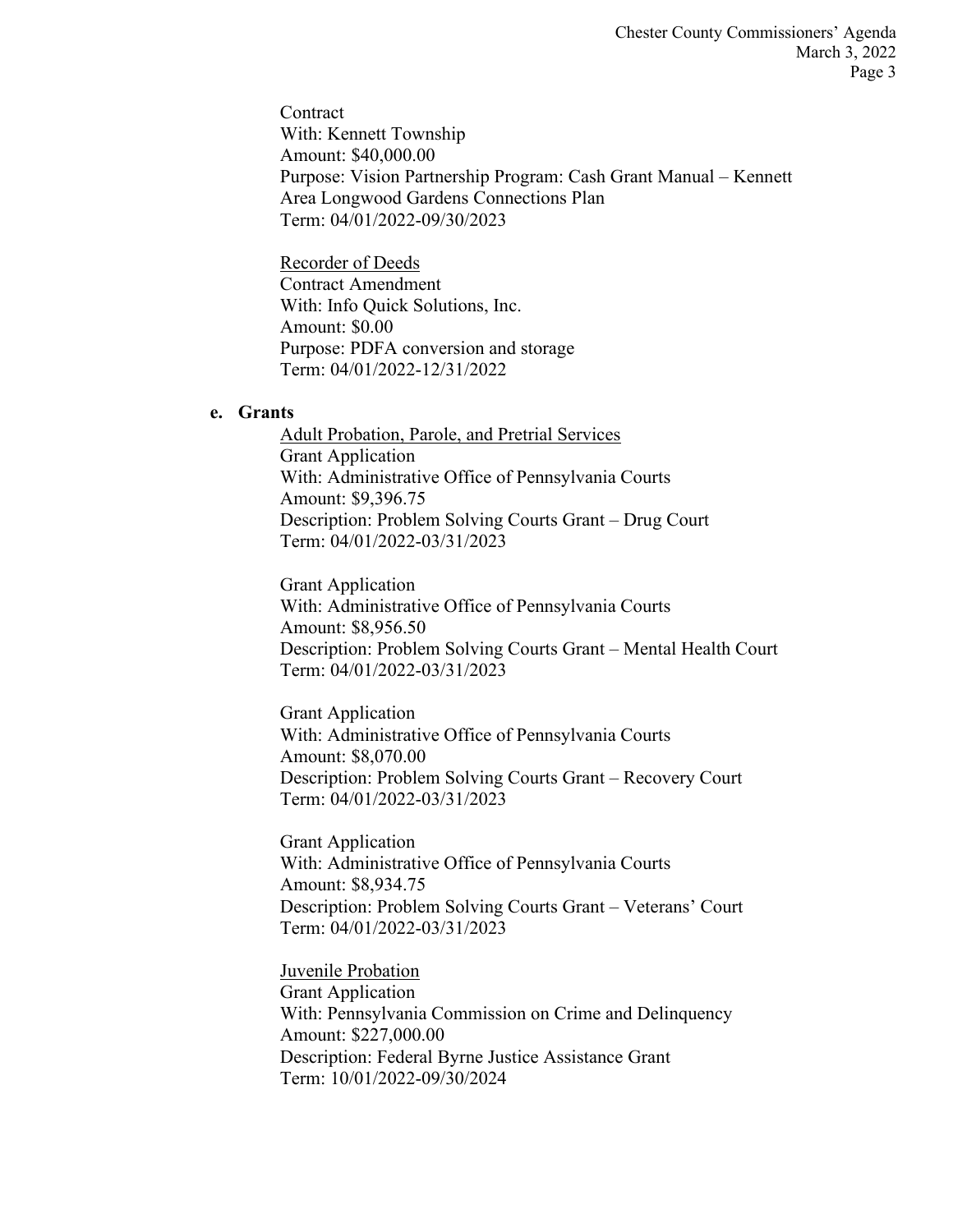**Contract** With: Kennett Township Amount: \$40,000.00 Purpose: Vision Partnership Program: Cash Grant Manual – Kennett Area Longwood Gardens Connections Plan Term: 04/01/2022-09/30/2023

Recorder of Deeds Contract Amendment With: Info Quick Solutions, Inc. Amount: \$0.00 Purpose: PDFA conversion and storage Term: 04/01/2022-12/31/2022

#### **e. Grants**

Adult Probation, Parole, and Pretrial Services Grant Application With: Administrative Office of Pennsylvania Courts Amount: \$9,396.75 Description: Problem Solving Courts Grant – Drug Court Term: 04/01/2022-03/31/2023

Grant Application With: Administrative Office of Pennsylvania Courts Amount: \$8,956.50 Description: Problem Solving Courts Grant – Mental Health Court Term: 04/01/2022-03/31/2023

Grant Application With: Administrative Office of Pennsylvania Courts Amount: \$8,070.00 Description: Problem Solving Courts Grant – Recovery Court Term: 04/01/2022-03/31/2023

Grant Application With: Administrative Office of Pennsylvania Courts Amount: \$8,934.75 Description: Problem Solving Courts Grant – Veterans' Court Term: 04/01/2022-03/31/2023

Juvenile Probation Grant Application With: Pennsylvania Commission on Crime and Delinquency Amount: \$227,000.00 Description: Federal Byrne Justice Assistance Grant Term: 10/01/2022-09/30/2024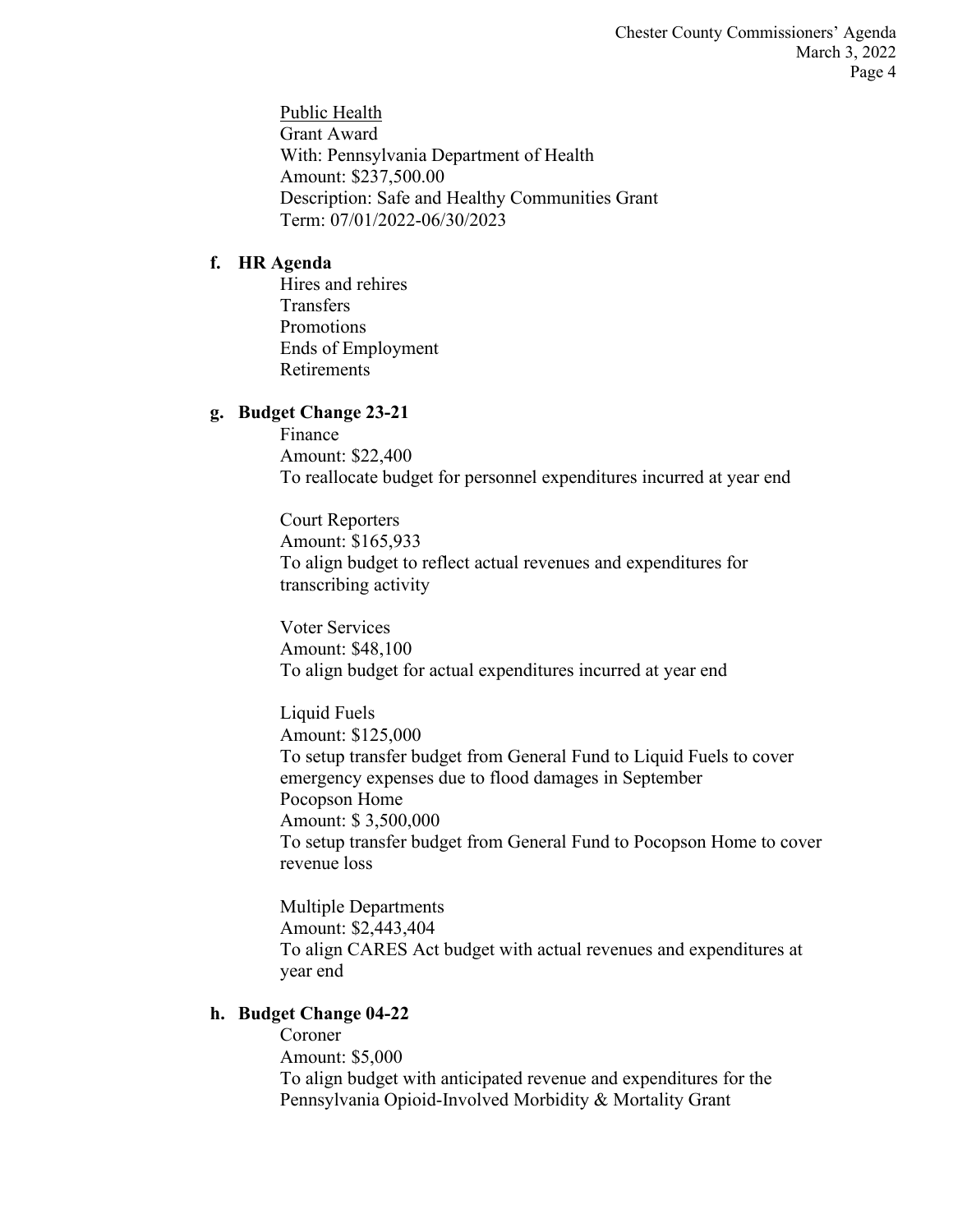Public Health Grant Award With: Pennsylvania Department of Health Amount: \$237,500.00 Description: Safe and Healthy Communities Grant Term: 07/01/2022-06/30/2023

## **f. HR Agenda**

Hires and rehires **Transfers** Promotions Ends of Employment Retirements

# **g. Budget Change 23-21**

Finance Amount: \$22,400 To reallocate budget for personnel expenditures incurred at year end

Court Reporters Amount: \$165,933 To align budget to reflect actual revenues and expenditures for transcribing activity

Voter Services Amount: \$48,100 To align budget for actual expenditures incurred at year end

Liquid Fuels Amount: \$125,000 To setup transfer budget from General Fund to Liquid Fuels to cover emergency expenses due to flood damages in September Pocopson Home Amount: \$ 3,500,000 To setup transfer budget from General Fund to Pocopson Home to cover revenue loss

Multiple Departments Amount: \$2,443,404 To align CARES Act budget with actual revenues and expenditures at year end

# **h. Budget Change 04-22**

Coroner Amount: \$5,000 To align budget with anticipated revenue and expenditures for the Pennsylvania Opioid-Involved Morbidity & Mortality Grant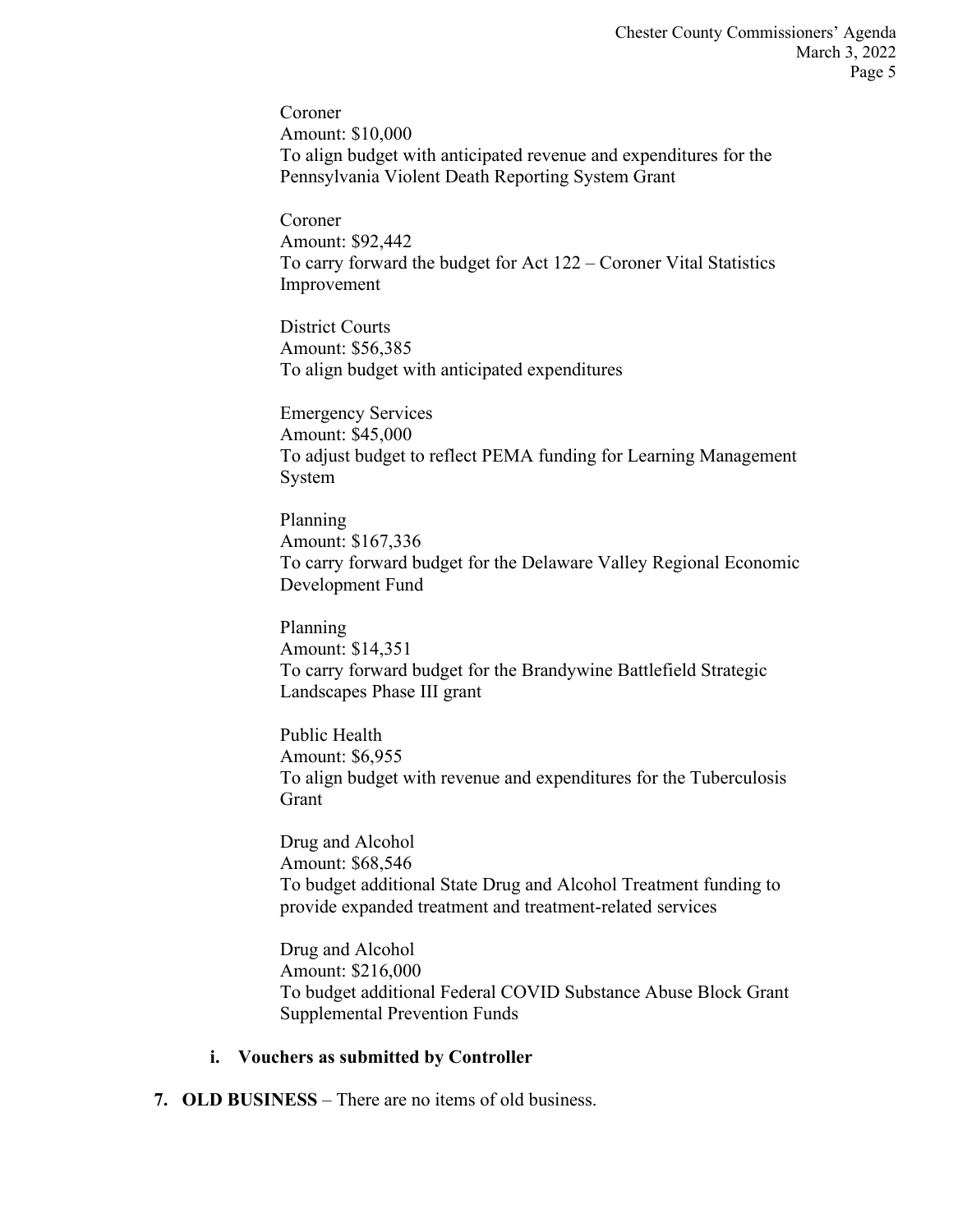Coroner Amount: \$10,000 To align budget with anticipated revenue and expenditures for the Pennsylvania Violent Death Reporting System Grant

Coroner Amount: \$92,442 To carry forward the budget for Act 122 – Coroner Vital Statistics Improvement

District Courts Amount: \$56,385 To align budget with anticipated expenditures

Emergency Services Amount: \$45,000 To adjust budget to reflect PEMA funding for Learning Management System

Planning Amount: \$167,336 To carry forward budget for the Delaware Valley Regional Economic Development Fund

Planning Amount: \$14,351 To carry forward budget for the Brandywine Battlefield Strategic Landscapes Phase III grant

Public Health Amount: \$6,955 To align budget with revenue and expenditures for the Tuberculosis Grant

Drug and Alcohol Amount: \$68,546 To budget additional State Drug and Alcohol Treatment funding to provide expanded treatment and treatment-related services

Drug and Alcohol Amount: \$216,000 To budget additional Federal COVID Substance Abuse Block Grant Supplemental Prevention Funds

#### **i. Vouchers as submitted by Controller**

**7. OLD BUSINESS** – There are no items of old business.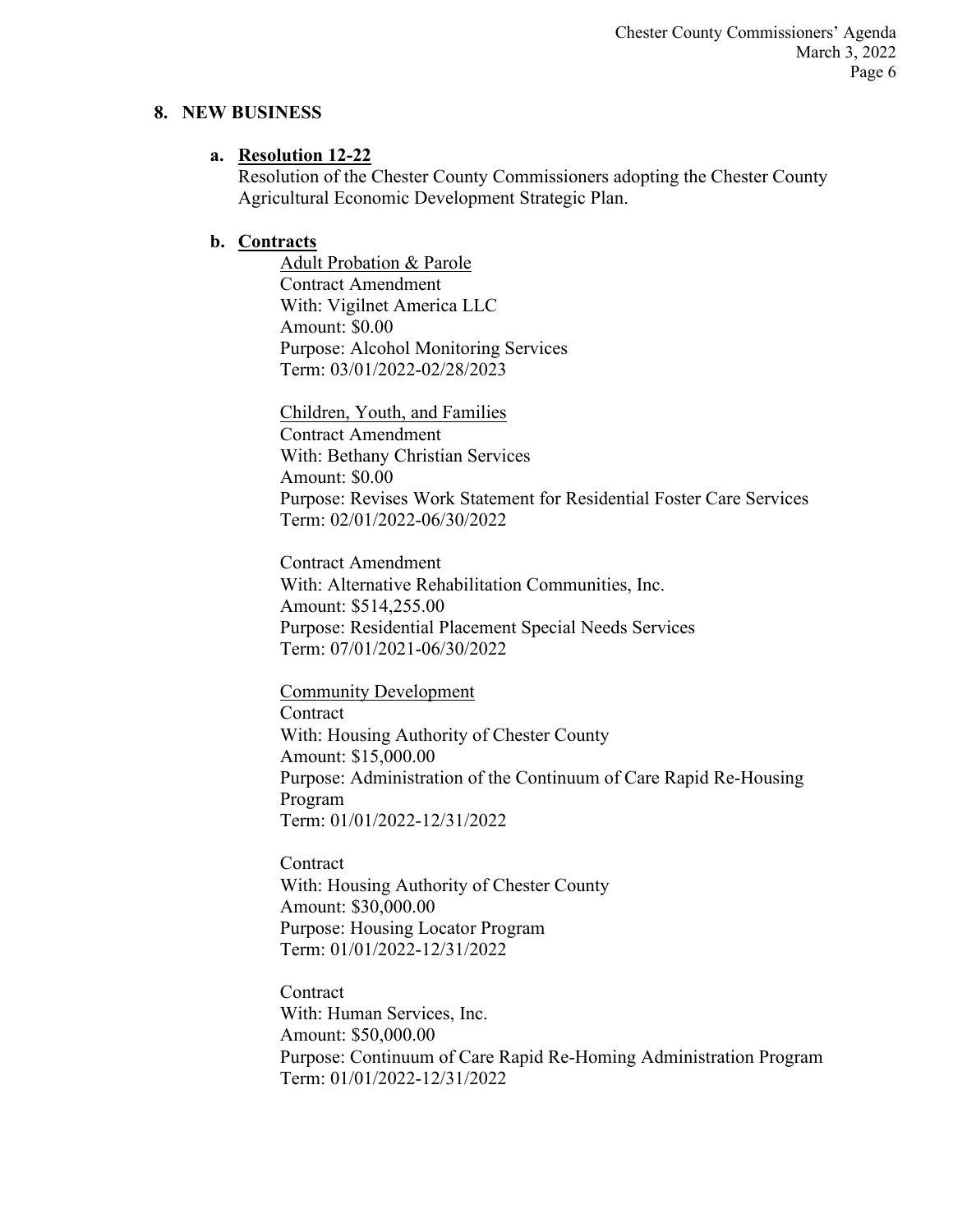#### **8. NEW BUSINESS**

#### **a. Resolution 12-22**

Resolution of the Chester County Commissioners adopting the Chester County Agricultural Economic Development Strategic Plan.

### **b. Contracts**

Adult Probation & Parole Contract Amendment With: Vigilnet America LLC Amount: \$0.00 Purpose: Alcohol Monitoring Services Term: 03/01/2022-02/28/2023

Children, Youth, and Families Contract Amendment With: Bethany Christian Services Amount: \$0.00 Purpose: Revises Work Statement for Residential Foster Care Services Term: 02/01/2022-06/30/2022

Contract Amendment With: Alternative Rehabilitation Communities, Inc. Amount: \$514,255.00 Purpose: Residential Placement Special Needs Services Term: 07/01/2021-06/30/2022

Community Development **Contract** With: Housing Authority of Chester County Amount: \$15,000.00 Purpose: Administration of the Continuum of Care Rapid Re-Housing Program Term: 01/01/2022-12/31/2022

**Contract** With: Housing Authority of Chester County Amount: \$30,000.00 Purpose: Housing Locator Program Term: 01/01/2022-12/31/2022

**Contract** With: Human Services, Inc. Amount: \$50,000.00 Purpose: Continuum of Care Rapid Re-Homing Administration Program Term: 01/01/2022-12/31/2022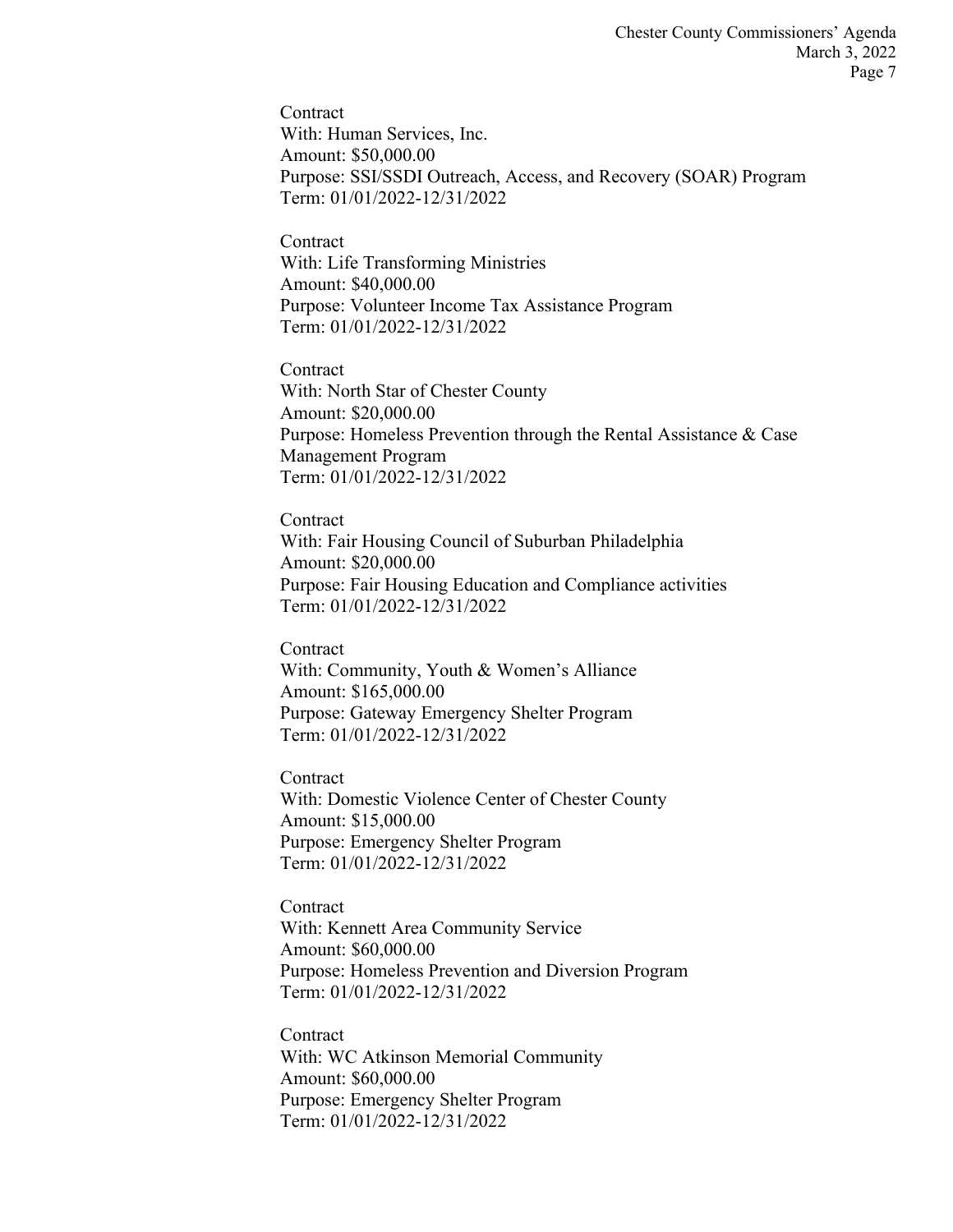**Contract** With: Human Services, Inc. Amount: \$50,000.00 Purpose: SSI/SSDI Outreach, Access, and Recovery (SOAR) Program Term: 01/01/2022-12/31/2022

**Contract** With: Life Transforming Ministries Amount: \$40,000.00 Purpose: Volunteer Income Tax Assistance Program Term: 01/01/2022-12/31/2022

**Contract** With: North Star of Chester County Amount: \$20,000.00 Purpose: Homeless Prevention through the Rental Assistance & Case Management Program Term: 01/01/2022-12/31/2022

**Contract** With: Fair Housing Council of Suburban Philadelphia Amount: \$20,000.00 Purpose: Fair Housing Education and Compliance activities Term: 01/01/2022-12/31/2022

Contract With: Community, Youth & Women's Alliance Amount: \$165,000.00 Purpose: Gateway Emergency Shelter Program Term: 01/01/2022-12/31/2022

Contract With: Domestic Violence Center of Chester County Amount: \$15,000.00 Purpose: Emergency Shelter Program Term: 01/01/2022-12/31/2022

Contract With: Kennett Area Community Service Amount: \$60,000.00 Purpose: Homeless Prevention and Diversion Program Term: 01/01/2022-12/31/2022

**Contract** With: WC Atkinson Memorial Community Amount: \$60,000.00 Purpose: Emergency Shelter Program Term: 01/01/2022-12/31/2022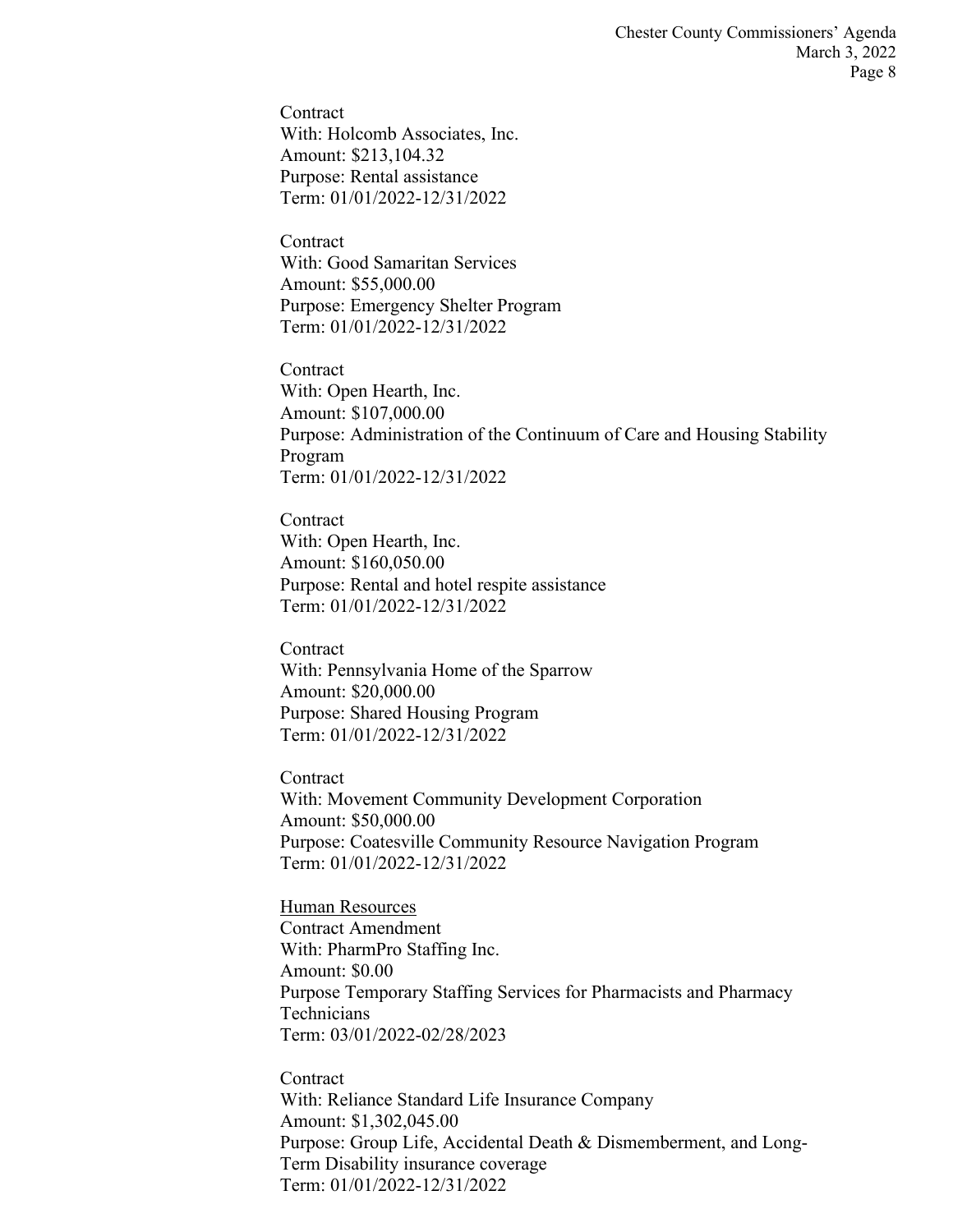**Contract** With: Holcomb Associates, Inc. Amount: \$213,104.32 Purpose: Rental assistance Term: 01/01/2022-12/31/2022

**Contract** With: Good Samaritan Services Amount: \$55,000.00 Purpose: Emergency Shelter Program Term: 01/01/2022-12/31/2022

**Contract** With: Open Hearth, Inc. Amount: \$107,000.00 Purpose: Administration of the Continuum of Care and Housing Stability Program Term: 01/01/2022-12/31/2022

**Contract** With: Open Hearth, Inc. Amount: \$160,050.00 Purpose: Rental and hotel respite assistance Term: 01/01/2022-12/31/2022

Contract With: Pennsylvania Home of the Sparrow Amount: \$20,000.00 Purpose: Shared Housing Program Term: 01/01/2022-12/31/2022

Contract With: Movement Community Development Corporation Amount: \$50,000.00 Purpose: Coatesville Community Resource Navigation Program Term: 01/01/2022-12/31/2022

Human Resources Contract Amendment With: PharmPro Staffing Inc. Amount: \$0.00 Purpose Temporary Staffing Services for Pharmacists and Pharmacy **Technicians** Term: 03/01/2022-02/28/2023

**Contract** With: Reliance Standard Life Insurance Company Amount: \$1,302,045.00 Purpose: Group Life, Accidental Death & Dismemberment, and Long-Term Disability insurance coverage Term: 01/01/2022-12/31/2022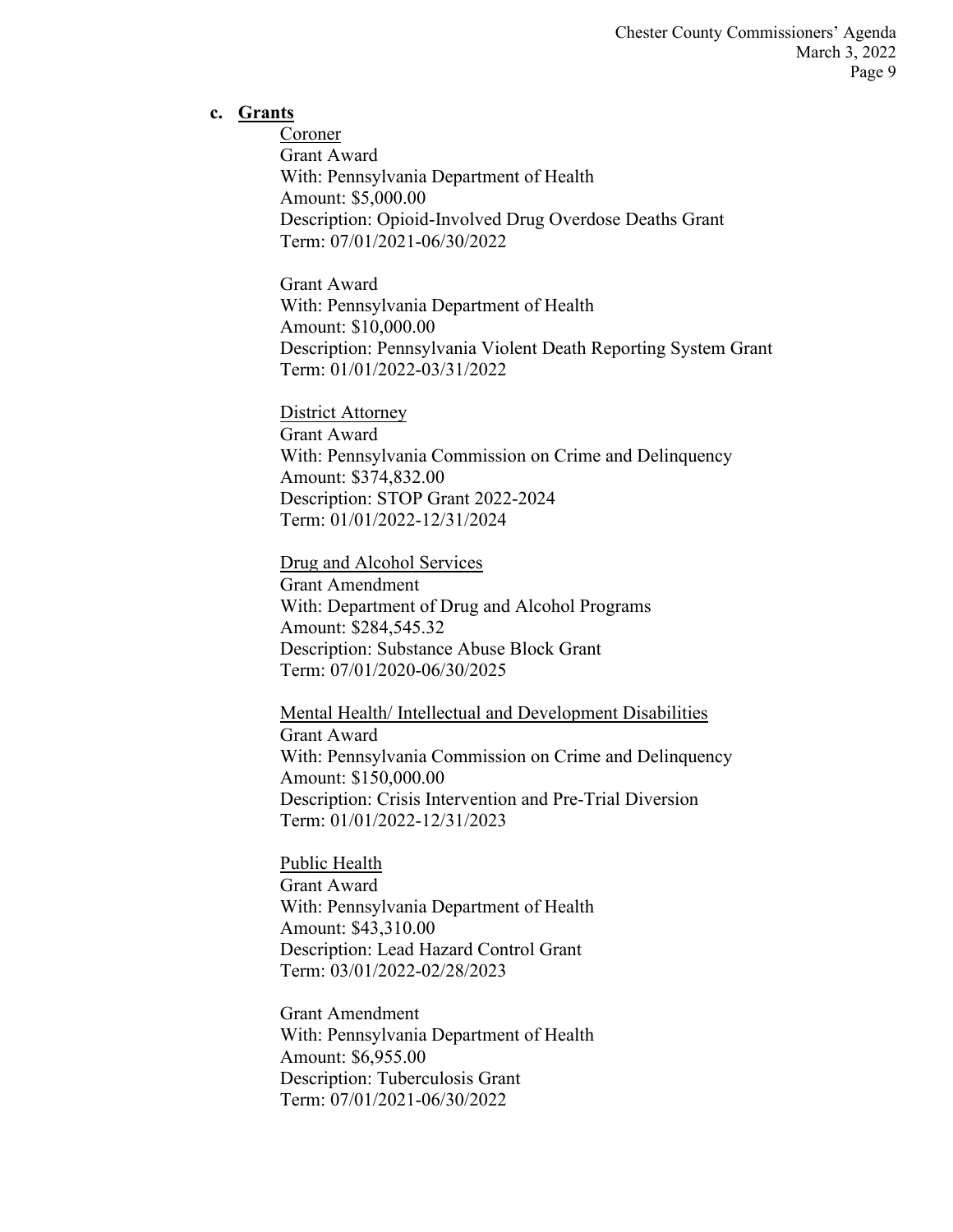#### **c. Grants**

Coroner Grant Award With: Pennsylvania Department of Health Amount: \$5,000.00 Description: Opioid-Involved Drug Overdose Deaths Grant Term: 07/01/2021-06/30/2022

Grant Award With: Pennsylvania Department of Health Amount: \$10,000.00 Description: Pennsylvania Violent Death Reporting System Grant Term: 01/01/2022-03/31/2022

District Attorney Grant Award With: Pennsylvania Commission on Crime and Delinquency Amount: \$374,832.00 Description: STOP Grant 2022-2024 Term: 01/01/2022-12/31/2024

Drug and Alcohol Services Grant Amendment With: Department of Drug and Alcohol Programs Amount: \$284,545.32 Description: Substance Abuse Block Grant Term: 07/01/2020-06/30/2025

Mental Health/ Intellectual and Development Disabilities Grant Award With: Pennsylvania Commission on Crime and Delinquency Amount: \$150,000.00 Description: Crisis Intervention and Pre-Trial Diversion Term: 01/01/2022-12/31/2023

Public Health Grant Award With: Pennsylvania Department of Health Amount: \$43,310.00 Description: Lead Hazard Control Grant Term: 03/01/2022-02/28/2023

Grant Amendment With: Pennsylvania Department of Health Amount: \$6,955.00 Description: Tuberculosis Grant Term: 07/01/2021-06/30/2022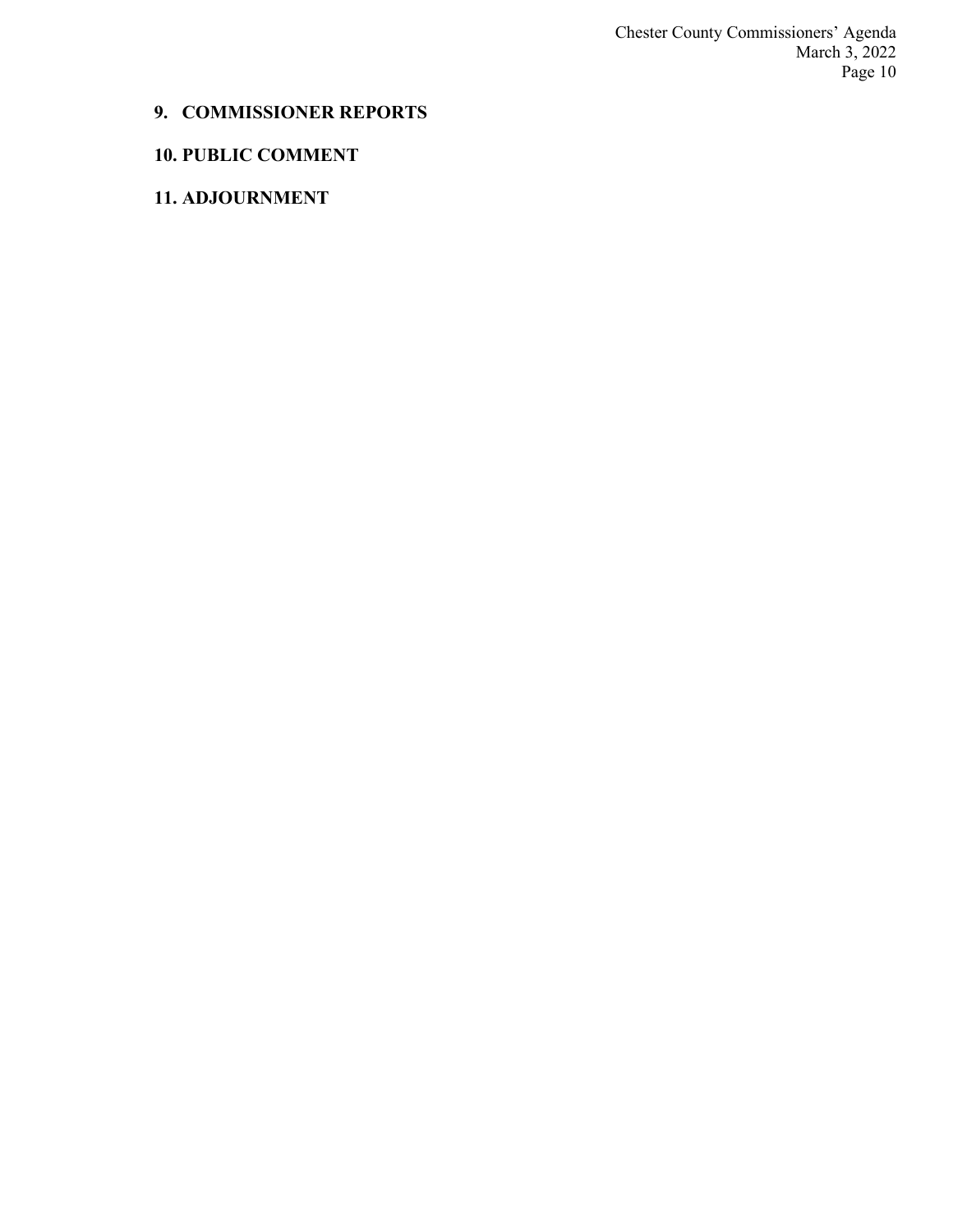Chester County Commissioners' Agenda March 3, 2022 Page 10

# **9. COMMISSIONER REPORTS**

# **10. PUBLIC COMMENT**

# **11. ADJOURNMENT**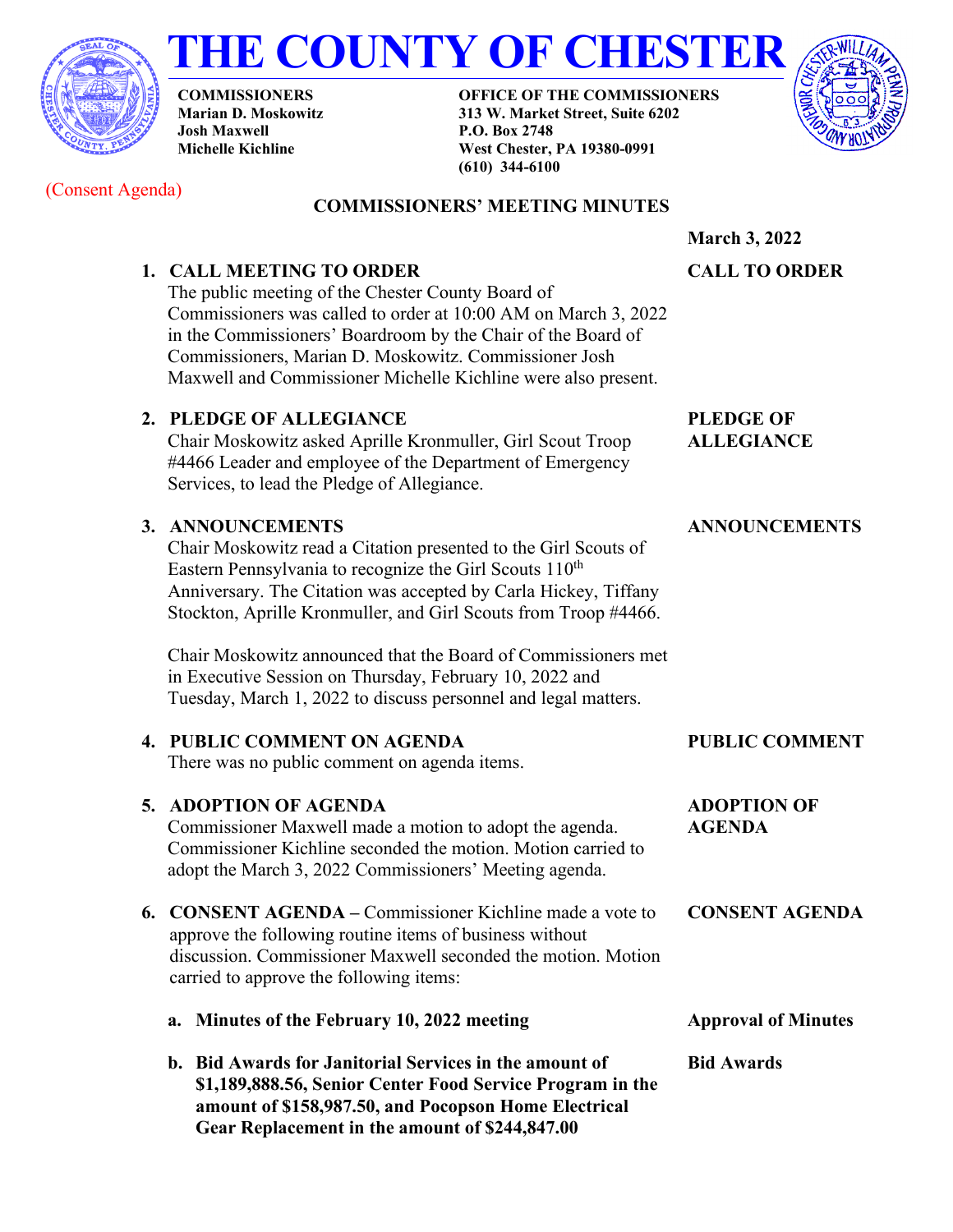



**COMMISSIONERS Marian D. Moskowitz Josh Maxwell Michelle Kichline**

**OFFICE OF THE COMMISSIONERS 313 W. Market Street, Suite 6202 P.O. Box 2748 West Chester, PA 19380-0991 (610) 344-6100**



(Consent Agenda)

# **COMMISSIONERS' MEETING MINUTES**

# **1. CALL MEETING TO ORDER**

The public meeting of the Chester County Board of Commissioners was called to order at 10:00 AM on March 3, 2022 in the Commissioners' Boardroom by the Chair of the Board of Commissioners, Marian D. Moskowitz. Commissioner Josh Maxwell and Commissioner Michelle Kichline were also present.

### **2. PLEDGE OF ALLEGIANCE**

Chair Moskowitz asked Aprille Kronmuller, Girl Scout Troop #4466 Leader and employee of the Department of Emergency Services, to lead the Pledge of Allegiance.

### **3. ANNOUNCEMENTS**

Chair Moskowitz read a Citation presented to the Girl Scouts of Eastern Pennsylvania to recognize the Girl Scouts  $110<sup>th</sup>$ Anniversary. The Citation was accepted by Carla Hickey, Tiffany Stockton, Aprille Kronmuller, and Girl Scouts from Troop #4466.

Chair Moskowitz announced that the Board of Commissioners met in Executive Session on Thursday, February 10, 2022 and Tuesday, March 1, 2022 to discuss personnel and legal matters.

#### **4. PUBLIC COMMENT ON AGENDA** There was no public comment on agenda items. **PUBLIC COMMENT 5. ADOPTION OF AGENDA** Commissioner Maxwell made a motion to adopt the agenda. Commissioner Kichline seconded the motion. Motion carried to **ADOPTION OF AGENDA**

adopt the March 3, 2022 Commissioners' Meeting agenda.

- **6. CONSENT AGENDA –** Commissioner Kichline made a vote to approve the following routine items of business without discussion. Commissioner Maxwell seconded the motion. Motion carried to approve the following items: **CONSENT AGENDA**
	- **a. Minutes of the February 10, 2022 meeting Approval of Minutes**
	- **b. Bid Awards for Janitorial Services in the amount of \$1,189,888.56, Senior Center Food Service Program in the amount of \$158,987.50, and Pocopson Home Electrical Gear Replacement in the amount of \$244,847.00**

**March 3, 2022 CALL TO ORDER**

**PLEDGE OF ALLEGIANCE** 

**Bid Awards**

# **ANNOUNCEMENTS**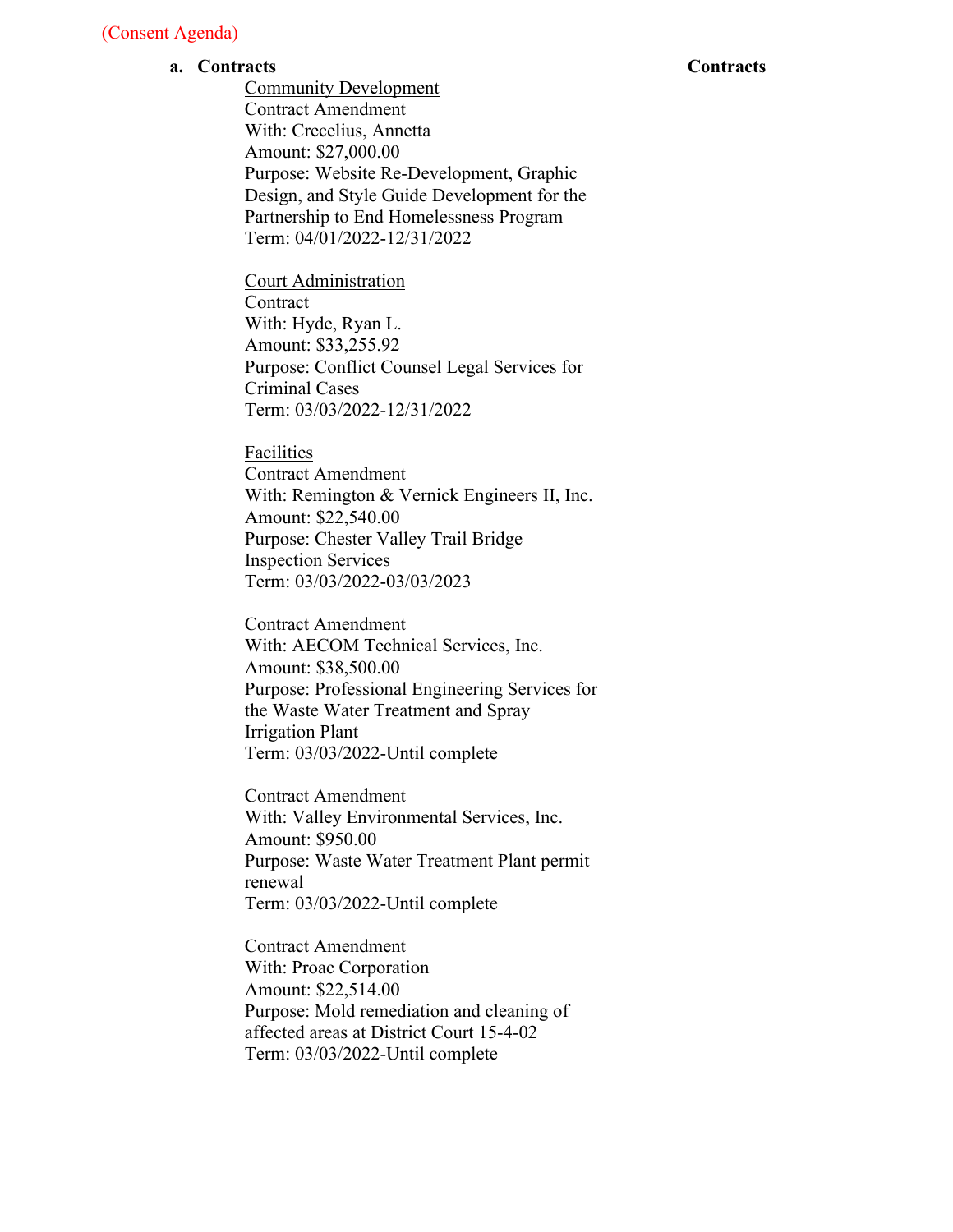#### **a. Contracts**

Community Development Contract Amendment With: Crecelius, Annetta Amount: \$27,000.00 Purpose: Website Re-Development, Graphic Design, and Style Guide Development for the Partnership to End Homelessness Program Term: 04/01/2022-12/31/2022

Court Administration **Contract** With: Hyde, Ryan L. Amount: \$33,255.92 Purpose: Conflict Counsel Legal Services for Criminal Cases Term: 03/03/2022-12/31/2022

Facilities

Contract Amendment With: Remington & Vernick Engineers II, Inc. Amount: \$22,540.00 Purpose: Chester Valley Trail Bridge Inspection Services Term: 03/03/2022-03/03/2023

Contract Amendment With: AECOM Technical Services, Inc. Amount: \$38,500.00 Purpose: Professional Engineering Services for the Waste Water Treatment and Spray Irrigation Plant Term: 03/03/2022-Until complete

Contract Amendment With: Valley Environmental Services, Inc. Amount: \$950.00 Purpose: Waste Water Treatment Plant permit renewal Term: 03/03/2022-Until complete

Contract Amendment With: Proac Corporation Amount: \$22,514.00 Purpose: Mold remediation and cleaning of affected areas at District Court 15-4-02 Term: 03/03/2022-Until complete

#### **Contracts**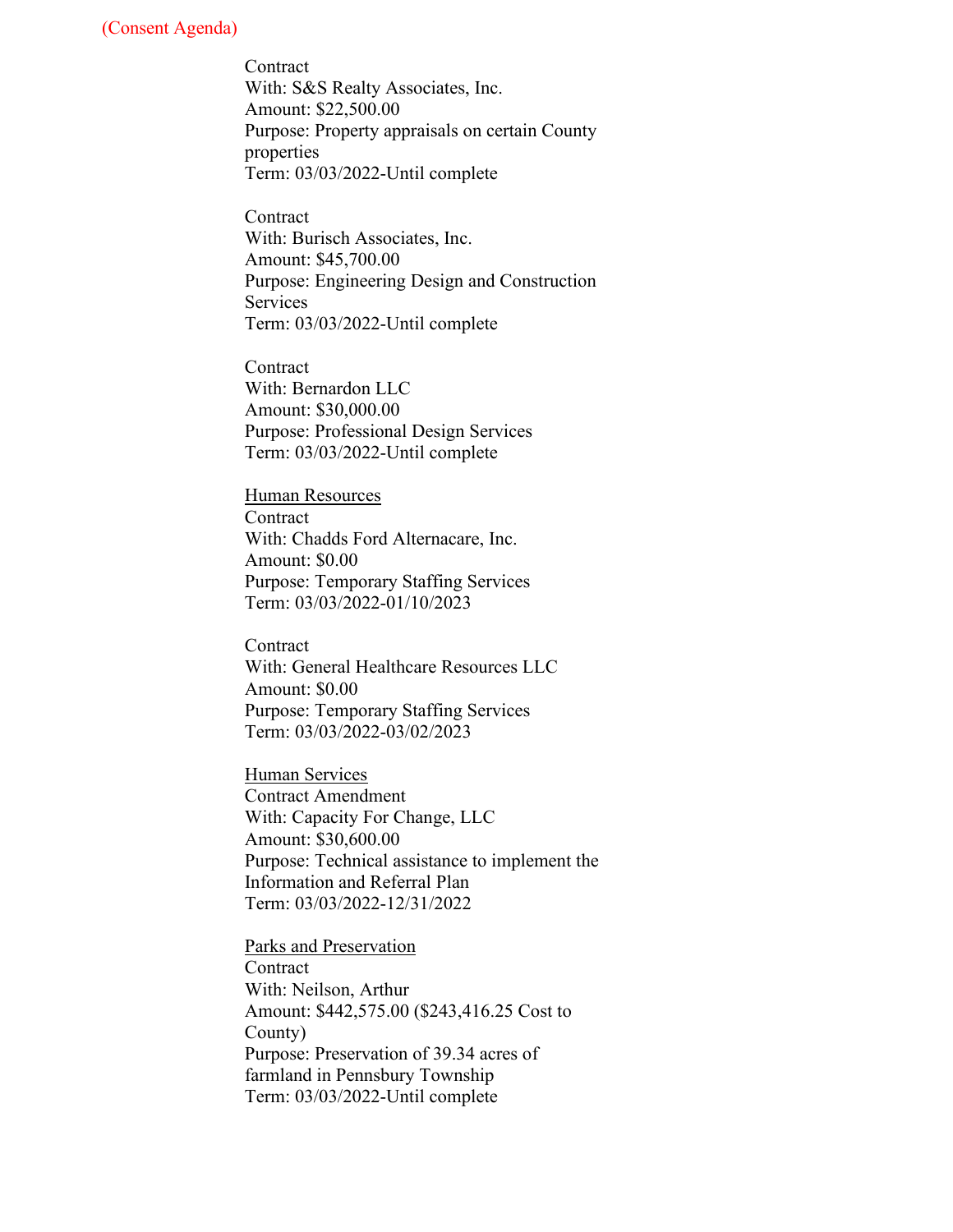Contract With: S&S Realty Associates, Inc. Amount: \$22,500.00 Purpose: Property appraisals on certain County properties Term: 03/03/2022-Until complete

**Contract** With: Burisch Associates, Inc. Amount: \$45,700.00 Purpose: Engineering Design and Construction Services Term: 03/03/2022-Until complete

**Contract** With: Bernardon LLC Amount: \$30,000.00 Purpose: Professional Design Services Term: 03/03/2022-Until complete

Human Resources **Contract** With: Chadds Ford Alternacare, Inc. Amount: \$0.00 Purpose: Temporary Staffing Services Term: 03/03/2022-01/10/2023

**Contract** With: General Healthcare Resources LLC Amount: \$0.00 Purpose: Temporary Staffing Services Term: 03/03/2022-03/02/2023

Human Services Contract Amendment With: Capacity For Change, LLC Amount: \$30,600.00 Purpose: Technical assistance to implement the Information and Referral Plan Term: 03/03/2022-12/31/2022

Parks and Preservation **Contract** With: Neilson, Arthur Amount: \$442,575.00 (\$243,416.25 Cost to County) Purpose: Preservation of 39.34 acres of farmland in Pennsbury Township Term: 03/03/2022-Until complete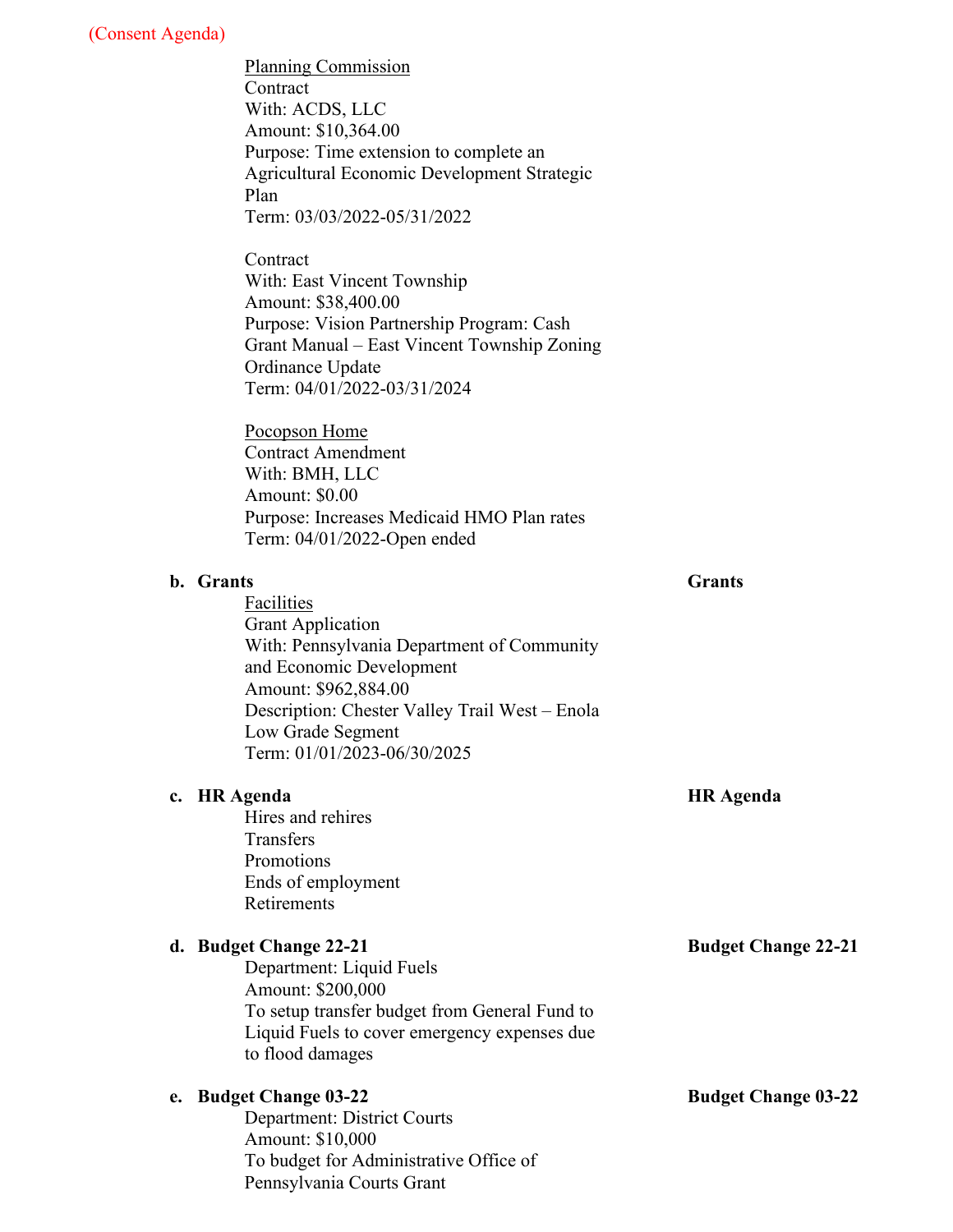Planning Commission **Contract** With: ACDS, LLC Amount: \$10,364.00 Purpose: Time extension to complete an Agricultural Economic Development Strategic Plan Term: 03/03/2022-05/31/2022

Contract With: East Vincent Township Amount: \$38,400.00 Purpose: Vision Partnership Program: Cash Grant Manual – East Vincent Township Zoning Ordinance Update Term: 04/01/2022-03/31/2024

Pocopson Home Contract Amendment With: BMH, LLC Amount: \$0.00 Purpose: Increases Medicaid HMO Plan rates Term: 04/01/2022-Open ended

#### **b. Grants**

Facilities Grant Application With: Pennsylvania Department of Community and Economic Development Amount: \$962,884.00 Description: Chester Valley Trail West – Enola Low Grade Segment Term: 01/01/2023-06/30/2025

#### **c. HR Agenda**

Hires and rehires **Transfers** Promotions Ends of employment Retirements

#### **d. Budget Change 22-21**

Department: Liquid Fuels Amount: \$200,000 To setup transfer budget from General Fund to Liquid Fuels to cover emergency expenses due to flood damages

#### **e. Budget Change 03-22**

Department: District Courts Amount: \$10,000 To budget for Administrative Office of Pennsylvania Courts Grant

**Budget Change 03-22** 

# **Grants**

**HR Agenda**

**Budget Change 22-21**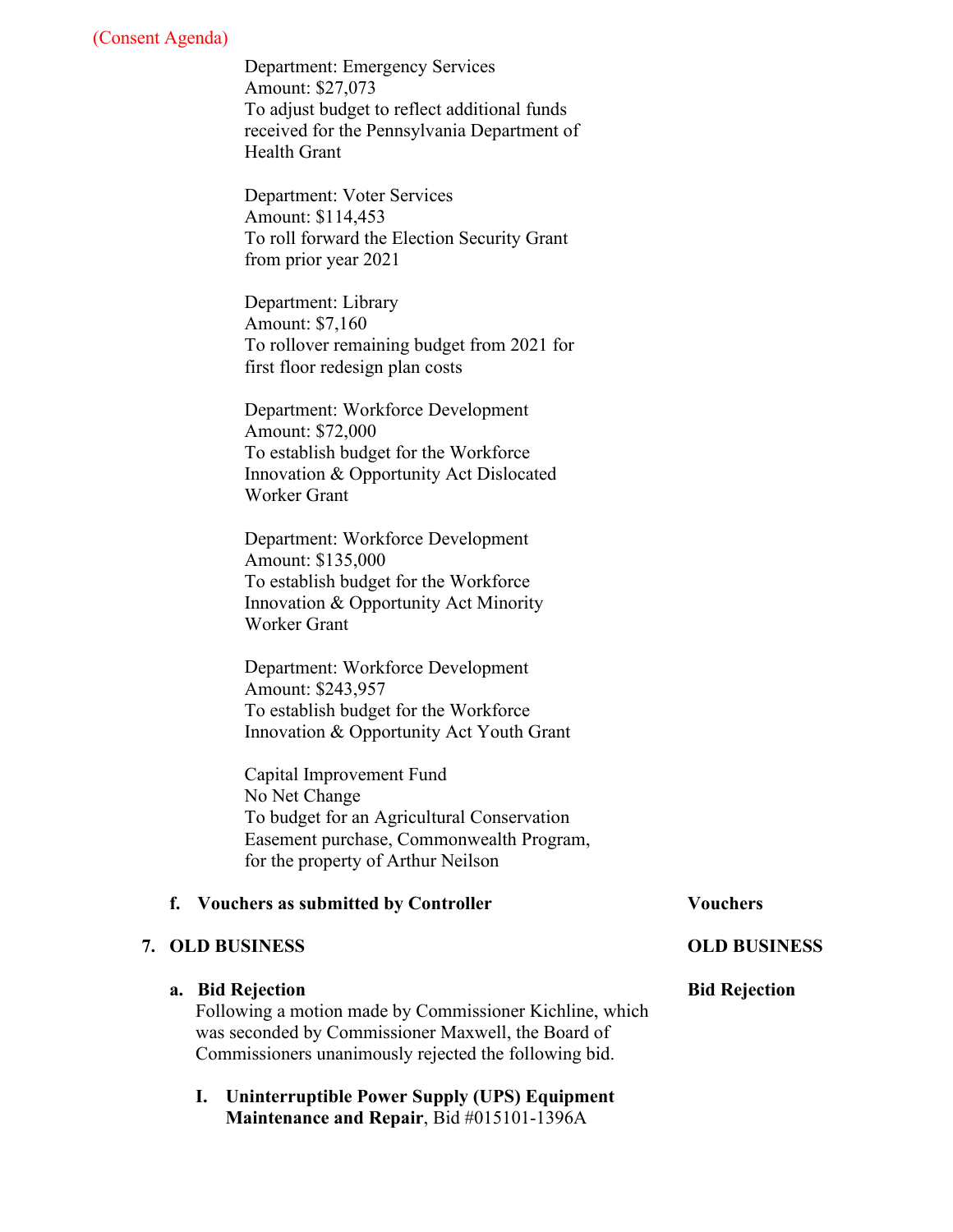Department: Emergency Services Amount: \$27,073 To adjust budget to reflect additional funds received for the Pennsylvania Department of Health Grant

Department: Voter Services Amount: \$114,453 To roll forward the Election Security Grant from prior year 2021

Department: Library Amount: \$7,160 To rollover remaining budget from 2021 for first floor redesign plan costs

Department: Workforce Development Amount: \$72,000 To establish budget for the Workforce Innovation & Opportunity Act Dislocated Worker Grant

Department: Workforce Development Amount: \$135,000 To establish budget for the Workforce Innovation & Opportunity Act Minority Worker Grant

Department: Workforce Development Amount: \$243,957 To establish budget for the Workforce Innovation & Opportunity Act Youth Grant

Capital Improvement Fund No Net Change To budget for an Agricultural Conservation Easement purchase, Commonwealth Program, for the property of Arthur Neilson

#### **f. Vouchers as submitted by Controller Vouchers**

#### **7. OLD BUSINESS**

#### **a. Bid Rejection**

Following a motion made by Commissioner Kichline, which was seconded by Commissioner Maxwell, the Board of Commissioners unanimously rejected the following bid.

**I. Uninterruptible Power Supply (UPS) Equipment Maintenance and Repair**, Bid #015101-1396A

#### **OLD BUSINESS**

#### **Bid Rejection**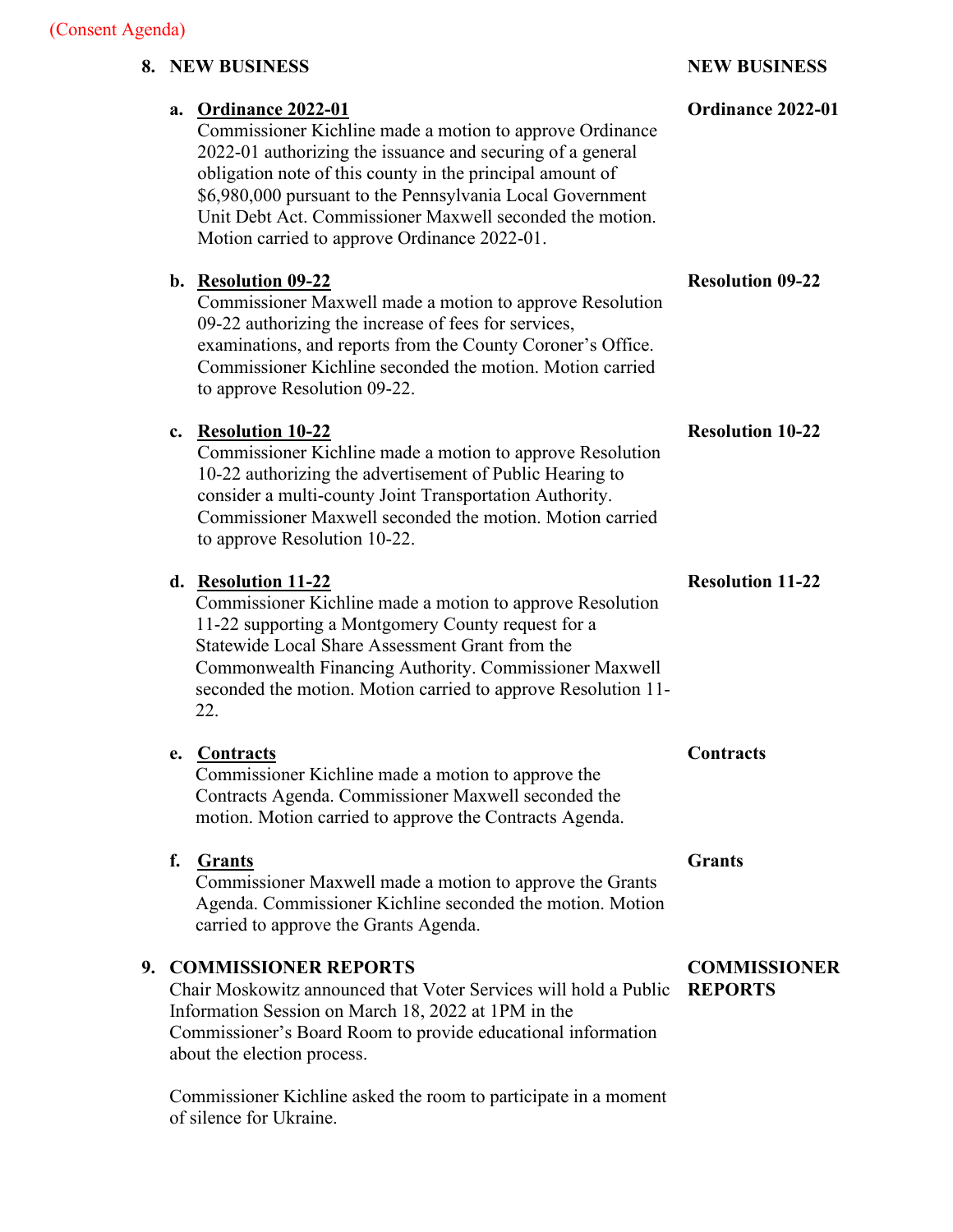# **8. NEW BUSINESS**

|    |    | a. Ordinance 2022-01<br>Commissioner Kichline made a motion to approve Ordinance<br>2022-01 authorizing the issuance and securing of a general<br>obligation note of this county in the principal amount of<br>\$6,980,000 pursuant to the Pennsylvania Local Government<br>Unit Debt Act. Commissioner Maxwell seconded the motion.<br>Motion carried to approve Ordinance 2022-01. | Ordinance 2022-01                     |
|----|----|--------------------------------------------------------------------------------------------------------------------------------------------------------------------------------------------------------------------------------------------------------------------------------------------------------------------------------------------------------------------------------------|---------------------------------------|
|    | b. | <b>Resolution 09-22</b><br>Commissioner Maxwell made a motion to approve Resolution<br>09-22 authorizing the increase of fees for services,<br>examinations, and reports from the County Coroner's Office.<br>Commissioner Kichline seconded the motion. Motion carried<br>to approve Resolution 09-22.                                                                              | <b>Resolution 09-22</b>               |
|    | c. | <b>Resolution 10-22</b><br>Commissioner Kichline made a motion to approve Resolution<br>10-22 authorizing the advertisement of Public Hearing to<br>consider a multi-county Joint Transportation Authority.<br>Commissioner Maxwell seconded the motion. Motion carried<br>to approve Resolution 10-22.                                                                              | <b>Resolution 10-22</b>               |
|    |    | d. Resolution 11-22<br>Commissioner Kichline made a motion to approve Resolution<br>11-22 supporting a Montgomery County request for a<br>Statewide Local Share Assessment Grant from the<br>Commonwealth Financing Authority. Commissioner Maxwell<br>seconded the motion. Motion carried to approve Resolution 11-<br>22.                                                          | <b>Resolution 11-22</b>               |
|    | e. | <b>Contracts</b><br>Commissioner Kichline made a motion to approve the<br>Contracts Agenda. Commissioner Maxwell seconded the<br>motion. Motion carried to approve the Contracts Agenda.                                                                                                                                                                                             | <b>Contracts</b>                      |
|    | f. | <b>Grants</b><br>Commissioner Maxwell made a motion to approve the Grants<br>Agenda. Commissioner Kichline seconded the motion. Motion<br>carried to approve the Grants Agenda.                                                                                                                                                                                                      | <b>Grants</b>                         |
| 9. |    | <b>COMMISSIONER REPORTS</b><br>Chair Moskowitz announced that Voter Services will hold a Public<br>Information Session on March 18, 2022 at 1PM in the<br>Commissioner's Board Room to provide educational information<br>about the election process.                                                                                                                                | <b>COMMISSIONER</b><br><b>REPORTS</b> |
|    |    |                                                                                                                                                                                                                                                                                                                                                                                      |                                       |

Commissioner Kichline asked the room to participate in a moment of silence for Ukraine.

# **NEW BUSINESS**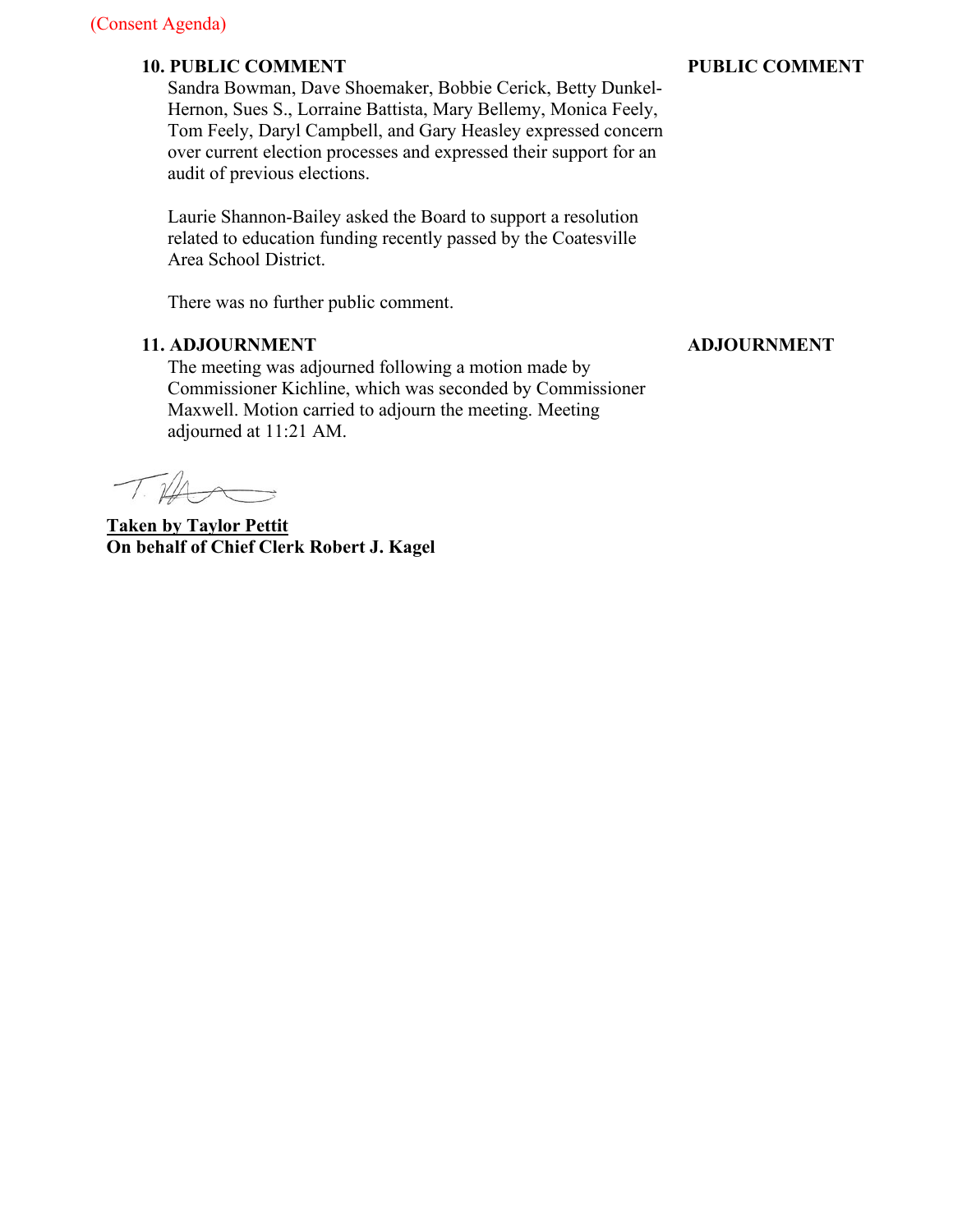#### **10. PUBLIC COMMENT**

Sandra Bowman, Dave Shoemaker, Bobbie Cerick, Betty Dunkel-Hernon, Sues S., Lorraine Battista, Mary Bellemy, Monica Feely, Tom Feely, Daryl Campbell, and Gary Heasley expressed concern over current election processes and expressed their support for an audit of previous elections.

Laurie Shannon-Bailey asked the Board to support a resolution related to education funding recently passed by the Coatesville Area School District.

There was no further public comment.

### **11. ADJOURNMENT**

The meeting was adjourned following a motion made by Commissioner Kichline, which was seconded by Commissioner Maxwell. Motion carried to adjourn the meeting. Meeting adjourned at 11:21 AM.

 $\mathbb{Z}/4$ 

**Taken by Taylor Pettit On behalf of Chief Clerk Robert J. Kagel**

### **PUBLIC COMMENT**

#### **ADJOURNMENT**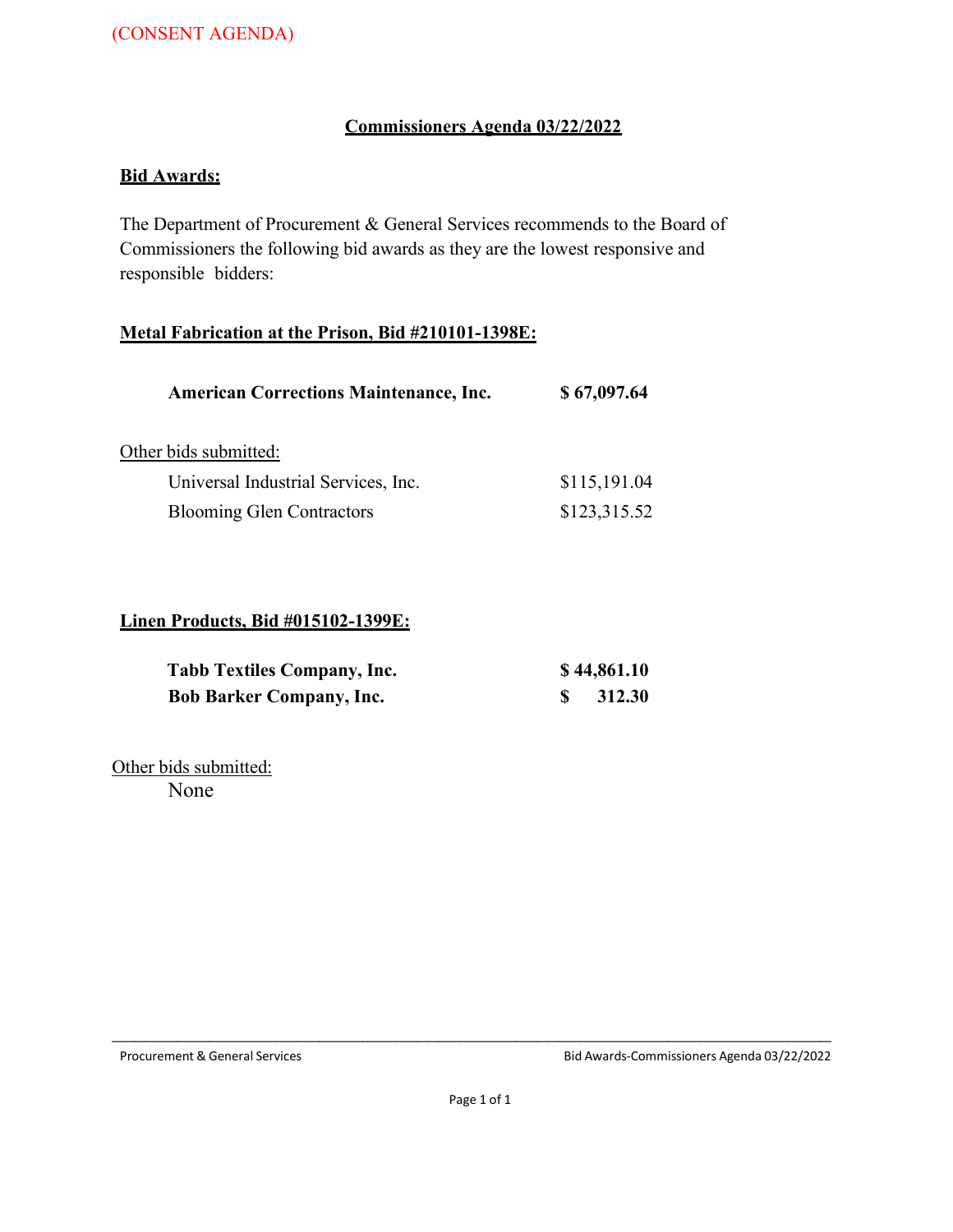# **Commissioners Agenda 03/22/2022**

# **Bid Awards:**

The Department of Procurement & General Services recommends to the Board of Commissioners the following bid awards as they are the lowest responsive and responsible bidders:

#### **Metal Fabrication at the Prison, Bid #210101-1398E:**

| \$67,097.64  |
|--------------|
|              |
| \$115,191.04 |
| \$123,315.52 |
|              |

#### **Linen Products, Bid #015102-1399E:**

| <b>Tabb Textiles Company, Inc.</b> | \$44,861.10 |
|------------------------------------|-------------|
| <b>Bob Barker Company, Inc.</b>    | 312.30      |

Other bids submitted: None

Procurement & General Services Bid Awards-Commissioners Agenda 03/22/2022

 $\mathcal{L}_\text{max}$  , and the contribution of the contribution of the contribution of the contribution of the contribution of the contribution of the contribution of the contribution of the contribution of the contribution of t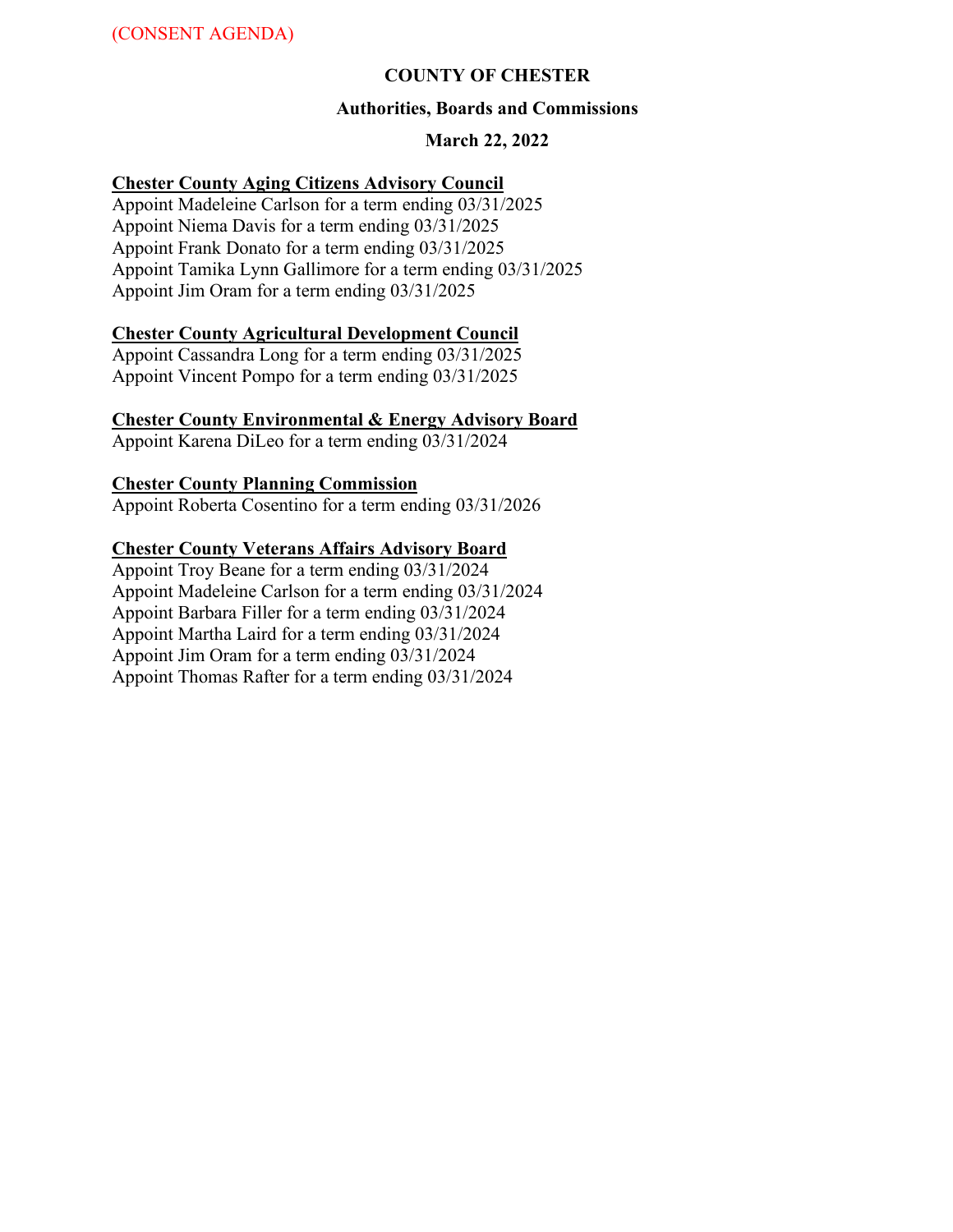### **COUNTY OF CHESTER**

#### **Authorities, Boards and Commissions**

### **March 22, 2022**

#### **Chester County Aging Citizens Advisory Council**

Appoint Madeleine Carlson for a term ending 03/31/2025 Appoint Niema Davis for a term ending 03/31/2025 Appoint Frank Donato for a term ending 03/31/2025 Appoint Tamika Lynn Gallimore for a term ending 03/31/2025 Appoint Jim Oram for a term ending 03/31/2025

#### **Chester County Agricultural Development Council**

Appoint Cassandra Long for a term ending 03/31/2025 Appoint Vincent Pompo for a term ending 03/31/2025

#### **Chester County Environmental & Energy Advisory Board**

Appoint Karena DiLeo for a term ending 03/31/2024

#### **Chester County Planning Commission**

Appoint Roberta Cosentino for a term ending 03/31/2026

#### **Chester County Veterans Affairs Advisory Board**

Appoint Troy Beane for a term ending 03/31/2024 Appoint Madeleine Carlson for a term ending 03/31/2024 Appoint Barbara Filler for a term ending 03/31/2024 Appoint Martha Laird for a term ending 03/31/2024 Appoint Jim Oram for a term ending 03/31/2024 Appoint Thomas Rafter for a term ending 03/31/2024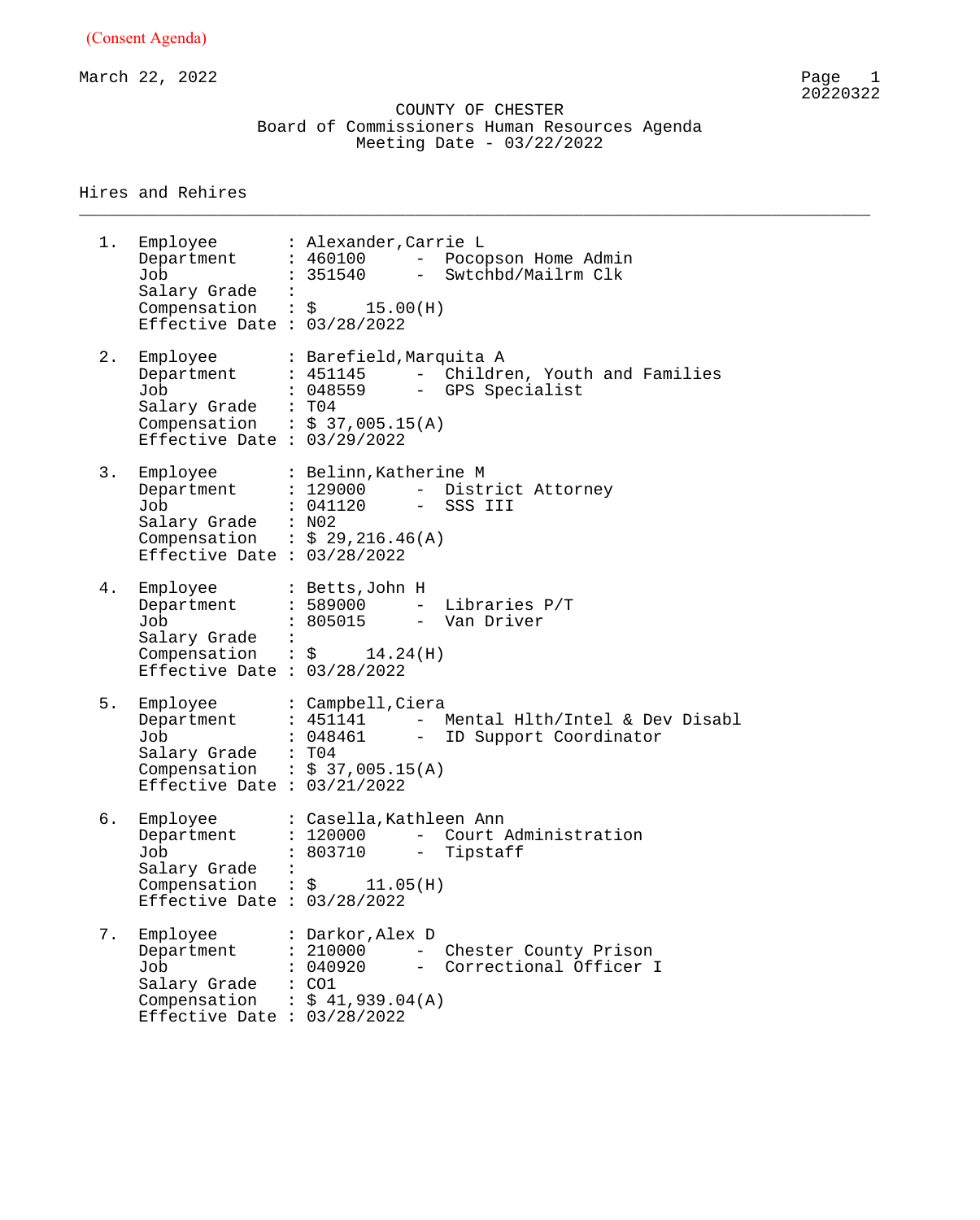March 22, 2022 Page 1

 COUNTY OF CHESTER Board of Commissioners Human Resources Agenda Meeting Date - 03/22/2022

\_\_\_\_\_\_\_\_\_\_\_\_\_\_\_\_\_\_\_\_\_\_\_\_\_\_\_\_\_\_\_\_\_\_\_\_\_\_\_\_\_\_\_\_\_\_\_\_\_\_\_\_\_\_\_\_\_\_\_\_\_\_\_\_\_\_\_\_\_\_\_\_\_\_\_\_\_\_\_\_

#### Hires and Rehires

1. Employee : Alexander,Carrie L Department : 460100 - Pocopson Home Admin Job : 351540 - Swtchbd/Mailrm Clk Salary Grade : Compensation :  $\zeta$  15.00(H) Effective Date : 03/28/2022 2. Employee : Barefield,Marquita A Department : 451145 - Children, Youth and Families Job : 048559 - GPS Specialist Salary Grade : T04 Compensation :  $$37,005.15(A)$ Effective Date : 03/29/2022 3. Employee : Belinn,Katherine M Department : 129000 - District Attorney Job : 041120 - SSS III Salary Grade : N02 Compensation :  $\$$  29,216.46(A) Effective Date : 03/28/2022 4. Employee : Betts,John H Department : 589000 - Libraries P/T Job : 805015 - Van Driver Salary Grade : Compensation :  $\sin 14.24$  (H) Effective Date : 03/28/2022 5. Employee : Campbell,Ciera Department : 451141 - Mental Hlth/Intel & Dev Disabl Job : 048461 - ID Support Coordinator Salary Grade : T04 Compensation :  $$37,005.15(A)$ Effective Date : 03/21/2022 6. Employee : Casella,Kathleen Ann Department : 120000 - Court Administration Job : 803710 - Tipstaff Salary Grade :  $COMP$  :  $\sim$  11.05(H) Effective Date : 03/28/2022 7. Employee : Darkor,Alex D Department : 210000 - Chester County Prison Job : 040920 - Correctional Officer I Salary Grade : CO1 Compensation :  $$41,939.04(A)$ Effective Date : 03/28/2022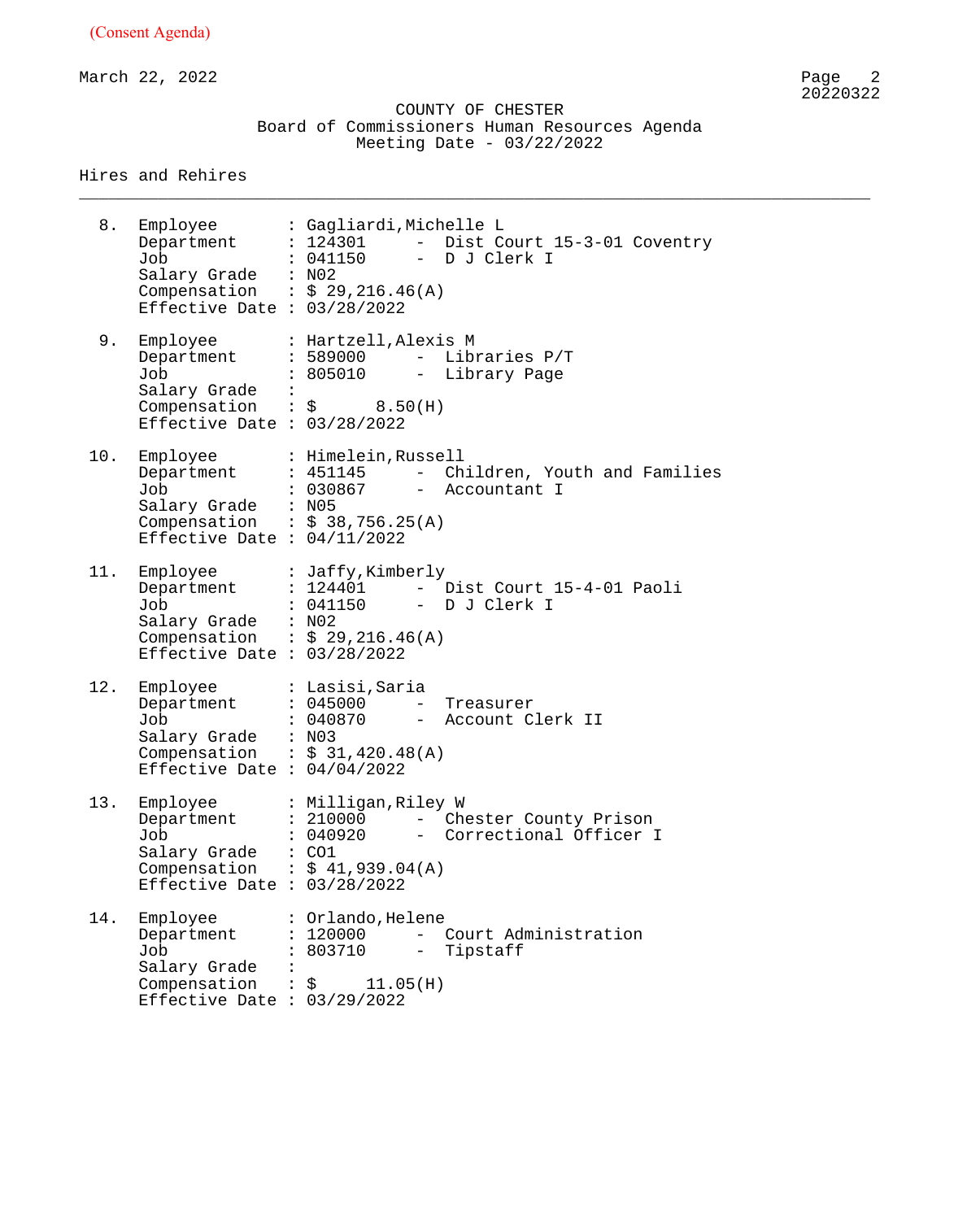March 22, 2022 Page 2

 COUNTY OF CHESTER Board of Commissioners Human Resources Agenda Meeting Date - 03/22/2022

\_\_\_\_\_\_\_\_\_\_\_\_\_\_\_\_\_\_\_\_\_\_\_\_\_\_\_\_\_\_\_\_\_\_\_\_\_\_\_\_\_\_\_\_\_\_\_\_\_\_\_\_\_\_\_\_\_\_\_\_\_\_\_\_\_\_\_\_\_\_\_\_\_\_\_\_\_\_\_\_

Hires and Rehires

8. Employee : Gagliardi,Michelle L Department : 124301 - Dist Court 15-3-01 Coventry Job : 041150 - D J Clerk I Salary Grade : N02 Compensation :  $\$$  29,216.46(A) Effective Date : 03/28/2022 9. Employee : Hartzell,Alexis M Department : 589000 - Libraries P/T Job : 805010 - Library Page Salary Grade : Compensation :  $\zeta$  8.50(H) Effective Date : 03/28/2022 10. Employee : Himelein,Russell Department : 451145 - Children, Youth and Families Job : 030867 - Accountant I Salary Grade : N05 Compensation :  $$38,756.25(A)$ Effective Date : 04/11/2022 11. Employee : Jaffy,Kimberly Department : 124401 - Dist Court 15-4-01 Paoli Job : 041150 - D J Clerk I Salary Grade : N02 Compensation :  $\$$  29,216.46(A) Effective Date : 03/28/2022 12. Employee : Lasisi,Saria Department : 045000 - Treasurer Job : 040870 - Account Clerk II Salary Grade : N03 Compensation :  $$31,420.48 (A)$ Effective Date : 04/04/2022 13. Employee : Milligan,Riley W Department : 210000 - Chester County Prison Job : 040920 - Correctional Officer I Salary Grade : CO1 Compensation :  $$41,939.04(A)$ Effective Date : 03/28/2022 14. Employee : Orlando,Helene Department : 120000 - Court Administration Job : 803710 - Tipstaff Salary Grade : Compensation :  $\zeta$  11.05(H) Effective Date : 03/29/2022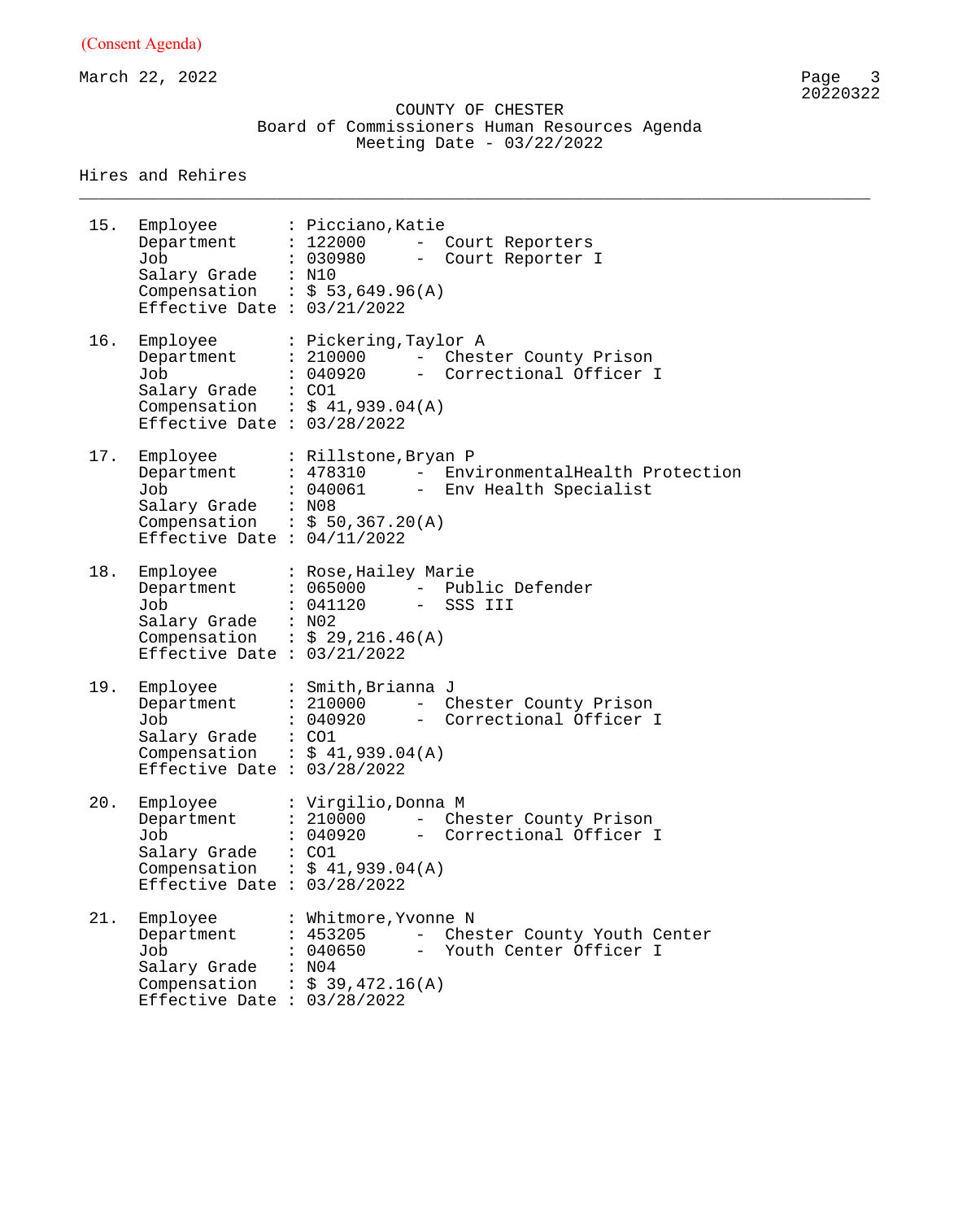March 22, 2022

 COUNTY OF CHESTER Board of Commissioners Human Resources Agenda Meeting Date - 03/22/2022

\_\_\_\_\_\_\_\_\_\_\_\_\_\_\_\_\_\_\_\_\_\_\_\_\_\_\_\_\_\_\_\_\_\_\_\_\_\_\_\_\_\_\_\_\_\_\_\_\_\_\_\_\_\_\_\_\_\_\_\_\_\_\_\_\_\_\_\_\_\_\_\_\_\_\_\_\_\_\_\_

Hires and Rehires

| 15. | Employee<br>Department<br>Job<br>Salary Grade : N10<br>Effective Date : $03/21/2022$           | : Picciano, Katie<br>: 122000 - Court Reporters<br>: 030980<br>- Court Reporter I<br>Compensation : $$53,649.96(A)$                                 |
|-----|------------------------------------------------------------------------------------------------|-----------------------------------------------------------------------------------------------------------------------------------------------------|
| 16. | Department<br>Job<br>Salary Grade : CO1<br>Effective Date : $03/28/2022$                       | Employee : Pickering, Taylor A<br>: 210000 - Chester County Prison<br>: 040920<br>- Correctional Officer I<br>Compensation : $$41,939.04(A)$        |
| 17. | Department<br>Job<br>Salary Grade : N08<br>Effective Date : $04/11/2022$                       | Employee : Rillstone, Bryan P<br>: 478310 - EnvironmentalHealth Protection<br>: 040061<br>- Env Health Specialist<br>Compensation : $$50,367.20(A)$ |
| 18. | Department<br>Job<br>Salary Grade : N02<br>Effective Date : $03/21/2022$                       | Employee : Rose, Hailey Marie<br>: 065000 - Public Defender<br>: 041120<br>- SSS III<br>Compensation : $$29,216.46(A)$                              |
| 19. | Employee<br>Department<br>Job<br>Salary Grade : CO1<br>Effective Date : $03/28/2022$           | : Smith, Brianna J<br>: 210000 - Chester County Prison<br>- Correctional Officer I<br>: 040920<br>Compensation : $$ 41,939.04(A)$                   |
| 20. | Employee<br>Department<br>Job<br>Salary Grade<br>Compensation<br>Effective Date : $03/28/2022$ | : Virgilio,Donna M<br>: 210000<br>- Chester County Prison<br>: 040920<br>- Correctional Officer I<br>: CO1<br>: \$41,939.04(A)                      |
| 21. | Employee<br>Department<br>Job<br>Salary Grade<br>Compensation<br>Effective Date : $03/28/2022$ | : Whitmore, Yvonne N<br>: 453205<br>- Chester County Youth Center<br>: 040650<br>- Youth Center Officer I<br>: N04<br>: $$39,472.16(A)$             |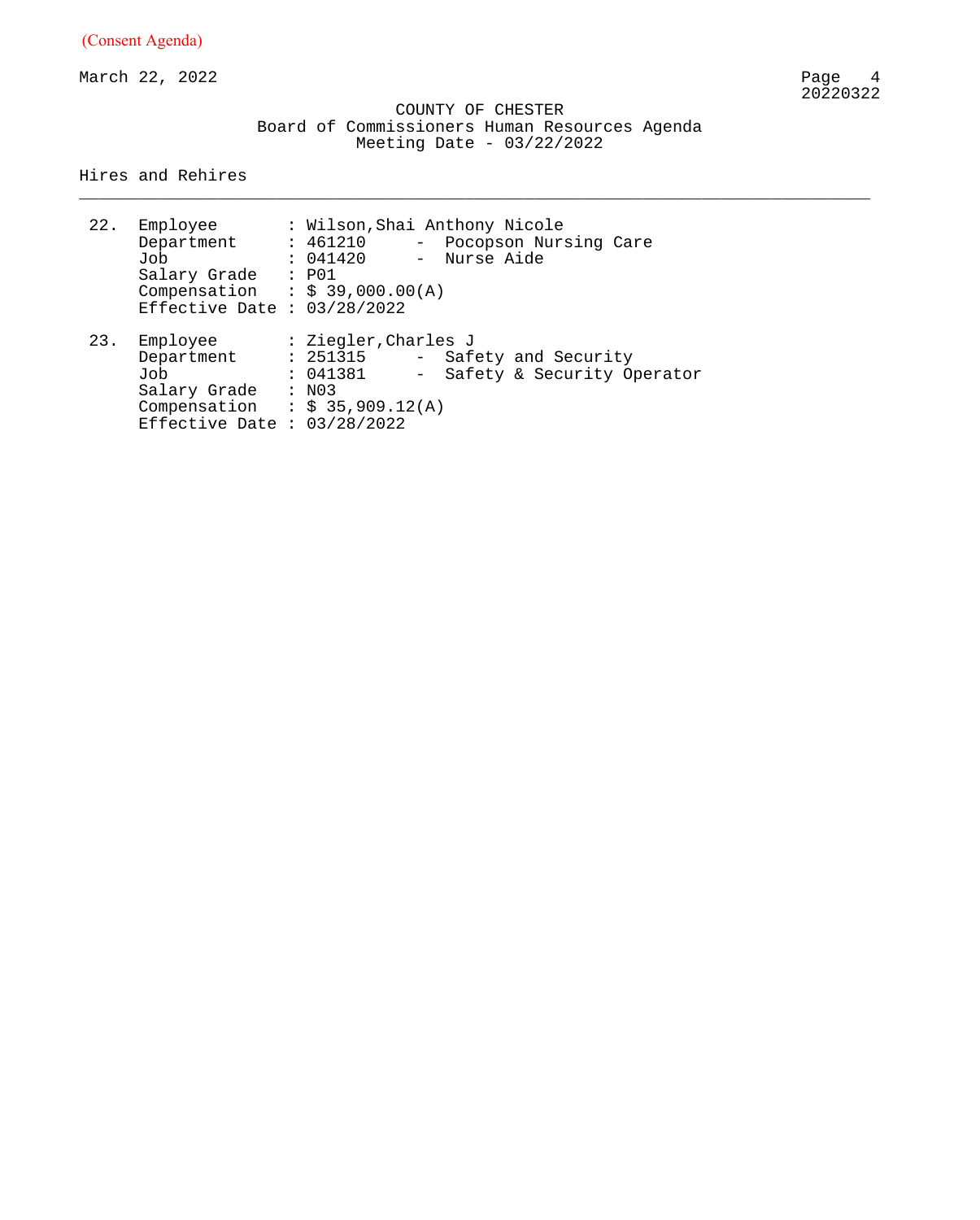March 22, 2022

 COUNTY OF CHESTER Board of Commissioners Human Resources Agenda Meeting Date - 03/22/2022

\_\_\_\_\_\_\_\_\_\_\_\_\_\_\_\_\_\_\_\_\_\_\_\_\_\_\_\_\_\_\_\_\_\_\_\_\_\_\_\_\_\_\_\_\_\_\_\_\_\_\_\_\_\_\_\_\_\_\_\_\_\_\_\_\_\_\_\_\_\_\_\_\_\_\_\_\_\_\_\_

Hires and Rehires

| 22. | Employee<br>Department<br>Job<br>Salary Grade<br>Compensation<br>Effective Date : $03/28/2022$ | : Wilson, Shai Anthony Nicole<br>: 461210<br>Pocopson Nursing Care<br>: 041420<br>- Nurse Aide<br>: P01<br>: \$39,000.00(A)             |
|-----|------------------------------------------------------------------------------------------------|-----------------------------------------------------------------------------------------------------------------------------------------|
| 23. | Employee<br>Department<br>Job<br>Salary Grade<br>Compensation<br>Effective Date : $03/28/2022$ | : Ziegler, Charles J<br>: 251315<br>- Safety and Security<br>Safety & Security Operator<br>: 041381<br>$-$<br>: N03<br>: \$35,909.12(A) |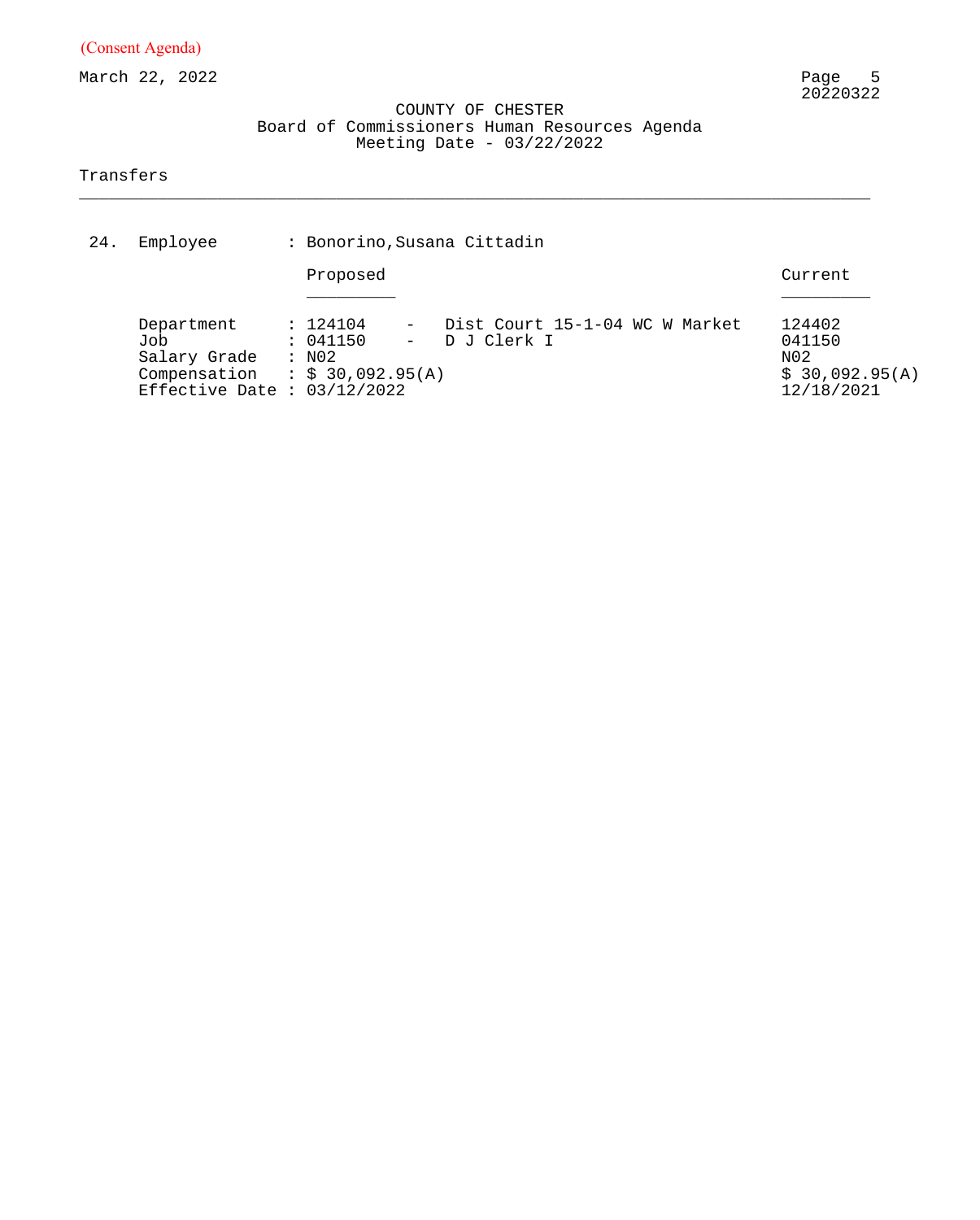March 22, 2022

#### COUNTY OF CHESTER Board of Commissioners Human Resources Agenda Meeting Date - 03/22/2022

\_\_\_\_\_\_\_\_\_\_\_\_\_\_\_\_\_\_\_\_\_\_\_\_\_\_\_\_\_\_\_\_\_\_\_\_\_\_\_\_\_\_\_\_\_\_\_\_\_\_\_\_\_\_\_\_\_\_\_\_\_\_\_\_\_\_\_\_\_\_\_\_\_\_\_\_\_\_\_\_

#### Transfers

| 24. | Employee                                                                                                   |                      | : Bonorino, Susana Cittadin |  |                                                |                                                         |  |  |  |
|-----|------------------------------------------------------------------------------------------------------------|----------------------|-----------------------------|--|------------------------------------------------|---------------------------------------------------------|--|--|--|
|     |                                                                                                            |                      | Proposed                    |  |                                                | Current                                                 |  |  |  |
|     | Department<br>Job<br>Salary Grade : N02<br>Compensation : $$30,092.95(A)$<br>Effective Date : $03/12/2022$ | : 124104<br>: 041150 |                             |  | Dist Court 15-1-04 WC W Market<br>- DJ Clerk I | 124402<br>041150<br>N02<br>\$30,092.95(A)<br>12/18/2021 |  |  |  |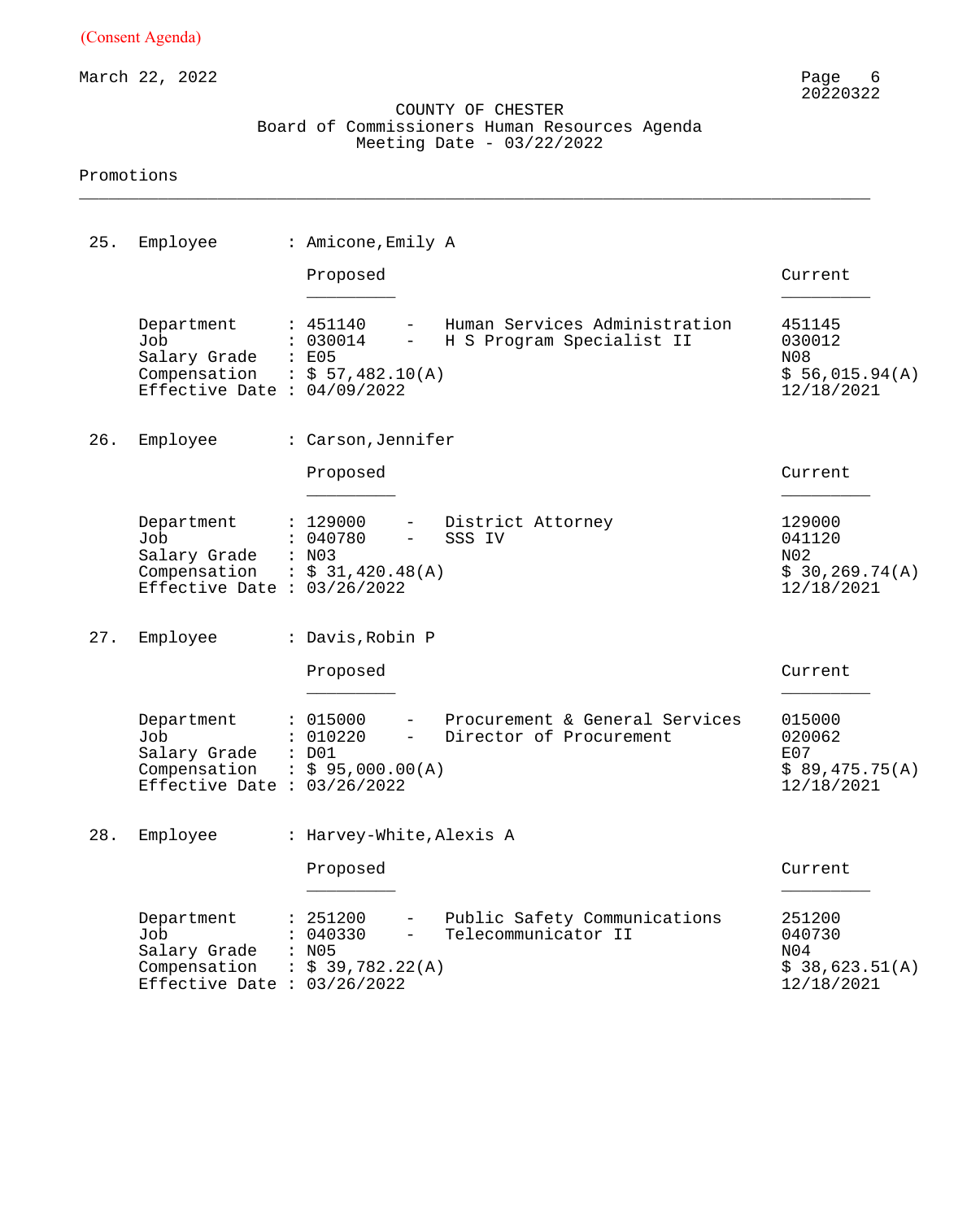March 22, 2022

#### COUNTY OF CHESTER Board of Commissioners Human Resources Agenda Meeting Date - 03/22/2022

\_\_\_\_\_\_\_\_\_\_\_\_\_\_\_\_\_\_\_\_\_\_\_\_\_\_\_\_\_\_\_\_\_\_\_\_\_\_\_\_\_\_\_\_\_\_\_\_\_\_\_\_\_\_\_\_\_\_\_\_\_\_\_\_\_\_\_\_\_\_\_\_\_\_\_\_\_\_\_\_

| 25. | Employee                                                                           | : Amicone, Emily A                                                                                                                 |                                                          |
|-----|------------------------------------------------------------------------------------|------------------------------------------------------------------------------------------------------------------------------------|----------------------------------------------------------|
|     |                                                                                    | Proposed                                                                                                                           | Current                                                  |
|     | Department<br>Job<br>Salary Grade<br>Compensation<br>Effective Date : $04/09/2022$ | Human Services Administration<br>: 451140<br>: 030014<br>H S Program Specialist II<br>$-$<br>: E05<br>$\therefore$ \$ 57,482.10(A) | 451145<br>030012<br>N08<br>\$56,015.94(A)<br>12/18/2021  |
| 26. | Employee                                                                           | : Carson, Jennifer                                                                                                                 |                                                          |
|     |                                                                                    | Proposed                                                                                                                           | Current                                                  |
|     | Department<br>Job<br>Salary Grade<br>Compensation<br>Effective Date : $03/26/2022$ | District Attorney<br>: 129000<br>$ -$<br>: 040780<br>SSS IV<br>$\qquad \qquad -$<br>: N03<br>$\therefore$ \$ 31,420.48(A)          | 129000<br>041120<br>N02<br>\$30, 269.74(A)<br>12/18/2021 |
| 27. | Employee                                                                           | : Davis, Robin P                                                                                                                   |                                                          |
|     |                                                                                    | Proposed                                                                                                                           | Current                                                  |
|     | Department<br>Job<br>Salary Grade<br>Compensation<br>Effective Date : $03/26/2022$ | Procurement & General Services<br>: 015000<br>: 010220<br>Director of Procurement<br>$ \,$<br>$:$ DO1<br>$\div$ \$ 95,000.00(A)    | 015000<br>020062<br>E07<br>\$89,475.75(A)<br>12/18/2021  |
|     | 28. Employee                                                                       | : Harvey-White, Alexis A                                                                                                           |                                                          |
|     |                                                                                    | Proposed                                                                                                                           | Current                                                  |
|     | Department<br>Job<br>Salary Grade<br>Compensation<br>Effective Date : $03/26/2022$ | : 251200<br>Public Safety Communications<br>Telecommunicator II<br>040330<br>: N05<br>: \$39,782.22(A)                             | 251200<br>040730<br>N04<br>\$38,623.51(A)<br>12/18/2021  |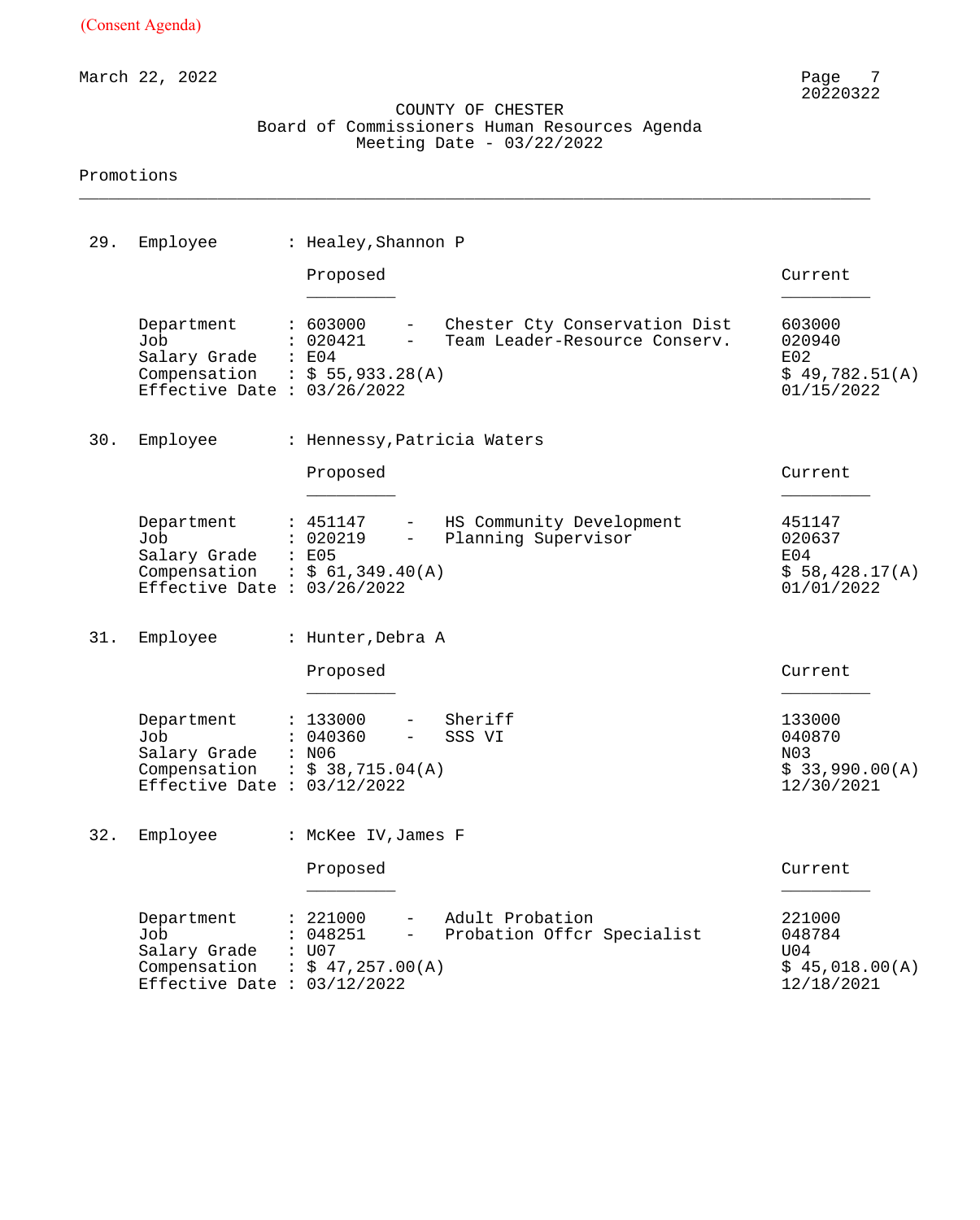March 22, 2022

#### COUNTY OF CHESTER Board of Commissioners Human Resources Agenda Meeting Date - 03/22/2022

\_\_\_\_\_\_\_\_\_\_\_\_\_\_\_\_\_\_\_\_\_\_\_\_\_\_\_\_\_\_\_\_\_\_\_\_\_\_\_\_\_\_\_\_\_\_\_\_\_\_\_\_\_\_\_\_\_\_\_\_\_\_\_\_\_\_\_\_\_\_\_\_\_\_\_\_\_\_\_\_

| 29. | Employee                                                                                                    | : Healey, Shannon P                                                                 |                                                                  |                                                         |
|-----|-------------------------------------------------------------------------------------------------------------|-------------------------------------------------------------------------------------|------------------------------------------------------------------|---------------------------------------------------------|
|     |                                                                                                             | Proposed                                                                            |                                                                  | Current                                                 |
|     | Department<br>Job<br>Salary Grade<br>Compensation : $$55,933.28(A)$<br>Effective Date : $03/26/2022$        | : 603000<br>: 020421<br>$\sim$ 100 $\pm$<br>$\therefore$ E04                        | - Chester Cty Conservation Dist<br>Team Leader-Resource Conserv. | 603000<br>020940<br>E02<br>\$49,782.51(A)<br>01/15/2022 |
| 30. | Employee                                                                                                    | : Hennessy, Patricia Waters                                                         |                                                                  |                                                         |
|     |                                                                                                             | Proposed                                                                            |                                                                  | Current                                                 |
|     | Department<br>Job<br>Salary Grade : E05<br>Compensation : $$ 61,349.40(A)$<br>Effective Date : $03/26/2022$ | : 451147<br>$\sim$<br>: 020219<br>$\frac{1}{2}$                                     | HS Community Development<br>Planning Supervisor                  | 451147<br>020637<br>E04<br>\$58,428.17(A)<br>01/01/2022 |
| 31. | Employee                                                                                                    | : Hunter, Debra A                                                                   |                                                                  |                                                         |
|     |                                                                                                             | Proposed                                                                            |                                                                  | Current                                                 |
|     | Department<br>Job<br>Salary Grade : N06<br>Compensation : $$38,715.04(A)$<br>Effective Date : $03/12/2022$  | : 133000<br>: 040360<br>$-$                                                         | Sheriff<br>SSS VI                                                | 133000<br>040870<br>N03<br>\$33,990.00(A)<br>12/30/2021 |
|     | 32. Employee                                                                                                | : McKee IV, James F                                                                 |                                                                  |                                                         |
|     |                                                                                                             | Proposed                                                                            |                                                                  | Current                                                 |
|     | Department<br>Job<br>Salary Grade<br>Compensation<br>Effective Date : $03/12/2022$                          | : 221000<br>: 048251<br>$\overline{\phantom{0}}$<br>: U07<br>$\div$ \$ 47,257.00(A) | Adult Probation<br>Probation Offer Specialist                    | 221000<br>048784<br>U04<br>\$45,018.00(A)<br>12/18/2021 |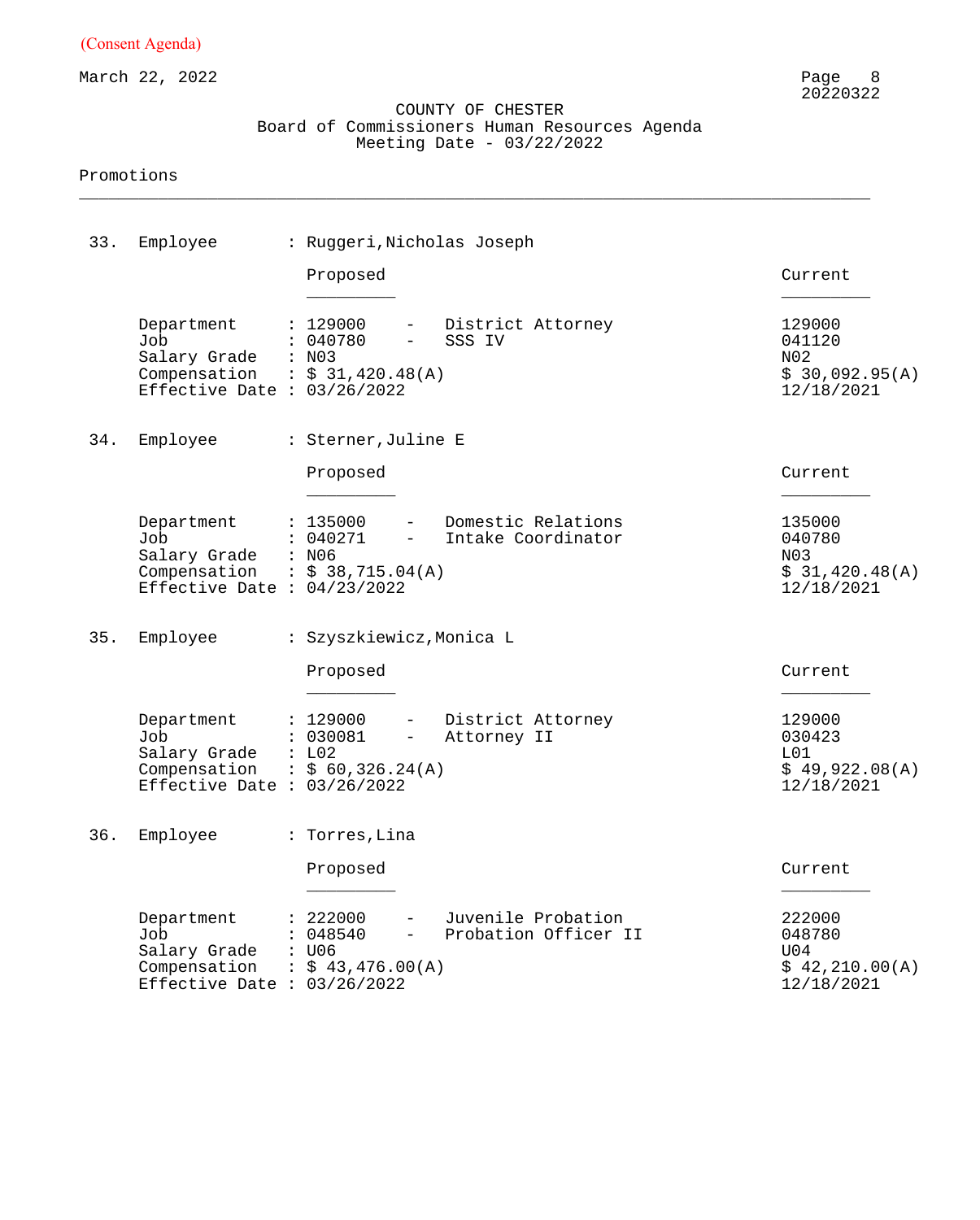March 22, 2022

#### COUNTY OF CHESTER Board of Commissioners Human Resources Agenda Meeting Date - 03/22/2022

\_\_\_\_\_\_\_\_\_\_\_\_\_\_\_\_\_\_\_\_\_\_\_\_\_\_\_\_\_\_\_\_\_\_\_\_\_\_\_\_\_\_\_\_\_\_\_\_\_\_\_\_\_\_\_\_\_\_\_\_\_\_\_\_\_\_\_\_\_\_\_\_\_\_\_\_\_\_\_\_

| 33. | Employee                                                                                             | : Ruggeri, Nicholas Joseph                                                                                              |                                                         |
|-----|------------------------------------------------------------------------------------------------------|-------------------------------------------------------------------------------------------------------------------------|---------------------------------------------------------|
|     |                                                                                                      | Proposed                                                                                                                | Current                                                 |
|     | Department<br>Job<br>Salary Grade<br>Compensation : $$31,420.48(A)$<br>Effective Date : $03/26/2022$ | : 129000<br>District Attorney<br>$\sim$ $\sim$<br>: 040780<br>SSS IV<br>$\overline{\phantom{0}}$<br>: N03               | 129000<br>041120<br>N02<br>\$30,092.95(A)<br>12/18/2021 |
| 34. | Employee                                                                                             | : Sterner, Juline E                                                                                                     |                                                         |
|     |                                                                                                      | Proposed                                                                                                                | Current                                                 |
|     | Department<br>Job<br>Salary Grade<br>Compensation<br>Effective Date : $04/23/2022$                   | Domestic Relations<br>: 135000<br>$-$<br>: 040271<br>Intake Coordinator<br>$-$<br>: N06<br>$\therefore$ \$ 38,715.04(A) | 135000<br>040780<br>N03<br>\$31,420.48(A)<br>12/18/2021 |
| 35. | Employee                                                                                             | : Szyszkiewicz, Monica L                                                                                                |                                                         |
|     |                                                                                                      | Proposed                                                                                                                | Current                                                 |
|     | Department<br>Job<br>Salary Grade<br>Compensation<br>Effective Date : $03/26/2022$                   | District Attorney<br>: 129000<br>$ \,$<br>: 030081<br>Attorney II<br>$-$<br>: L02<br>$\frac{1}{5}$ 60,326.24(A)         | 129000<br>030423<br>L01<br>\$49,922.08(A)<br>12/18/2021 |
|     | 36. Employee                                                                                         | : Torres, Lina                                                                                                          |                                                         |
|     |                                                                                                      | Proposed                                                                                                                | Current                                                 |
|     | Department<br>Job<br>Salary Grade<br>Compensation<br>Effective Date : $03/26/2022$                   | : 222000<br>Juvenile Probation<br>Probation Officer II<br>048540<br>: U06<br>$\frac{1}{2}$ \$ 43,476.00(A)              | 222000<br>048780<br>U04<br>\$42,210.00(A)<br>12/18/2021 |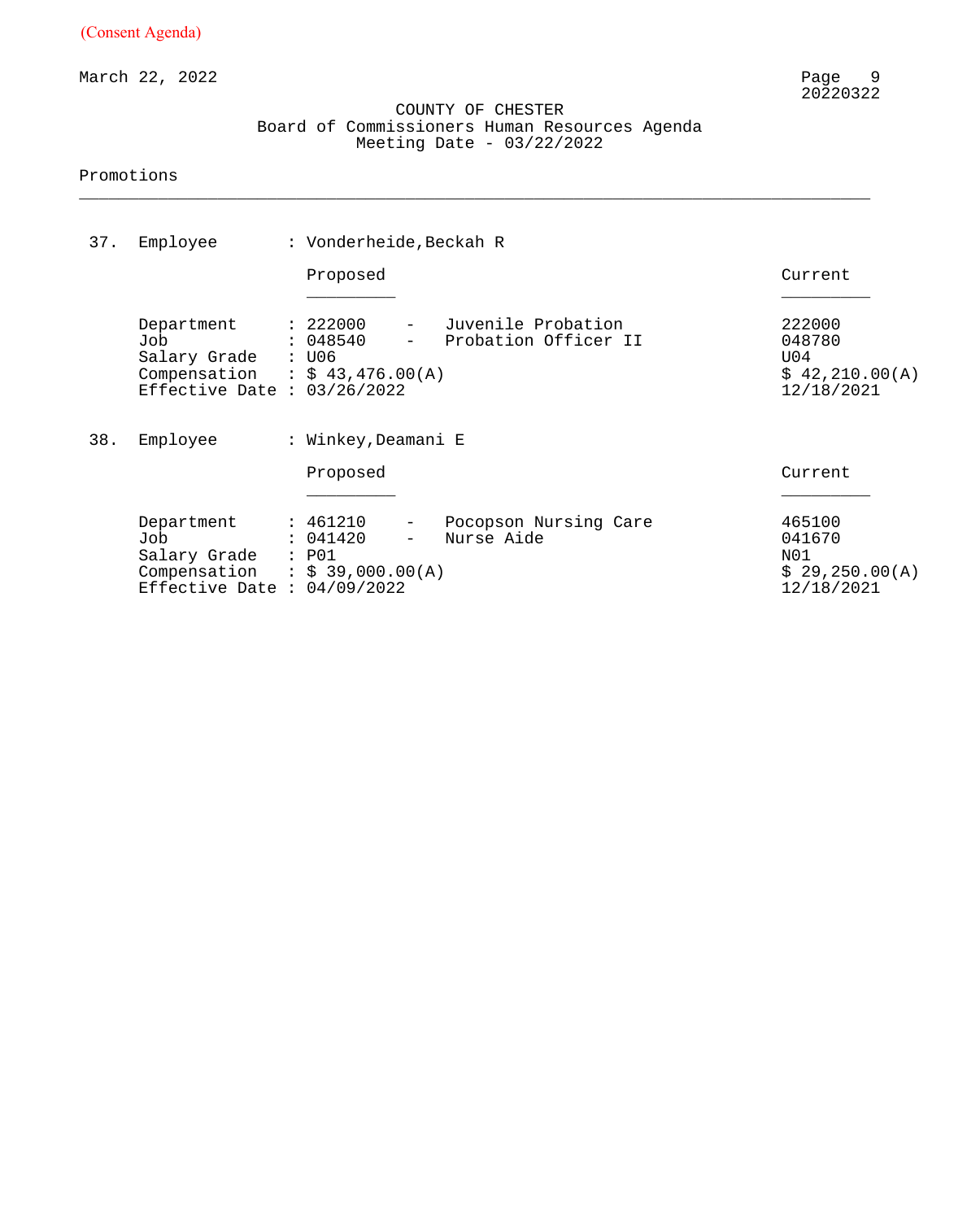March 22, 2022

#### COUNTY OF CHESTER Board of Commissioners Human Resources Agenda Meeting Date - 03/22/2022

\_\_\_\_\_\_\_\_\_\_\_\_\_\_\_\_\_\_\_\_\_\_\_\_\_\_\_\_\_\_\_\_\_\_\_\_\_\_\_\_\_\_\_\_\_\_\_\_\_\_\_\_\_\_\_\_\_\_\_\_\_\_\_\_\_\_\_\_\_\_\_\_\_\_\_\_\_\_\_\_

| 37. | Employee                                                                                             | : Vonderheide, Beckah R                                                                   |                                            |                                                         |  |  |  |  |
|-----|------------------------------------------------------------------------------------------------------|-------------------------------------------------------------------------------------------|--------------------------------------------|---------------------------------------------------------|--|--|--|--|
|     |                                                                                                      | Proposed                                                                                  |                                            | Current                                                 |  |  |  |  |
|     | Department<br>Job<br>Salary Grade<br>Compensation : $$43,476.00(A)$<br>Effective Date : $03/26/2022$ | : 222000<br>$  \,$<br>: 048540<br>: U06                                                   | Juvenile Probation<br>Probation Officer II | 222000<br>048780<br>U04<br>\$42,210.00(A)<br>12/18/2021 |  |  |  |  |
| 38. | Employee                                                                                             | : Winkey, Deamani E                                                                       |                                            |                                                         |  |  |  |  |
|     |                                                                                                      | Proposed                                                                                  |                                            |                                                         |  |  |  |  |
|     | Department<br>Job<br>Salary Grade<br>Compensation<br>Effective Date : $04/09/2022$                   | : 461210<br>$\overline{\phantom{m}}$<br>: 041420<br>: P01<br>$\therefore$ \$ 39,000.00(A) | Pocopson Nursing Care<br>Nurse Aide        | 465100<br>041670<br>N01<br>\$29,250.00(A)<br>12/18/2021 |  |  |  |  |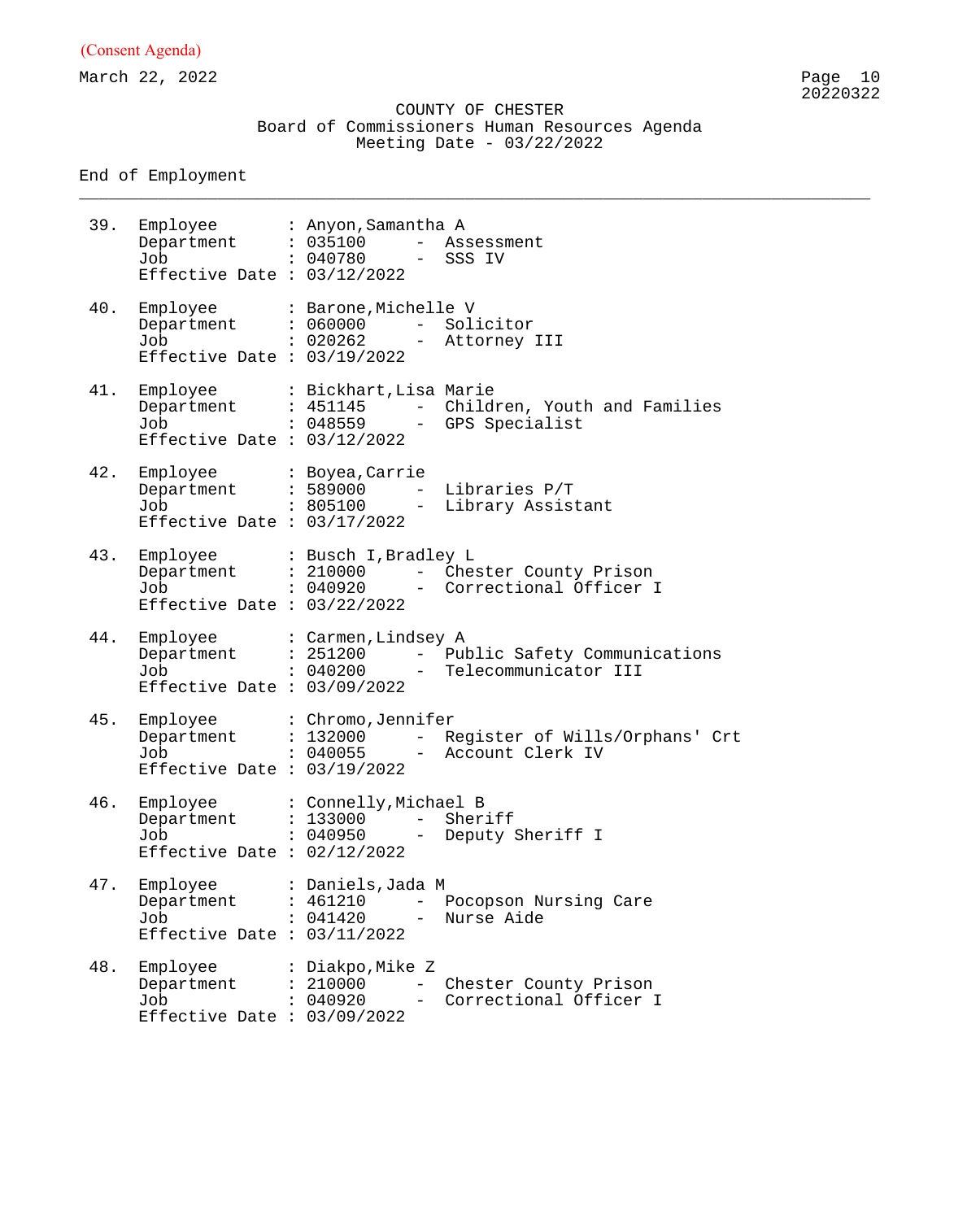March 22, 2022 Page 10

#### COUNTY OF CHESTER Board of Commissioners Human Resources Agenda Meeting Date - 03/22/2022

\_\_\_\_\_\_\_\_\_\_\_\_\_\_\_\_\_\_\_\_\_\_\_\_\_\_\_\_\_\_\_\_\_\_\_\_\_\_\_\_\_\_\_\_\_\_\_\_\_\_\_\_\_\_\_\_\_\_\_\_\_\_\_\_\_\_\_\_\_\_\_\_\_\_\_\_\_\_\_\_

End of Employment

39. Employee : Anyon,Samantha A Department : 035100 - Assessment Job : 040780 - SSS IV Effective Date : 03/12/2022 40. Employee : Barone,Michelle V Department : 060000 - Solicitor Job : 020262 - Attorney III Effective Date : 03/19/2022 41. Employee : Bickhart,Lisa Marie Department : 451145 - Children, Youth and Families Job : 048559 - GPS Specialist Effective Date : 03/12/2022 42. Employee : Boyea,Carrie Department : 589000 - Libraries P/T Job : 805100 - Library Assistant Effective Date : 03/17/2022 43. Employee : Busch I,Bradley L Department : 210000 - Chester County Prison Job : 040920 - Correctional Officer I Effective Date : 03/22/2022 44. Employee : Carmen,Lindsey A Department : 251200 - Public Safety Communications Job : 040200 - Telecommunicator III Effective Date : 03/09/2022 45. Employee : Chromo,Jennifer Department : 132000 - Register of Wills/Orphans' Crt Job : 040055 - Account Clerk IV Effective Date : 03/19/2022 46. Employee : Connelly,Michael B Department : 133000 - Sheriff Job : 040950 - Deputy Sheriff I Effective Date : 02/12/2022 47. Employee : Daniels,Jada M Department : 461210 - Pocopson Nursing Care Job : 041420 - Nurse Aide Effective Date : 03/11/2022 48. Employee : Diakpo,Mike Z Department : 210000 - Chester County Prison Job : 040920 - Correctional Officer I Effective Date : 03/09/2022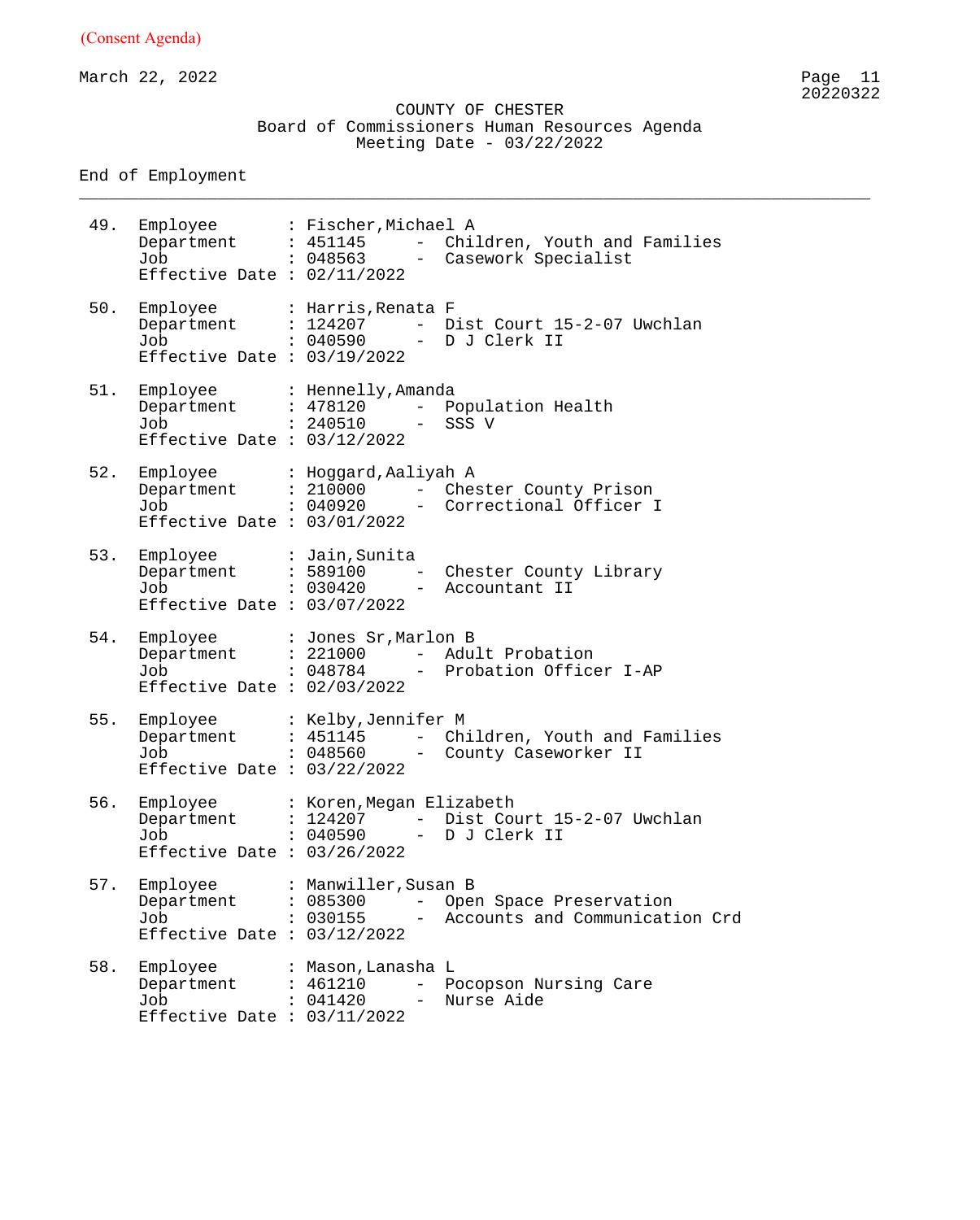March 22, 2022 Page 11

 COUNTY OF CHESTER Board of Commissioners Human Resources Agenda Meeting Date - 03/22/2022

\_\_\_\_\_\_\_\_\_\_\_\_\_\_\_\_\_\_\_\_\_\_\_\_\_\_\_\_\_\_\_\_\_\_\_\_\_\_\_\_\_\_\_\_\_\_\_\_\_\_\_\_\_\_\_\_\_\_\_\_\_\_\_\_\_\_\_\_\_\_\_\_\_\_\_\_\_\_\_\_

End of Employment

49. Employee : Fischer,Michael A Department : 451145 - Children, Youth and Families Job : 048563 - Casework Specialist Effective Date : 02/11/2022 50. Employee : Harris,Renata F Department : 124207 - Dist Court 15-2-07 Uwchlan Job : 040590 - D J Clerk II Effective Date : 03/19/2022 51. Employee : Hennelly,Amanda Department : 478120 - Population Health Job : 240510 - SSS V Effective Date : 03/12/2022 52. Employee : Hoggard,Aaliyah A Department : 210000 - Chester County Prison Job : 040920 - Correctional Officer I Effective Date : 03/01/2022 53. Employee : Jain,Sunita Department : 589100 - Chester County Library Job : 030420 - Accountant II Effective Date : 03/07/2022 54. Employee : Jones Sr,Marlon B Department : 221000 - Adult Probation Job : 048784 - Probation Officer I-AP Effective Date : 02/03/2022 55. Employee : Kelby,Jennifer M Department : 451145 - Children, Youth and Families Job : 048560 - County Caseworker II Effective Date : 03/22/2022 56. Employee : Koren, Megan Elizabeth Department : 124207 - Dist Court 15-2-07 Uwchlan Job : 040590 - D J Clerk II Effective Date : 03/26/2022 57. Employee : Manwiller,Susan B Department : 085300 - Open Space Preservation Job : 030155 - Accounts and Communication Crd Effective Date : 03/12/2022 58. Employee : Mason, Lanasha L Department : 461210 - Pocopson Nursing Care Job : 041420 - Nurse Aide Effective Date : 03/11/2022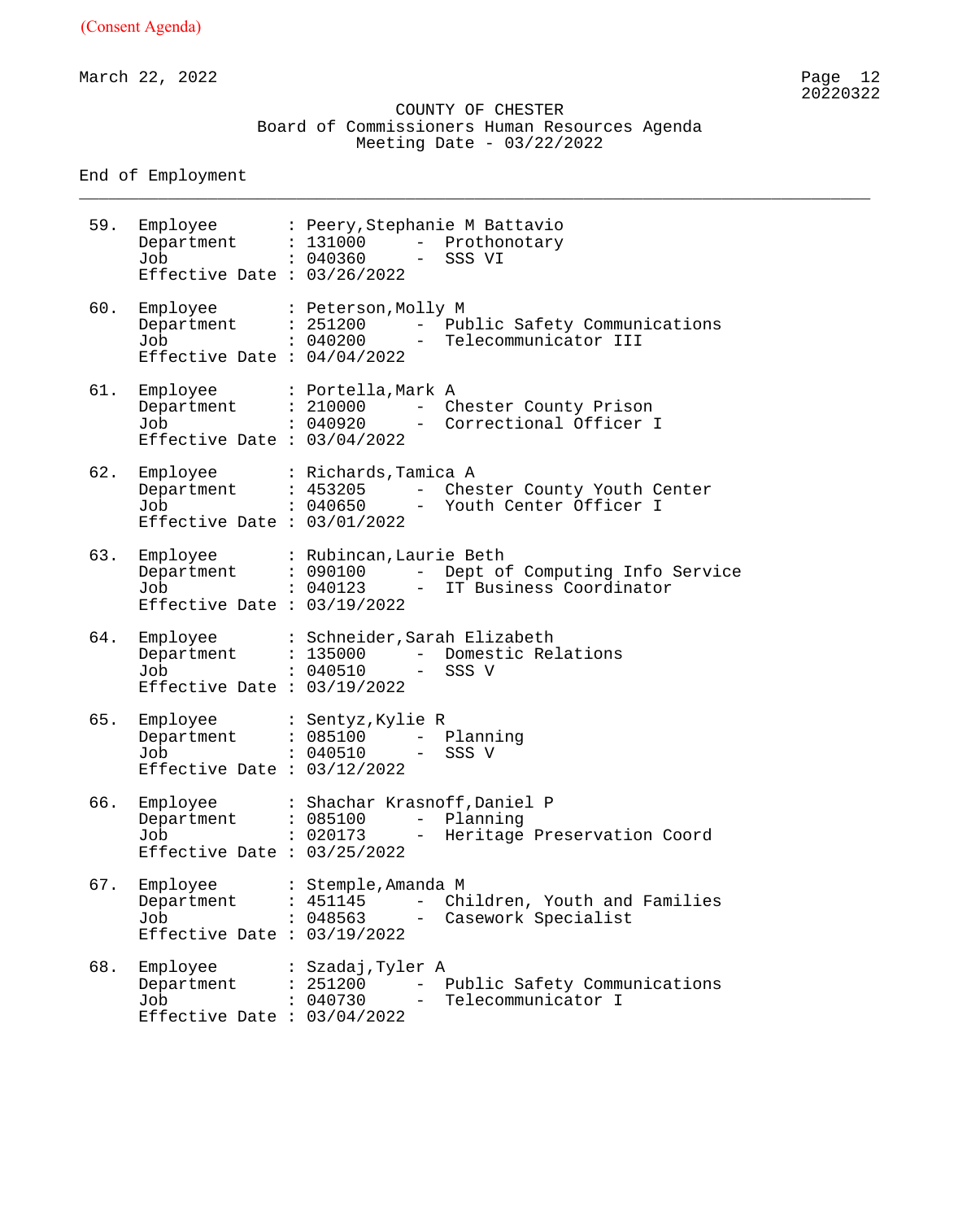March 22, 2022 Page 12

 COUNTY OF CHESTER Board of Commissioners Human Resources Agenda Meeting Date - 03/22/2022

\_\_\_\_\_\_\_\_\_\_\_\_\_\_\_\_\_\_\_\_\_\_\_\_\_\_\_\_\_\_\_\_\_\_\_\_\_\_\_\_\_\_\_\_\_\_\_\_\_\_\_\_\_\_\_\_\_\_\_\_\_\_\_\_\_\_\_\_\_\_\_\_\_\_\_\_\_\_\_\_

End of Employment

59. Employee : Peery,Stephanie M Battavio Department : 131000 - Prothonotary Job : 040360 - SSS VI Effective Date : 03/26/2022 60. Employee : Peterson,Molly M Department : 251200 - Public Safety Communications Job : 040200 - Telecommunicator III Effective Date : 04/04/2022 61. Employee : Portella,Mark A Department : 210000 - Chester County Prison Job : 040920 - Correctional Officer I Effective Date : 03/04/2022 62. Employee : Richards,Tamica A Department : 453205 - Chester County Youth Center Job : 040650 - Youth Center Officer I Effective Date : 03/01/2022 63. Employee : Rubincan,Laurie Beth Department : 090100 - Dept of Computing Info Service Job : 040123 - IT Business Coordinator Effective Date : 03/19/2022 64. Employee : Schneider,Sarah Elizabeth Department : 135000 - Domestic Relations Job : 040510 - SSS V Effective Date : 03/19/2022 65. Employee : Sentyz,Kylie R Department : 085100 - Planning Job : 040510 - SSS V Effective Date : 03/12/2022 66. Employee : Shachar Krasnoff,Daniel P Department : 085100 - Planning Job : 020173 - Heritage Preservation Coord Effective Date : 03/25/2022 67. Employee : Stemple,Amanda M Department : 451145 - Children, Youth and Families Job : 048563 - Casework Specialist Effective Date : 03/19/2022 68. Employee : Szadaj, Tyler A<br>Department : 251200 - E<br>CAA720 - CAA720 - T Department : 251200 - Public Safety Communications Job : 040730 - Telecommunicator I Effective Date : 03/04/2022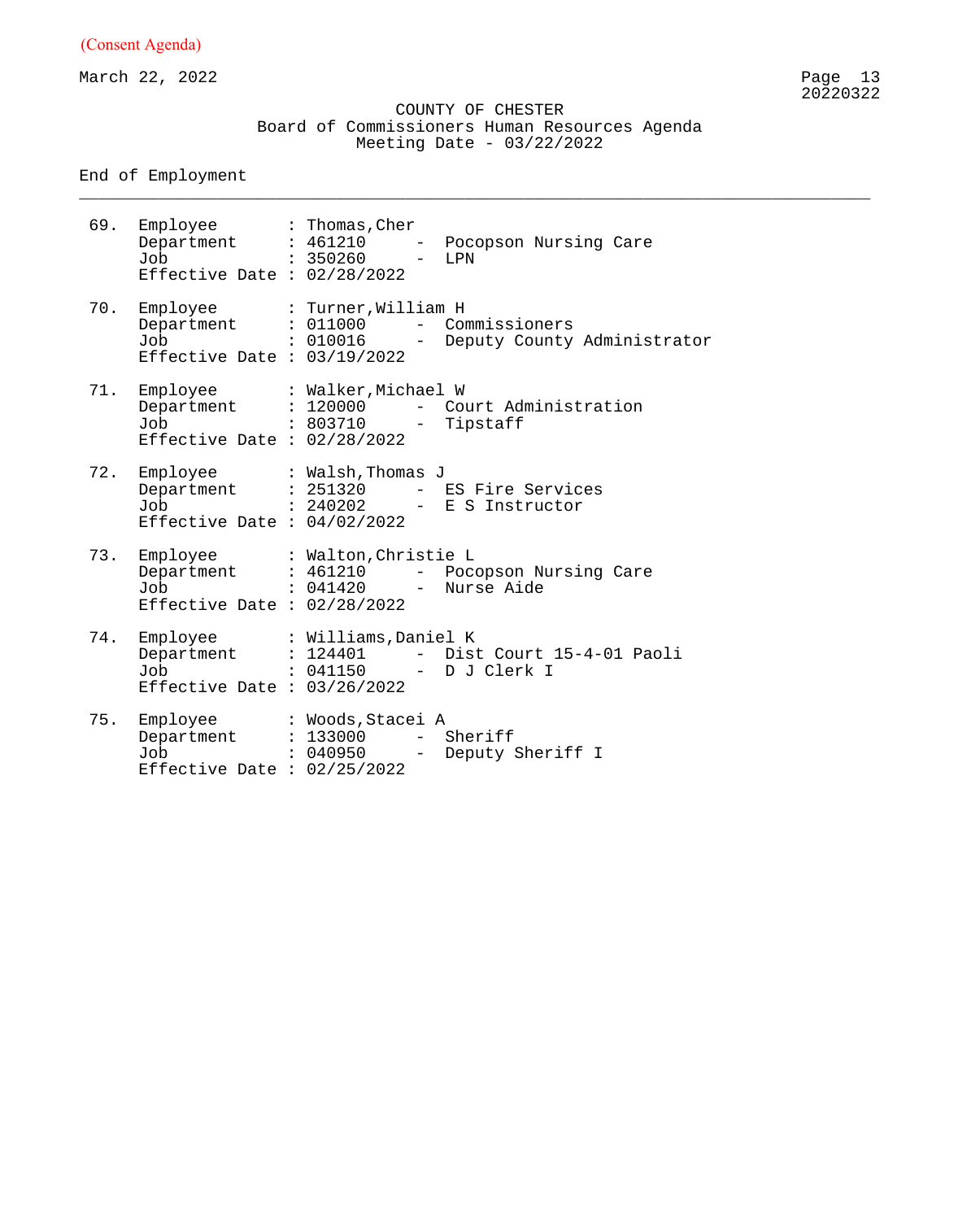March 22, 2022 Page 13

#### COUNTY OF CHESTER Board of Commissioners Human Resources Agenda Meeting Date - 03/22/2022

\_\_\_\_\_\_\_\_\_\_\_\_\_\_\_\_\_\_\_\_\_\_\_\_\_\_\_\_\_\_\_\_\_\_\_\_\_\_\_\_\_\_\_\_\_\_\_\_\_\_\_\_\_\_\_\_\_\_\_\_\_\_\_\_\_\_\_\_\_\_\_\_\_\_\_\_\_\_\_\_

End of Employment

69. Employee : Thomas,Cher Department : 461210 - Pocopson Nursing Care Job : 350260 - LPN Effective Date : 02/28/2022 70. Employee : Turner,William H Department : 011000 - Commissioners Job : 010016 - Deputy County Administrator Effective Date : 03/19/2022 71. Employee : Walker,Michael W Department : 120000 - Court Administration Job : 803710 - Tipstaff Effective Date : 02/28/2022 72. Employee : Walsh,Thomas J Department : 251320 - ES Fire Services Job : 240202 - E S Instructor Effective Date : 04/02/2022 73. Employee : Walton,Christie L Department : 461210 - Pocopson Nursing Care Job : 041420 - Nurse Aide Effective Date : 02/28/2022 74. Employee : Williams,Daniel K Department : 124401 - Dist Court 15-4-01 Paoli Job : 041150 - D J Clerk I Effective Date : 03/26/2022 75. Employee : Woods,Stacei A Department : 133000 - Sheriff Job : 040950 - Deputy Sheriff I Effective Date : 02/25/2022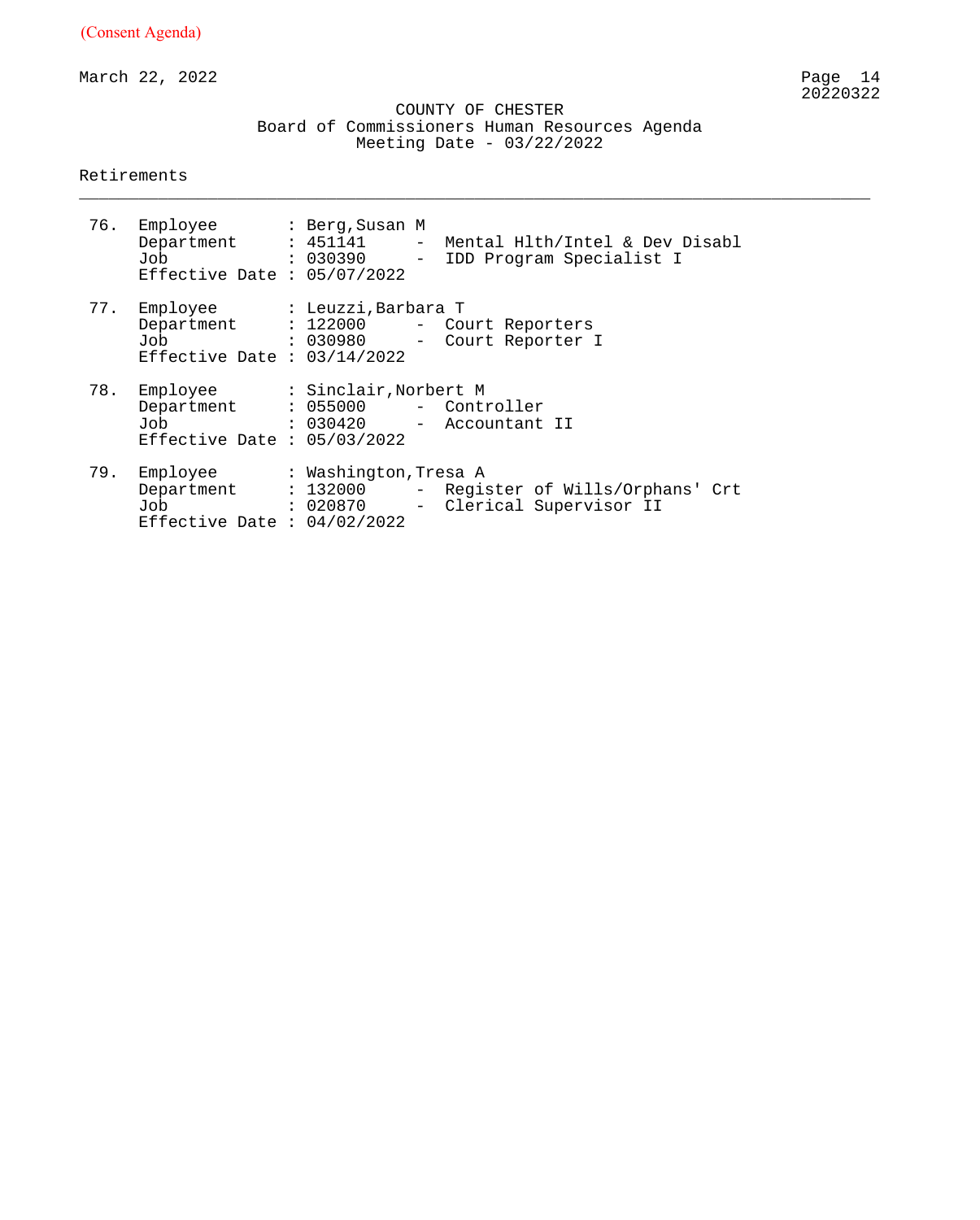March 22, 2022

 COUNTY OF CHESTER Board of Commissioners Human Resources Agenda Meeting Date - 03/22/2022

\_\_\_\_\_\_\_\_\_\_\_\_\_\_\_\_\_\_\_\_\_\_\_\_\_\_\_\_\_\_\_\_\_\_\_\_\_\_\_\_\_\_\_\_\_\_\_\_\_\_\_\_\_\_\_\_\_\_\_\_\_\_\_\_\_\_\_\_\_\_\_\_\_\_\_\_\_\_\_\_

#### Retirements

|     | 76. Employee : Berg, Susan M<br>Job<br>Effective Date : $05/07/2022$                                       |  | Department : 451141 - Mental Hlth/Intel & Dev Disabl<br>: 030390 - IDD Program Specialist I |
|-----|------------------------------------------------------------------------------------------------------------|--|---------------------------------------------------------------------------------------------|
|     | 77. Employee : Leuzzi, Barbara T<br>Job<br>Effective Date : $03/14/2022$                                   |  | Department : 122000 - Court Reporters<br>: 030980 - Court Reporter I                        |
| 78. | Employee : Sinclair, Norbert M<br>Department : 055000 - Controller<br>Job<br>Effective Date : $05/03/2022$ |  | : 030420 - Accountant II                                                                    |
| 79. | Employee : Washington, Tresa A<br>Department : 132000<br>Job<br>Effective Date : $04/02/2022$              |  | - Register of Wills/Orphans' Crt<br>: 020870 - Clerical Supervisor II                       |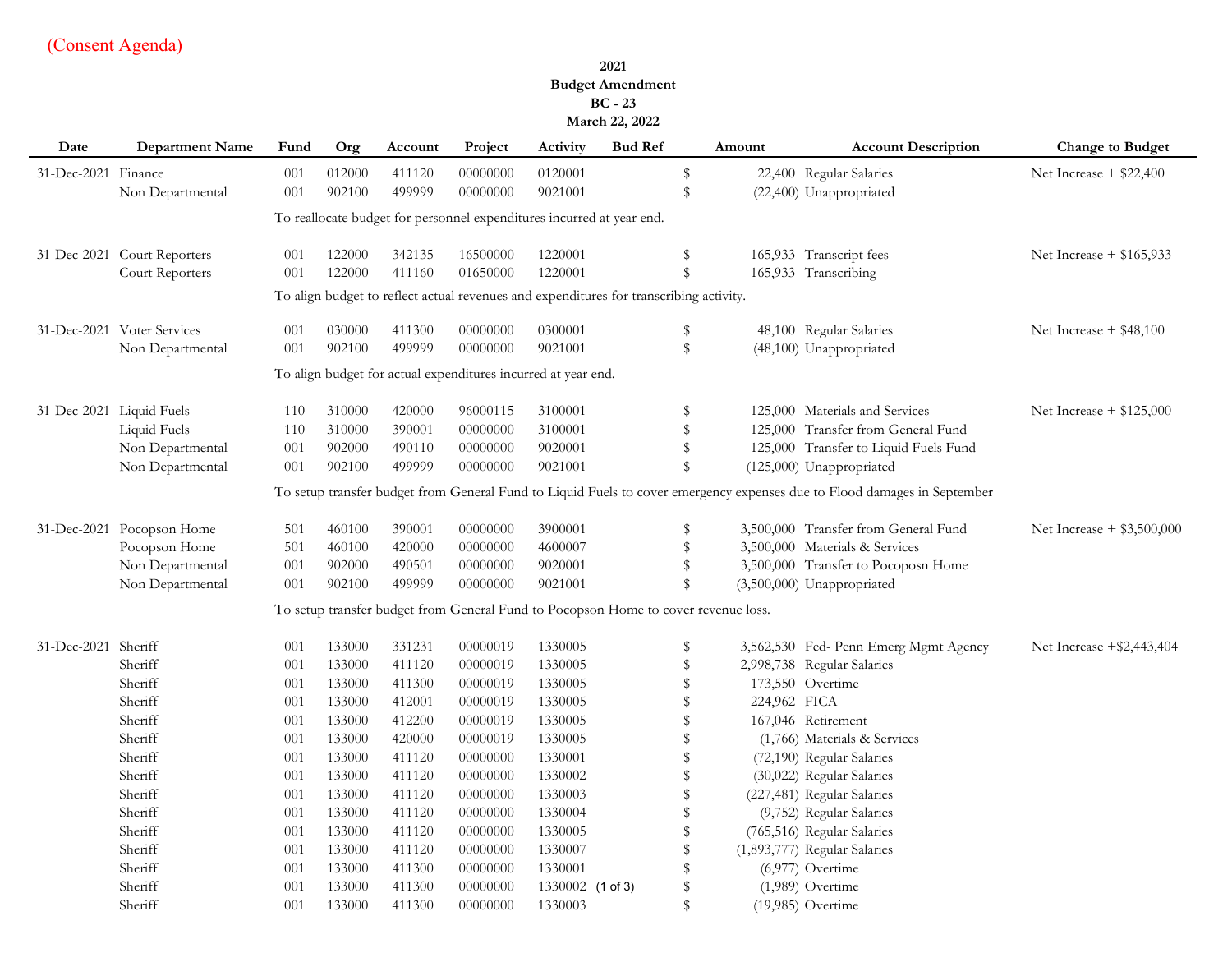#### **2021 Budget Amendment BC - 23 March 22, 2022**

| Date                | <b>Department Name</b>                                                | Fund       | Org              | Account          | Project              | Activity                                                                               | <b>Bud Ref</b> |                    | Amount       | <b>Account Description</b>                                                                                               | <b>Change to Budget</b>      |
|---------------------|-----------------------------------------------------------------------|------------|------------------|------------------|----------------------|----------------------------------------------------------------------------------------|----------------|--------------------|--------------|--------------------------------------------------------------------------------------------------------------------------|------------------------------|
| 31-Dec-2021 Finance |                                                                       | 001        | 012000           | 411120           | 00000000             | 0120001                                                                                |                | \$                 |              | 22,400 Regular Salaries                                                                                                  | Net Increase $+$ \$22,400    |
|                     | Non Departmental                                                      | 001        | 902100           | 499999           | 00000000             | 9021001                                                                                |                | ${\mathbb S}$      |              | (22,400) Unappropriated                                                                                                  |                              |
|                     | To reallocate budget for personnel expenditures incurred at year end. |            |                  |                  |                      |                                                                                        |                |                    |              |                                                                                                                          |                              |
|                     |                                                                       |            |                  |                  |                      |                                                                                        |                |                    |              |                                                                                                                          |                              |
|                     | 31-Dec-2021 Court Reporters<br>Court Reporters                        | 001<br>001 | 122000<br>122000 | 342135<br>411160 | 16500000<br>01650000 | 1220001<br>1220001                                                                     |                | \$<br>$\mathbb{S}$ |              | 165,933 Transcript fees<br>165,933 Transcribing                                                                          | Net Increase $+$ \$165,933   |
|                     |                                                                       |            |                  |                  |                      | To align budget to reflect actual revenues and expenditures for transcribing activity. |                |                    |              |                                                                                                                          |                              |
|                     |                                                                       |            |                  |                  |                      |                                                                                        |                |                    |              |                                                                                                                          |                              |
|                     | 31-Dec-2021 Voter Services                                            | 001        | 030000           | 411300           | 00000000             | 0300001                                                                                |                | \$                 |              | 48,100 Regular Salaries                                                                                                  | Net Increase $+$ \$48,100    |
|                     | Non Departmental                                                      | 001        | 902100           | 499999           | 00000000             | 9021001                                                                                |                | ${\mathbb S}$      |              | (48,100) Unappropriated                                                                                                  |                              |
|                     |                                                                       |            |                  |                  |                      | To align budget for actual expenditures incurred at year end.                          |                |                    |              |                                                                                                                          |                              |
|                     | 31-Dec-2021 Liquid Fuels                                              | 110        | 310000           | 420000           | 96000115             | 3100001                                                                                |                | \$                 |              | 125,000 Materials and Services                                                                                           | Net Increase $+$ \$125,000   |
|                     | Liquid Fuels                                                          | 110        | 310000           | 390001           | 00000000             | 3100001                                                                                |                | $\mathbb S$        |              | 125,000 Transfer from General Fund                                                                                       |                              |
|                     | Non Departmental                                                      | 001        | 902000           | 490110           | 00000000             | 9020001                                                                                |                | \$                 |              | 125,000 Transfer to Liquid Fuels Fund                                                                                    |                              |
|                     | Non Departmental                                                      | 001        | 902100           | 499999           | 00000000             | 9021001                                                                                |                | $\mathbb{S}$       |              | (125,000) Unappropriated                                                                                                 |                              |
|                     |                                                                       |            |                  |                  |                      |                                                                                        |                |                    |              | To setup transfer budget from General Fund to Liquid Fuels to cover emergency expenses due to Flood damages in September |                              |
|                     | 31-Dec-2021 Pocopson Home                                             | 501        | 460100           | 390001           | 00000000             | 3900001                                                                                |                | \$                 |              | 3,500,000 Transfer from General Fund                                                                                     | Net Increase $+$ \$3,500,000 |
|                     | Pocopson Home                                                         | 501        | 460100           | 420000           | 00000000             | 4600007                                                                                |                | \$                 |              | 3,500,000 Materials & Services                                                                                           |                              |
|                     | Non Departmental                                                      | 001        | 902000           | 490501           | 00000000             | 9020001                                                                                |                | \$                 |              | 3,500,000 Transfer to Pocoposn Home                                                                                      |                              |
|                     | Non Departmental                                                      | 001        | 902100           | 499999           | 00000000             | 9021001                                                                                |                | $\mathbb{S}$       |              | (3,500,000) Unappropriated                                                                                               |                              |
|                     |                                                                       |            |                  |                  |                      | To setup transfer budget from General Fund to Pocopson Home to cover revenue loss.     |                |                    |              |                                                                                                                          |                              |
| 31-Dec-2021 Sheriff |                                                                       | 001        | 133000           | 331231           | 00000019             | 1330005                                                                                |                | \$                 |              | 3,562,530 Fed- Penn Emerg Mgmt Agency                                                                                    | Net Increase +\$2,443,404    |
|                     | Sheriff                                                               | 001        | 133000           | 411120           | 00000019             | 1330005                                                                                |                | \$                 |              | 2,998,738 Regular Salaries                                                                                               |                              |
|                     | Sheriff                                                               | 001        | 133000           | 411300           | 00000019             | 1330005                                                                                |                | $\mathbb S$        |              | 173,550 Overtime                                                                                                         |                              |
|                     | Sheriff                                                               | 001        | 133000           | 412001           | 00000019             | 1330005                                                                                |                | $\mathbb S$        | 224,962 FICA |                                                                                                                          |                              |
|                     | Sheriff                                                               | 001        | 133000           | 412200           | 00000019             | 1330005                                                                                |                | \$                 |              | 167,046 Retirement                                                                                                       |                              |
|                     | Sheriff                                                               | 001        | 133000           | 420000           | 00000019             | 1330005                                                                                |                | \$                 |              | (1,766) Materials & Services                                                                                             |                              |
|                     | Sheriff                                                               | 001        | 133000           | 411120           | 00000000             | 1330001                                                                                |                | \$                 |              | (72,190) Regular Salaries                                                                                                |                              |
|                     | Sheriff                                                               | 001        | 133000           | 411120           | 00000000             | 1330002                                                                                |                | \$                 |              | (30,022) Regular Salaries                                                                                                |                              |
|                     | Sheriff                                                               | 001        | 133000           | 411120           | 00000000             | 1330003                                                                                |                | \$                 |              | (227,481) Regular Salaries                                                                                               |                              |
|                     | Sheriff                                                               | 001        | 133000           | 411120           | 00000000             | 1330004                                                                                |                | $\mathbb S$        |              | (9,752) Regular Salaries                                                                                                 |                              |
|                     | Sheriff                                                               | 001        | 133000           | 411120           | 00000000             | 1330005                                                                                |                | $\mathbb S$        |              | (765,516) Regular Salaries                                                                                               |                              |
|                     | Sheriff                                                               | 001        | 133000           | 411120           | 00000000             | 1330007                                                                                |                | \$                 |              | (1,893,777) Regular Salaries                                                                                             |                              |
|                     | Sheriff                                                               | 001        | 133000           | 411300           | 00000000             | 1330001                                                                                |                | \$                 |              | $(6,977)$ Overtime                                                                                                       |                              |
|                     | Sheriff                                                               | 001        | 133000           | 411300           | 00000000             | 1330002 (1 of 3)                                                                       |                | \$                 |              | $(1,989)$ Overtime                                                                                                       |                              |
|                     | Sheriff                                                               | 001        | 133000           | 411300           | 00000000             | 1330003                                                                                |                | $\mathbb{S}$       |              | (19,985) Overtime                                                                                                        |                              |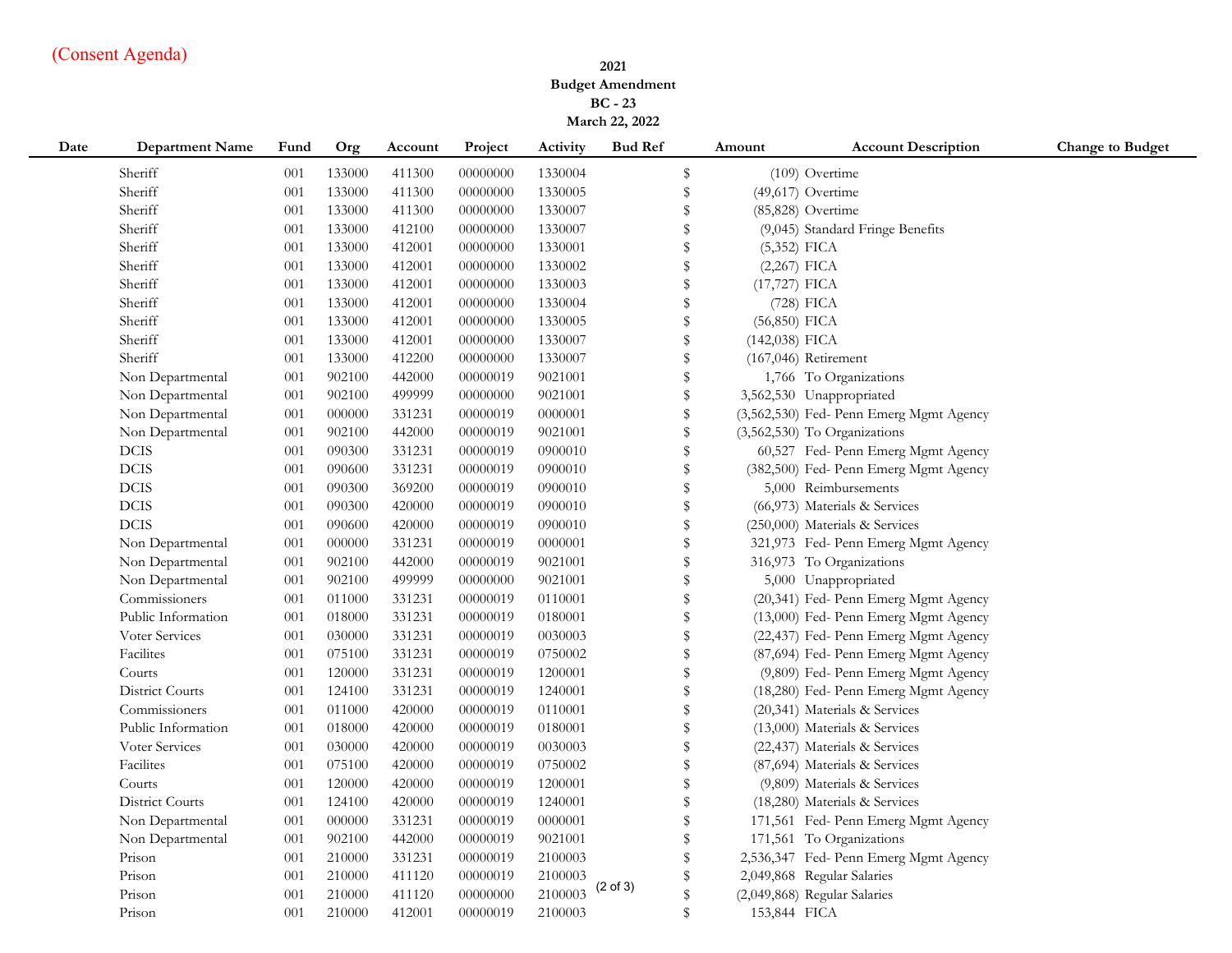#### **2021 Budget Amendment BC - 23 March 22, 2022**

| Date | <b>Department Name</b> | Fund | Org    | Account | Project  | Activity | <b>Bud Ref</b>      |               | Amount           | <b>Account Description</b>              | <b>Change to Budget</b> |
|------|------------------------|------|--------|---------|----------|----------|---------------------|---------------|------------------|-----------------------------------------|-------------------------|
|      | Sheriff                | 001  | 133000 | 411300  | 00000000 | 1330004  |                     | \$            |                  | (109) Overtime                          |                         |
|      | Sheriff                | 001  | 133000 | 411300  | 00000000 | 1330005  |                     | \$            |                  | $(49,617)$ Overtime                     |                         |
|      | Sheriff                | 001  | 133000 | 411300  | 00000000 | 1330007  |                     | \$            |                  | (85,828) Overtime                       |                         |
|      | Sheriff                | 001  | 133000 | 412100  | 00000000 | 1330007  |                     | \$            |                  | (9,045) Standard Fringe Benefits        |                         |
|      | Sheriff                | 001  | 133000 | 412001  | 00000000 | 1330001  |                     | \$            | $(5,352)$ FICA   |                                         |                         |
|      | Sheriff                | 001  | 133000 | 412001  | 00000000 | 1330002  |                     | \$            | $(2,267)$ FICA   |                                         |                         |
|      | Sheriff                | 001  | 133000 | 412001  | 00000000 | 1330003  |                     | \$            | (17,727) FICA    |                                         |                         |
|      | Sheriff                | 001  | 133000 | 412001  | 00000000 | 1330004  |                     | \$            |                  | $(728)$ FICA                            |                         |
|      | Sheriff                | 001  | 133000 | 412001  | 00000000 | 1330005  |                     | $\mathbf{\$}$ | $(56,850)$ FICA  |                                         |                         |
|      | Sheriff                | 001  | 133000 | 412001  | 00000000 | 1330007  |                     | \$            | $(142,038)$ FICA |                                         |                         |
|      | Sheriff                | 001  | 133000 | 412200  | 00000000 | 1330007  |                     | $\mathbb{S}$  |                  | $(167,046)$ Retirement                  |                         |
|      | Non Departmental       | 001  | 902100 | 442000  | 00000019 | 9021001  |                     | $\mathbb{S}$  |                  | 1,766 To Organizations                  |                         |
|      | Non Departmental       | 001  | 902100 | 499999  | 00000000 | 9021001  |                     | \$            |                  | 3,562,530 Unappropriated                |                         |
|      | Non Departmental       | 001  | 000000 | 331231  | 00000019 | 0000001  |                     | \$            |                  | (3,562,530) Fed- Penn Emerg Mgmt Agency |                         |
|      | Non Departmental       | 001  | 902100 | 442000  | 00000019 | 9021001  |                     | $\,$          |                  | (3,562,530) To Organizations            |                         |
|      | $_{\rm DCIS}$          | 001  | 090300 | 331231  | 00000019 | 0900010  |                     | \$            |                  | 60,527 Fed- Penn Emerg Mgmt Agency      |                         |
|      | <b>DCIS</b>            | 001  | 090600 | 331231  | 00000019 | 0900010  |                     | \$            |                  | (382,500) Fed- Penn Emerg Mgmt Agency   |                         |
|      | <b>DCIS</b>            | 001  | 090300 | 369200  | 00000019 | 0900010  |                     | \$            |                  | 5,000 Reimbursements                    |                         |
|      | <b>DCIS</b>            | 001  | 090300 | 420000  | 00000019 | 0900010  |                     | \$            |                  | (66,973) Materials & Services           |                         |
|      | <b>DCIS</b>            | 001  | 090600 | 420000  | 00000019 | 0900010  |                     | \$            |                  | (250,000) Materials & Services          |                         |
|      | Non Departmental       | 001  | 000000 | 331231  | 00000019 | 0000001  |                     | \$            |                  | 321,973 Fed- Penn Emerg Mgmt Agency     |                         |
|      | Non Departmental       | 001  | 902100 | 442000  | 00000019 | 9021001  |                     | \$            |                  | 316,973 To Organizations                |                         |
|      | Non Departmental       | 001  | 902100 | 499999  | 00000000 | 9021001  |                     | \$            |                  | 5,000 Unappropriated                    |                         |
|      | Commissioners          | 001  | 011000 | 331231  | 00000019 | 0110001  |                     | \$            |                  | (20,341) Fed- Penn Emerg Mgmt Agency    |                         |
|      | Public Information     | 001  | 018000 | 331231  | 00000019 | 0180001  |                     | \$            |                  | (13,000) Fed- Penn Emerg Mgmt Agency    |                         |
|      | Voter Services         | 001  | 030000 | 331231  | 00000019 | 0030003  |                     | \$            |                  | (22,437) Fed- Penn Emerg Mgmt Agency    |                         |
|      | Facilites              | 001  | 075100 | 331231  | 00000019 | 0750002  |                     | \$            |                  | (87,694) Fed- Penn Emerg Mgmt Agency    |                         |
|      | Courts                 | 001  | 120000 | 331231  | 00000019 | 1200001  |                     | \$            |                  | (9,809) Fed- Penn Emerg Mgmt Agency     |                         |
|      | District Courts        | 001  | 124100 | 331231  | 00000019 | 1240001  |                     | \$            |                  | (18,280) Fed- Penn Emerg Mgmt Agency    |                         |
|      | Commissioners          | 001  | 011000 | 420000  | 00000019 | 0110001  |                     | \$            |                  | (20,341) Materials & Services           |                         |
|      | Public Information     | 001  | 018000 | 420000  | 00000019 | 0180001  |                     | \$            |                  | (13,000) Materials & Services           |                         |
|      | Voter Services         | 001  | 030000 | 420000  | 00000019 | 0030003  |                     | $\,$          |                  | (22,437) Materials & Services           |                         |
|      | Facilites              | 001  | 075100 | 420000  | 00000019 | 0750002  |                     | \$            |                  | (87,694) Materials & Services           |                         |
|      | Courts                 | 001  | 120000 | 420000  | 00000019 | 1200001  |                     | $\mathbb{S}$  |                  | (9,809) Materials & Services            |                         |
|      | District Courts        | 001  | 124100 | 420000  | 00000019 | 1240001  |                     | \$            |                  | (18,280) Materials & Services           |                         |
|      | Non Departmental       | 001  | 000000 | 331231  | 00000019 | 0000001  |                     | \$            |                  | 171,561 Fed- Penn Emerg Mgmt Agency     |                         |
|      | Non Departmental       | 001  | 902100 | 442000  | 00000019 | 9021001  |                     | \$            |                  | 171,561 To Organizations                |                         |
|      | Prison                 | 001  | 210000 | 331231  | 00000019 | 2100003  |                     | $\mathbf{\$}$ |                  | 2,536,347 Fed- Penn Emerg Mgmt Agency   |                         |
|      | Prison                 | 001  | 210000 | 411120  | 00000019 | 2100003  |                     | \$            |                  | 2,049,868 Regular Salaries              |                         |
|      | Prison                 | 001  | 210000 | 411120  | 00000000 | 2100003  | $(2 \text{ of } 3)$ | $\mathbf{\$}$ |                  | (2,049,868) Regular Salaries            |                         |
|      | Prison                 | 001  | 210000 | 412001  | 00000019 | 2100003  |                     | $\mathbf{\$}$ | 153,844 FICA     |                                         |                         |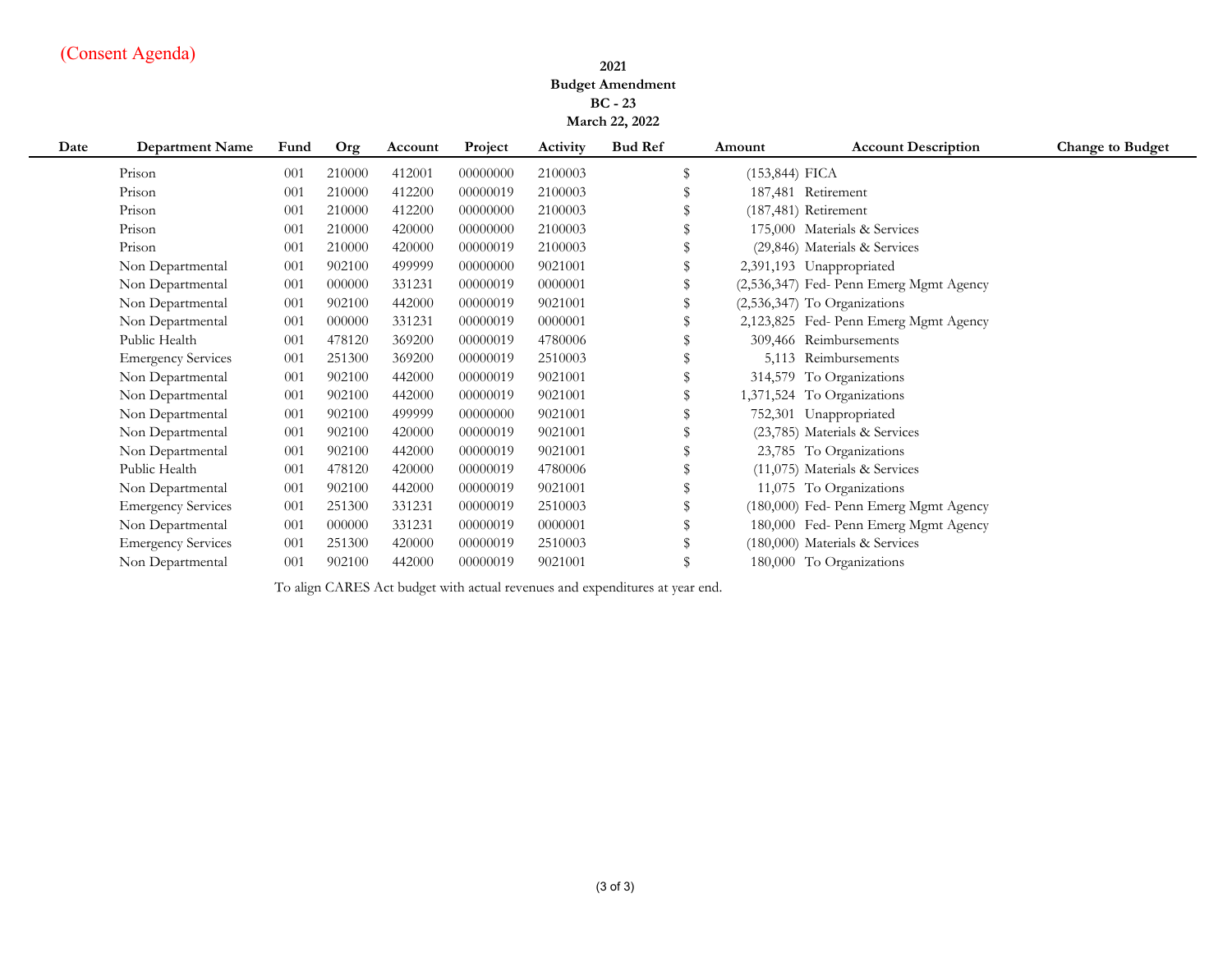#### **2021 Budget Amendment BC - 23 March 22, 2022**

| Date | <b>Department Name</b>    | Fund | Org    | Account | Project  | Activity | <b>Bud Ref</b> | Amount            | <b>Account Description</b>              | <b>Change to Budget</b> |
|------|---------------------------|------|--------|---------|----------|----------|----------------|-------------------|-----------------------------------------|-------------------------|
|      | Prison                    | 001  | 210000 | 412001  | 00000000 | 2100003  | \$             | $(153, 844)$ FICA |                                         |                         |
|      | Prison                    | 001  | 210000 | 412200  | 00000019 | 2100003  |                |                   | 187,481 Retirement                      |                         |
|      | Prison                    | 001  | 210000 | 412200  | 00000000 | 2100003  |                |                   | $(187, 481)$ Retirement                 |                         |
|      | Prison                    | 001  | 210000 | 420000  | 00000000 | 2100003  |                |                   | 175,000 Materials & Services            |                         |
|      | Prison                    | 001  | 210000 | 420000  | 00000019 | 2100003  |                |                   | (29,846) Materials & Services           |                         |
|      | Non Departmental          | 001  | 902100 | 499999  | 00000000 | 9021001  |                |                   | 2,391,193 Unappropriated                |                         |
|      | Non Departmental          | 001  | 000000 | 331231  | 00000019 | 0000001  |                |                   | (2,536,347) Fed- Penn Emerg Mgmt Agency |                         |
|      | Non Departmental          | 001  | 902100 | 442000  | 00000019 | 9021001  |                |                   | (2,536,347) To Organizations            |                         |
|      | Non Departmental          | 001  | 000000 | 331231  | 00000019 | 0000001  | \$             |                   | 2,123,825 Fed-Penn Emerg Mgmt Agency    |                         |
|      | Public Health             | 001  | 478120 | 369200  | 00000019 | 4780006  |                |                   | 309,466 Reimbursements                  |                         |
|      | <b>Emergency Services</b> | 001  | 251300 | 369200  | 00000019 | 2510003  |                |                   | 5,113 Reimbursements                    |                         |
|      | Non Departmental          | 001  | 902100 | 442000  | 00000019 | 9021001  |                |                   | 314,579 To Organizations                |                         |
|      | Non Departmental          | 001  | 902100 | 442000  | 00000019 | 9021001  |                |                   | 1,371,524 To Organizations              |                         |
|      | Non Departmental          | 001  | 902100 | 499999  | 00000000 | 9021001  |                |                   | 752,301 Unappropriated                  |                         |
|      | Non Departmental          | 001  | 902100 | 420000  | 00000019 | 9021001  |                |                   | (23,785) Materials & Services           |                         |
|      | Non Departmental          | 001  | 902100 | 442000  | 00000019 | 9021001  | \$             |                   | 23,785 To Organizations                 |                         |
|      | Public Health             | 001  | 478120 | 420000  | 00000019 | 4780006  | \$             |                   | (11,075) Materials & Services           |                         |
|      | Non Departmental          | 001  | 902100 | 442000  | 00000019 | 9021001  |                |                   | 11,075 To Organizations                 |                         |
|      | <b>Emergency Services</b> | 001  | 251300 | 331231  | 00000019 | 2510003  |                |                   | (180,000) Fed- Penn Emerg Mgmt Agency   |                         |
|      | Non Departmental          | 001  | 000000 | 331231  | 00000019 | 0000001  |                |                   | 180,000 Fed- Penn Emerg Mgmt Agency     |                         |
|      | <b>Emergency Services</b> | 001  | 251300 | 420000  | 00000019 | 2510003  |                |                   | (180,000) Materials & Services          |                         |
|      | Non Departmental          | 001  | 902100 | 442000  | 00000019 | 9021001  |                |                   | 180,000 To Organizations                |                         |

To align CARES Act budget with actual revenues and expenditures at year end.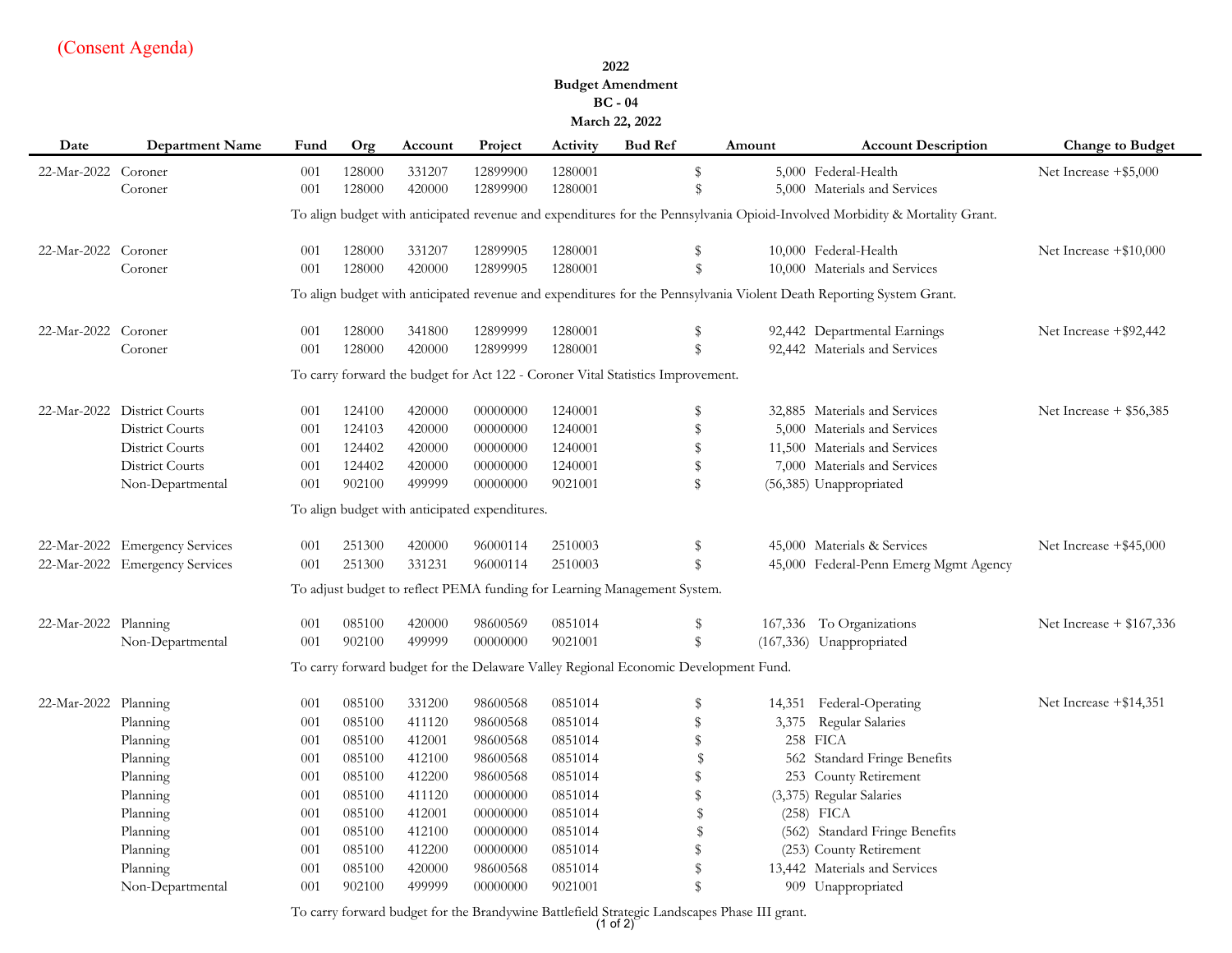**2022**

#### **Budget Amendment BC - 04**

#### **March 22, 2022**

| Date                 | <b>Department Name</b>         | Fund | Org    | Account | Project                                        | Activity | <b>Bud Ref</b>                                                                      | Amount | <b>Account Description</b>                                                                                                  | <b>Change to Budget</b>    |
|----------------------|--------------------------------|------|--------|---------|------------------------------------------------|----------|-------------------------------------------------------------------------------------|--------|-----------------------------------------------------------------------------------------------------------------------------|----------------------------|
| 22-Mar-2022 Coroner  |                                | 001  | 128000 | 331207  | 12899900                                       | 1280001  | \$                                                                                  |        | 5,000 Federal-Health                                                                                                        | Net Increase $+$ \$5,000   |
|                      | Coroner                        | 001  | 128000 | 420000  | 12899900                                       | 1280001  | \$                                                                                  |        | 5,000 Materials and Services                                                                                                |                            |
|                      |                                |      |        |         |                                                |          |                                                                                     |        | To align budget with anticipated revenue and expenditures for the Pennsylvania Opioid-Involved Morbidity & Mortality Grant. |                            |
| 22-Mar-2022 Coroner  |                                | 001  | 128000 | 331207  | 12899905                                       | 1280001  | \$                                                                                  |        | 10,000 Federal-Health                                                                                                       | Net Increase $+\$10,000$   |
|                      | Coroner                        | 001  | 128000 | 420000  | 12899905                                       | 1280001  | $\mathbf{\$}$                                                                       |        | 10,000 Materials and Services                                                                                               |                            |
|                      |                                |      |        |         |                                                |          |                                                                                     |        | To align budget with anticipated revenue and expenditures for the Pennsylvania Violent Death Reporting System Grant.        |                            |
| 22-Mar-2022 Coroner  |                                | 001  | 128000 | 341800  | 12899999                                       | 1280001  | \$                                                                                  |        | 92,442 Departmental Earnings                                                                                                | Net Increase $+$ \$92,442  |
|                      | Coroner                        | 001  | 128000 | 420000  | 12899999                                       | 1280001  | \$                                                                                  |        | 92,442 Materials and Services                                                                                               |                            |
|                      |                                |      |        |         |                                                |          | To carry forward the budget for Act 122 - Coroner Vital Statistics Improvement.     |        |                                                                                                                             |                            |
|                      | 22-Mar-2022 District Courts    | 001  | 124100 | 420000  | 00000000                                       | 1240001  | \$                                                                                  |        | 32,885 Materials and Services                                                                                               | Net Increase $+$ \$56,385  |
|                      | <b>District Courts</b>         | 001  | 124103 | 420000  | 00000000                                       | 1240001  | \$                                                                                  |        | 5,000 Materials and Services                                                                                                |                            |
|                      | District Courts                | 001  | 124402 | 420000  | 00000000                                       | 1240001  | \$                                                                                  |        | 11,500 Materials and Services                                                                                               |                            |
|                      | <b>District Courts</b>         | 001  | 124402 | 420000  | 00000000                                       | 1240001  | \$                                                                                  |        | 7,000 Materials and Services                                                                                                |                            |
|                      | Non-Departmental               | 001  | 902100 | 499999  | 00000000                                       | 9021001  | \$                                                                                  |        | (56,385) Unappropriated                                                                                                     |                            |
|                      |                                |      |        |         | To align budget with anticipated expenditures. |          |                                                                                     |        |                                                                                                                             |                            |
|                      | 22-Mar-2022 Emergency Services | 001  | 251300 | 420000  | 96000114                                       | 2510003  | \$                                                                                  |        | 45,000 Materials & Services                                                                                                 | Net Increase +\$45,000     |
|                      | 22-Mar-2022 Emergency Services | 001  | 251300 | 331231  | 96000114                                       | 2510003  | \$                                                                                  |        | 45,000 Federal-Penn Emerg Mgmt Agency                                                                                       |                            |
|                      |                                |      |        |         |                                                |          | To adjust budget to reflect PEMA funding for Learning Management System.            |        |                                                                                                                             |                            |
| 22-Mar-2022 Planning |                                | 001  | 085100 | 420000  | 98600569                                       | 0851014  | \$                                                                                  |        | 167,336 To Organizations                                                                                                    | Net Increase $+$ \$167,336 |
|                      | Non-Departmental               | 001  | 902100 | 499999  | 00000000                                       | 9021001  | \$                                                                                  |        | (167,336) Unappropriated                                                                                                    |                            |
|                      |                                |      |        |         |                                                |          | To carry forward budget for the Delaware Valley Regional Economic Development Fund. |        |                                                                                                                             |                            |
| 22-Mar-2022 Planning |                                | 001  | 085100 | 331200  | 98600568                                       | 0851014  | \$                                                                                  |        | 14,351 Federal-Operating                                                                                                    | Net Increase $+$ \$14,351  |
|                      | Planning                       | 001  | 085100 | 411120  | 98600568                                       | 0851014  | \$                                                                                  | 3,375  | Regular Salaries                                                                                                            |                            |
|                      | Planning                       | 001  | 085100 | 412001  | 98600568                                       | 0851014  | \$                                                                                  |        | 258 FICA                                                                                                                    |                            |
|                      | Planning                       | 001  | 085100 | 412100  | 98600568                                       | 0851014  | $\mathbf S$                                                                         |        | 562 Standard Fringe Benefits                                                                                                |                            |
|                      | Planning                       | 001  | 085100 | 412200  | 98600568                                       | 0851014  | \$                                                                                  |        | 253 County Retirement                                                                                                       |                            |
|                      | Planning                       | 001  | 085100 | 411120  | 00000000                                       | 0851014  | \$                                                                                  |        | (3,375) Regular Salaries                                                                                                    |                            |
|                      | Planning                       | 001  | 085100 | 412001  | 00000000                                       | 0851014  | \$                                                                                  |        | $(258)$ FICA                                                                                                                |                            |
|                      | Planning                       | 001  | 085100 | 412100  | 00000000                                       | 0851014  | \$                                                                                  |        | (562) Standard Fringe Benefits                                                                                              |                            |
|                      | Planning                       | 001  | 085100 | 412200  | 00000000                                       | 0851014  | \$                                                                                  |        | (253) County Retirement                                                                                                     |                            |
|                      | Planning                       | 001  | 085100 | 420000  | 98600568                                       | 0851014  | \$                                                                                  |        | 13,442 Materials and Services                                                                                               |                            |
|                      | Non-Departmental               | 001  | 902100 | 499999  | 00000000                                       | 9021001  | $\mathbf{\hat{S}}$                                                                  |        | 909 Unappropriated                                                                                                          |                            |

To carry forward budget for the Brandywine Battlefield Strategic Landscapes Phase III grant. (1 of 2)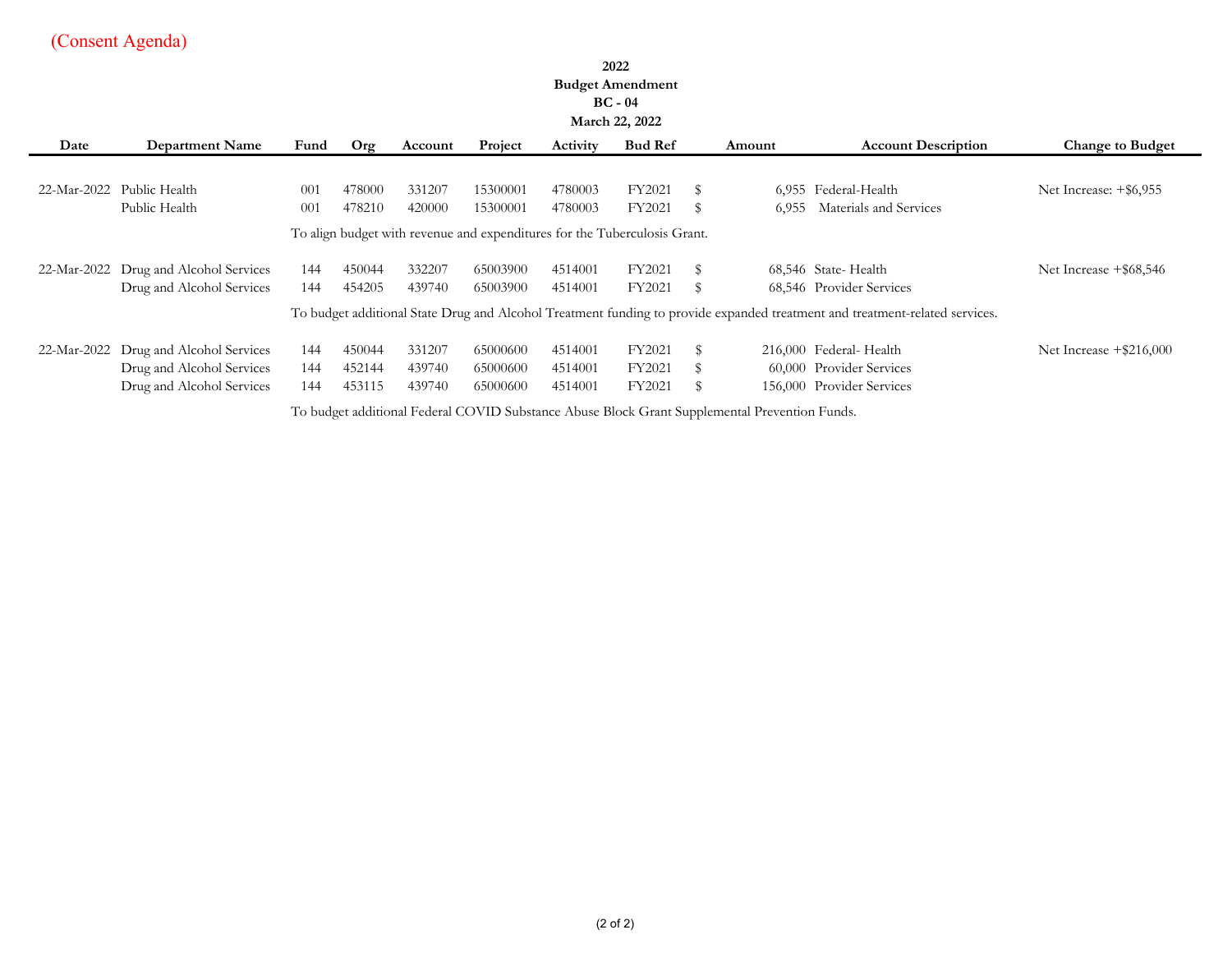# **2022**

# **Budget Amendment**

#### **BC - 04 March 22, 2022**

|             |                                                                           |      |        |                                              |          |                   | March 22, 2022 |    |        |                                                                                                                             |                           |
|-------------|---------------------------------------------------------------------------|------|--------|----------------------------------------------|----------|-------------------|----------------|----|--------|-----------------------------------------------------------------------------------------------------------------------------|---------------------------|
| Date        | <b>Department Name</b>                                                    | Fund | Or2    | Account                                      | Project  | Activity          | <b>Bud Ref</b> |    | Amount | <b>Account Description</b>                                                                                                  | <b>Change to Budget</b>   |
|             |                                                                           |      |        |                                              |          |                   |                |    |        |                                                                                                                             |                           |
| 22-Mar-2022 | Public Health                                                             | 001  | 478000 | 331207                                       | 15300001 | 4780003           | FY2021         | S  |        | 6,955 Federal-Health                                                                                                        | Net Increase: $+$ \$6,955 |
|             | Public Health                                                             | -001 | 478210 | 420000                                       | 15300001 | 4780003           | FY2021         | S  | 6.955  | Materials and Services                                                                                                      |                           |
|             | To align budget with revenue and expenditures for the Tuberculosis Grant. |      |        |                                              |          |                   |                |    |        |                                                                                                                             |                           |
| 22-Mar-2022 | Drug and Alcohol Services                                                 | 144  | 450044 | 332207                                       | 65003900 | 4514001           | FY2021         | S  |        | 68,546 State-Health                                                                                                         | Net Increase +\$68,546    |
|             | Drug and Alcohol Services                                                 | 144  | 454205 | 439740                                       | 65003900 | 4514001           | FY2021         | S  |        | 68,546 Provider Services                                                                                                    |                           |
|             |                                                                           |      |        |                                              |          |                   |                |    |        | To budget additional State Drug and Alcohol Treatment funding to provide expanded treatment and treatment-related services. |                           |
| 22-Mar-2022 | Drug and Alcohol Services                                                 | 144  | 450044 | 331207                                       | 65000600 | 4514001           | FY2021         | S  |        | 216,000 Federal-Health                                                                                                      | Net Increase $+ $216,000$ |
|             | Drug and Alcohol Services                                                 | 144  | 452144 | 439740                                       | 65000600 | 4514001           | FY2021         | S  |        | 60,000 Provider Services                                                                                                    |                           |
|             | Drug and Alcohol Services                                                 | 144  | 453115 | 439740                                       | 65000600 | 4514001           | FY2021         | \$ |        | 156,000 Provider Services                                                                                                   |                           |
|             |                                                                           |      |        | $\cdots$ $\cdots$ $\cdots$ $\cdots$ $\cdots$ |          | $\cdots$ $\cdots$ |                |    |        | .                                                                                                                           |                           |

To budget additional Federal COVID Substance Abuse Block Grant Supplemental Prevention Funds.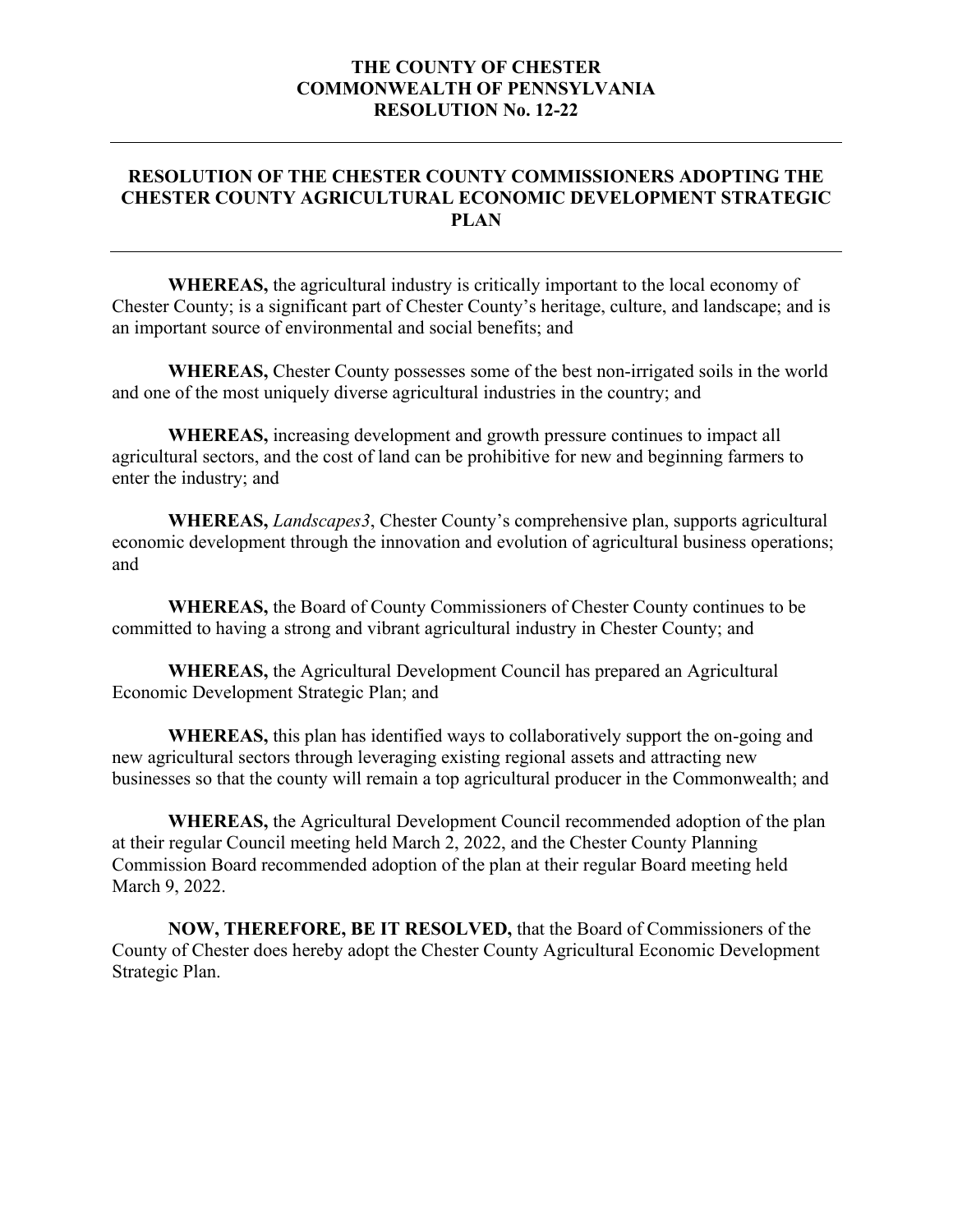#### **THE COUNTY OF CHESTER COMMONWEALTH OF PENNSYLVANIA RESOLUTION No. 12-22**

### **RESOLUTION OF THE CHESTER COUNTY COMMISSIONERS ADOPTING THE CHESTER COUNTY AGRICULTURAL ECONOMIC DEVELOPMENT STRATEGIC PLAN**

**WHEREAS,** the agricultural industry is critically important to the local economy of Chester County; is a significant part of Chester County's heritage, culture, and landscape; and is an important source of environmental and social benefits; and

**WHEREAS,** Chester County possesses some of the best non-irrigated soils in the world and one of the most uniquely diverse agricultural industries in the country; and

**WHEREAS,** increasing development and growth pressure continues to impact all agricultural sectors, and the cost of land can be prohibitive for new and beginning farmers to enter the industry; and

**WHEREAS,** *Landscapes3*, Chester County's comprehensive plan, supports agricultural economic development through the innovation and evolution of agricultural business operations; and

**WHEREAS,** the Board of County Commissioners of Chester County continues to be committed to having a strong and vibrant agricultural industry in Chester County; and

**WHEREAS,** the Agricultural Development Council has prepared an Agricultural Economic Development Strategic Plan; and

**WHEREAS,** this plan has identified ways to collaboratively support the on-going and new agricultural sectors through leveraging existing regional assets and attracting new businesses so that the county will remain a top agricultural producer in the Commonwealth; and

**WHEREAS,** the Agricultural Development Council recommended adoption of the plan at their regular Council meeting held March 2, 2022, and the Chester County Planning Commission Board recommended adoption of the plan at their regular Board meeting held March 9, 2022.

**NOW, THEREFORE, BE IT RESOLVED,** that the Board of Commissioners of the County of Chester does hereby adopt the Chester County Agricultural Economic Development Strategic Plan.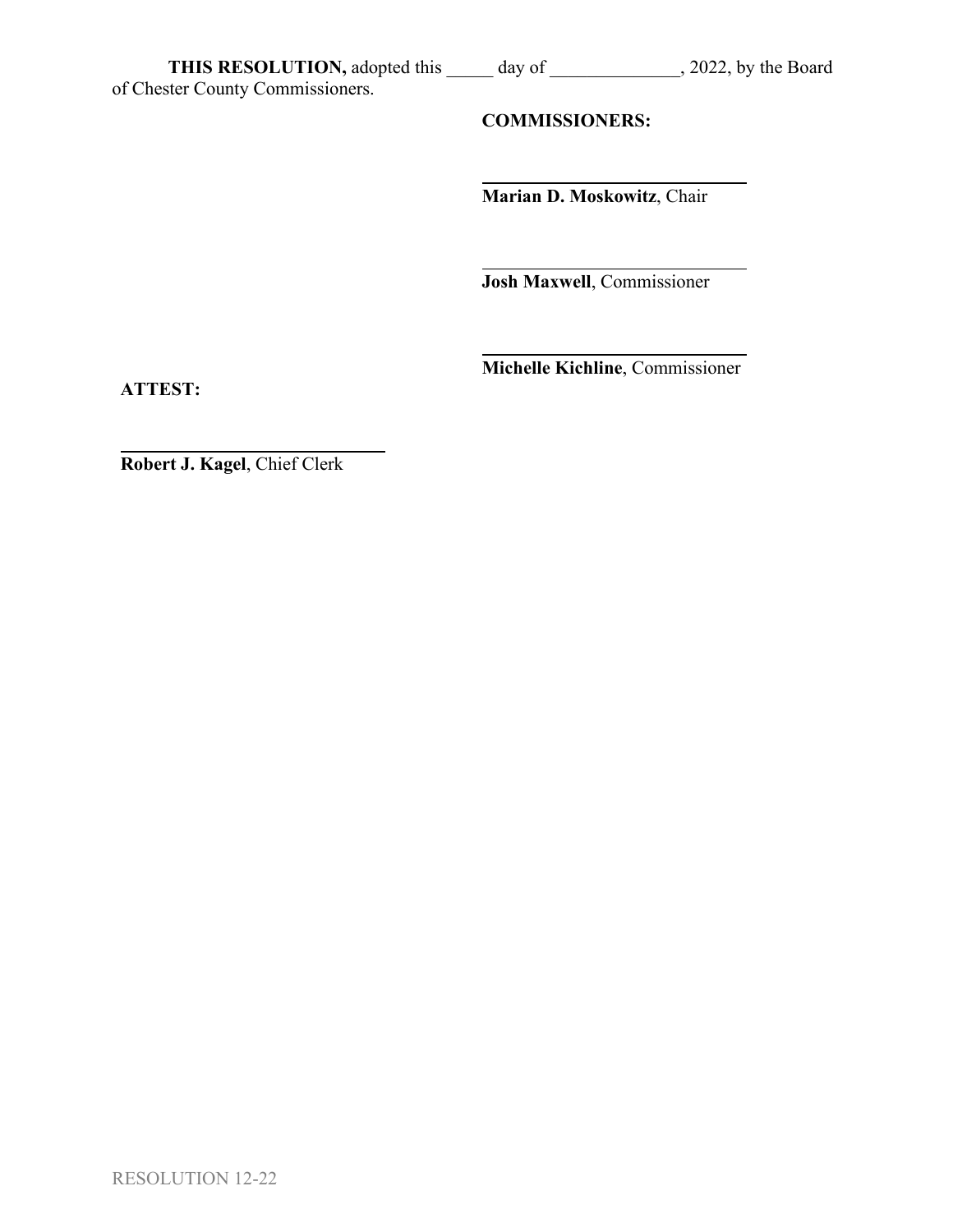of Chester County Commissioners.

# **COMMISSIONERS:**

**Marian D. Moskowitz**, Chair

**Josh Maxwell**, Commissioner

**Michelle Kichline**, Commissioner

**ATTEST:**

**Robert J. Kagel**, Chief Clerk

RESOLUTION 12-22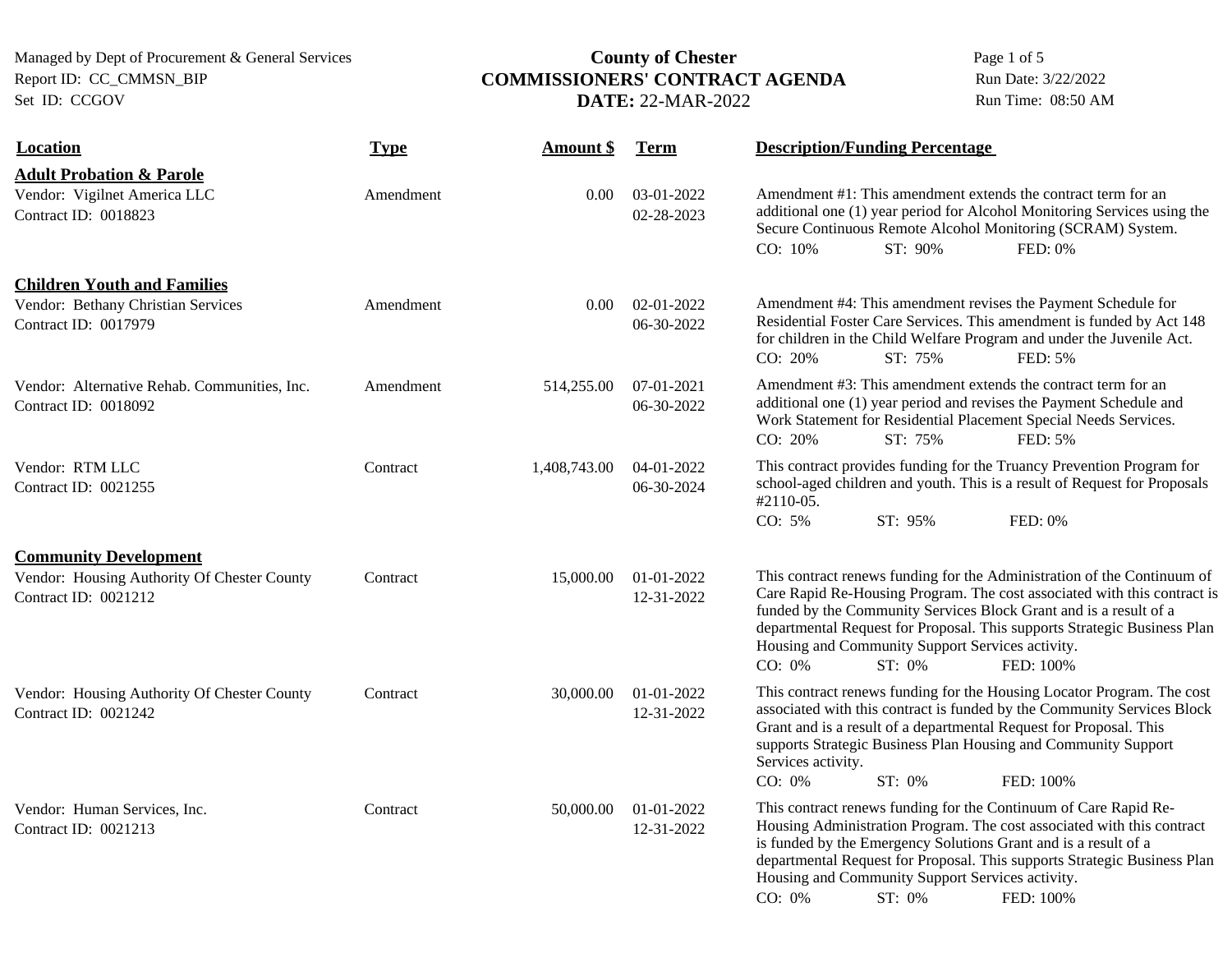# Managed by Dept of Procurement & General Services **COMMISSIONERS' CONTRACT AGENDA** Page 1 of 5<br>**COMMISSIONERS' CONTRACT AGENDA** Run Date: 3/22/2022 Report ID: CC\_CMMSN\_BIP **COMMISSIONERS' CONTRACT AGENDA** Run Date: 3/22/2022<br>Set ID: CCGOV **DATE:** 22-MAR-2022 Run Time: 08:50 AM DATE: 22-MAR-2022

| <b>Location</b>                                                                                     | <b>Type</b> | <b>Amount \$</b> | <b>Term</b>              | <b>Description/Funding Percentage</b>                                                                                                                                                                                                                                                                                                                                                     |
|-----------------------------------------------------------------------------------------------------|-------------|------------------|--------------------------|-------------------------------------------------------------------------------------------------------------------------------------------------------------------------------------------------------------------------------------------------------------------------------------------------------------------------------------------------------------------------------------------|
| <b>Adult Probation &amp; Parole</b><br>Vendor: Vigilnet America LLC<br>Contract ID: 0018823         | Amendment   | 0.00             | 03-01-2022<br>02-28-2023 | Amendment #1: This amendment extends the contract term for an<br>additional one (1) year period for Alcohol Monitoring Services using the<br>Secure Continuous Remote Alcohol Monitoring (SCRAM) System.<br>CO: 10%<br>ST: 90%<br>FED: 0%                                                                                                                                                 |
| <b>Children Youth and Families</b><br>Vendor: Bethany Christian Services<br>Contract ID: 0017979    | Amendment   | $0.00^{\circ}$   | 02-01-2022<br>06-30-2022 | Amendment #4: This amendment revises the Payment Schedule for<br>Residential Foster Care Services. This amendment is funded by Act 148<br>for children in the Child Welfare Program and under the Juvenile Act.<br>ST: 75%<br>CO: 20%<br>FED: 5%                                                                                                                                          |
| Vendor: Alternative Rehab. Communities, Inc.<br>Contract ID: 0018092                                | Amendment   | 514,255.00       | 07-01-2021<br>06-30-2022 | Amendment #3: This amendment extends the contract term for an<br>additional one (1) year period and revises the Payment Schedule and<br>Work Statement for Residential Placement Special Needs Services.<br>CO: 20%<br>ST: 75%<br>FED: 5%                                                                                                                                                 |
| Vendor: RTM LLC<br>Contract ID: 0021255                                                             | Contract    | 1,408,743.00     | 04-01-2022<br>06-30-2024 | This contract provides funding for the Truancy Prevention Program for<br>school-aged children and youth. This is a result of Request for Proposals<br>#2110-05.<br>CO: 5%<br>ST: 95%<br>FED: 0%                                                                                                                                                                                           |
| <b>Community Development</b><br>Vendor: Housing Authority Of Chester County<br>Contract ID: 0021212 | Contract    | 15,000.00        | 01-01-2022<br>12-31-2022 | This contract renews funding for the Administration of the Continuum of<br>Care Rapid Re-Housing Program. The cost associated with this contract is<br>funded by the Community Services Block Grant and is a result of a<br>departmental Request for Proposal. This supports Strategic Business Plan<br>Housing and Community Support Services activity.<br>CO: 0%<br>ST: 0%<br>FED: 100% |
| Vendor: Housing Authority Of Chester County<br>Contract ID: 0021242                                 | Contract    | 30,000.00        | 01-01-2022<br>12-31-2022 | This contract renews funding for the Housing Locator Program. The cost<br>associated with this contract is funded by the Community Services Block<br>Grant and is a result of a departmental Request for Proposal. This<br>supports Strategic Business Plan Housing and Community Support<br>Services activity.<br>CO: 0%<br>ST: 0%<br>FED: 100%                                          |
| Vendor: Human Services, Inc.<br>Contract ID: 0021213                                                | Contract    | 50,000.00        | 01-01-2022<br>12-31-2022 | This contract renews funding for the Continuum of Care Rapid Re-<br>Housing Administration Program. The cost associated with this contract<br>is funded by the Emergency Solutions Grant and is a result of a<br>departmental Request for Proposal. This supports Strategic Business Plan<br>Housing and Community Support Services activity.<br>CO: 0%<br>ST: 0%<br>FED: 100%            |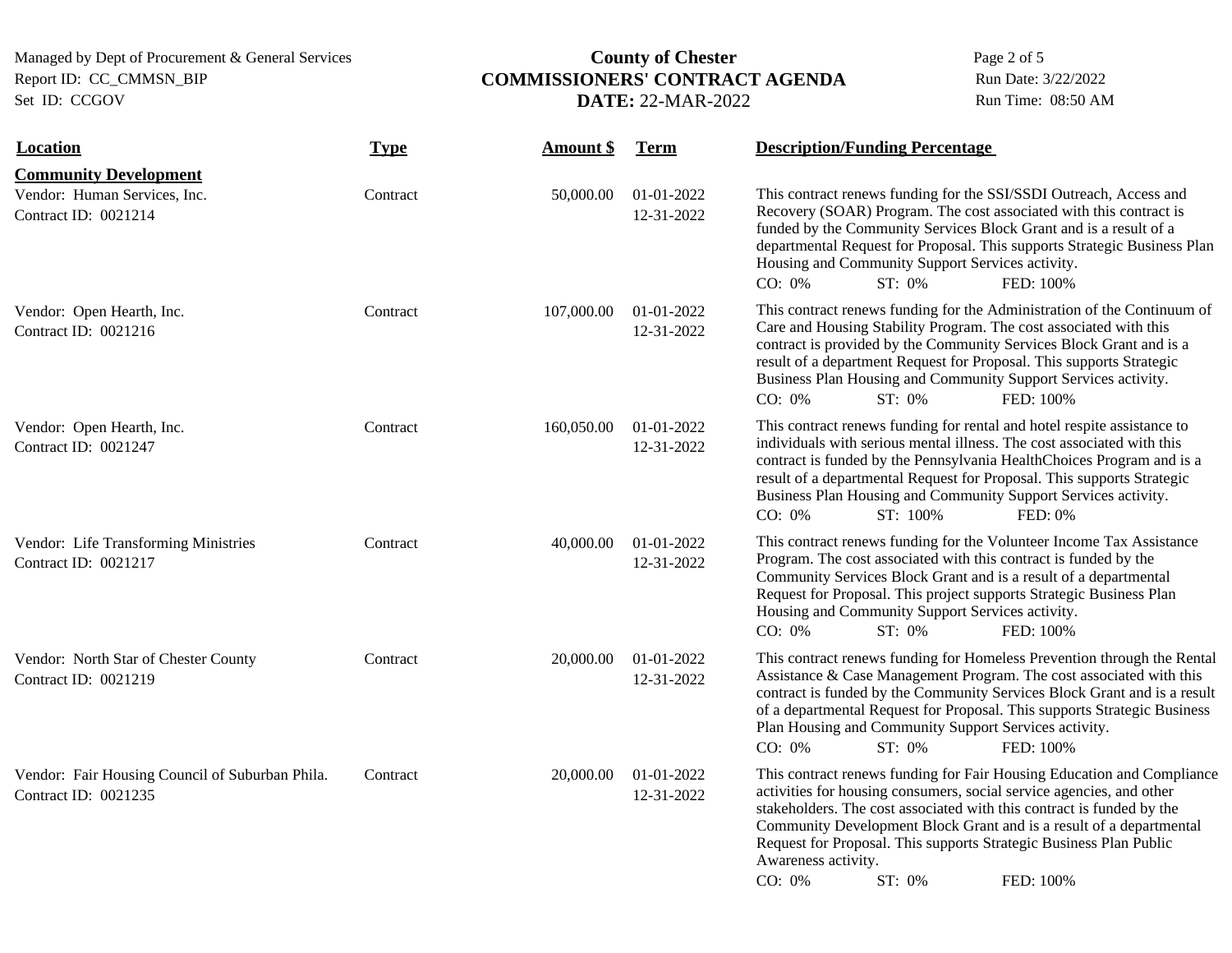# Managed by Dept of Procurement & General Services **COMMISSIONERS' CONTRACT AGENDA** Page 2 of 5<br>Report ID: CC\_CMMSN\_BIP **COMMISSIONERS' CONTRACT AGENDA** Run Date: 3/22/2022 Report ID: CC\_CMMSN\_BIP **COMMISSIONERS' CONTRACT AGENDA** Run Date: 3/22/2022<br>Set ID: CCGOV **DATE:** 22-MAR-2022 Run Time: 08:50 AM **DATE: 22-MAR-2022**

| <b>Location</b>                                                         | <b>Type</b> | <b>Amount \$</b> | <b>Term</b>              | <b>Description/Funding Percentage</b>                                                                                                                                                                                                                                                                                                                                                                                        |
|-------------------------------------------------------------------------|-------------|------------------|--------------------------|------------------------------------------------------------------------------------------------------------------------------------------------------------------------------------------------------------------------------------------------------------------------------------------------------------------------------------------------------------------------------------------------------------------------------|
| <b>Community Development</b>                                            |             |                  |                          |                                                                                                                                                                                                                                                                                                                                                                                                                              |
| Vendor: Human Services, Inc.<br>Contract ID: 0021214                    | Contract    | 50,000.00        | 01-01-2022<br>12-31-2022 | This contract renews funding for the SSI/SSDI Outreach, Access and<br>Recovery (SOAR) Program. The cost associated with this contract is<br>funded by the Community Services Block Grant and is a result of a<br>departmental Request for Proposal. This supports Strategic Business Plan<br>Housing and Community Support Services activity.<br>CO: 0%<br>ST: 0%<br>FED: 100%                                               |
| Vendor: Open Hearth, Inc.<br>Contract ID: 0021216                       | Contract    | 107,000.00       | 01-01-2022<br>12-31-2022 | This contract renews funding for the Administration of the Continuum of<br>Care and Housing Stability Program. The cost associated with this<br>contract is provided by the Community Services Block Grant and is a<br>result of a department Request for Proposal. This supports Strategic<br>Business Plan Housing and Community Support Services activity.<br>CO: 0%<br>ST: 0%<br>FED: 100%                               |
| Vendor: Open Hearth, Inc.<br>Contract ID: 0021247                       | Contract    | 160,050.00       | 01-01-2022<br>12-31-2022 | This contract renews funding for rental and hotel respite assistance to<br>individuals with serious mental illness. The cost associated with this<br>contract is funded by the Pennsylvania HealthChoices Program and is a<br>result of a departmental Request for Proposal. This supports Strategic<br>Business Plan Housing and Community Support Services activity.<br>CO: 0%<br>ST: 100%<br>FED: 0%                      |
| Vendor: Life Transforming Ministries<br>Contract ID: 0021217            | Contract    | 40,000.00        | 01-01-2022<br>12-31-2022 | This contract renews funding for the Volunteer Income Tax Assistance<br>Program. The cost associated with this contract is funded by the<br>Community Services Block Grant and is a result of a departmental<br>Request for Proposal. This project supports Strategic Business Plan<br>Housing and Community Support Services activity.<br>$CO: 0\%$<br>ST: 0%<br>FED: 100%                                                  |
| Vendor: North Star of Chester County<br>Contract ID: 0021219            | Contract    | 20,000.00        | 01-01-2022<br>12-31-2022 | This contract renews funding for Homeless Prevention through the Rental<br>Assistance & Case Management Program. The cost associated with this<br>contract is funded by the Community Services Block Grant and is a result<br>of a departmental Request for Proposal. This supports Strategic Business<br>Plan Housing and Community Support Services activity.<br>CO: 0%<br>$ST: 0\%$<br>FED: 100%                          |
| Vendor: Fair Housing Council of Suburban Phila.<br>Contract ID: 0021235 | Contract    | 20,000.00        | 01-01-2022<br>12-31-2022 | This contract renews funding for Fair Housing Education and Compliance<br>activities for housing consumers, social service agencies, and other<br>stakeholders. The cost associated with this contract is funded by the<br>Community Development Block Grant and is a result of a departmental<br>Request for Proposal. This supports Strategic Business Plan Public<br>Awareness activity.<br>CO: 0%<br>ST: 0%<br>FED: 100% |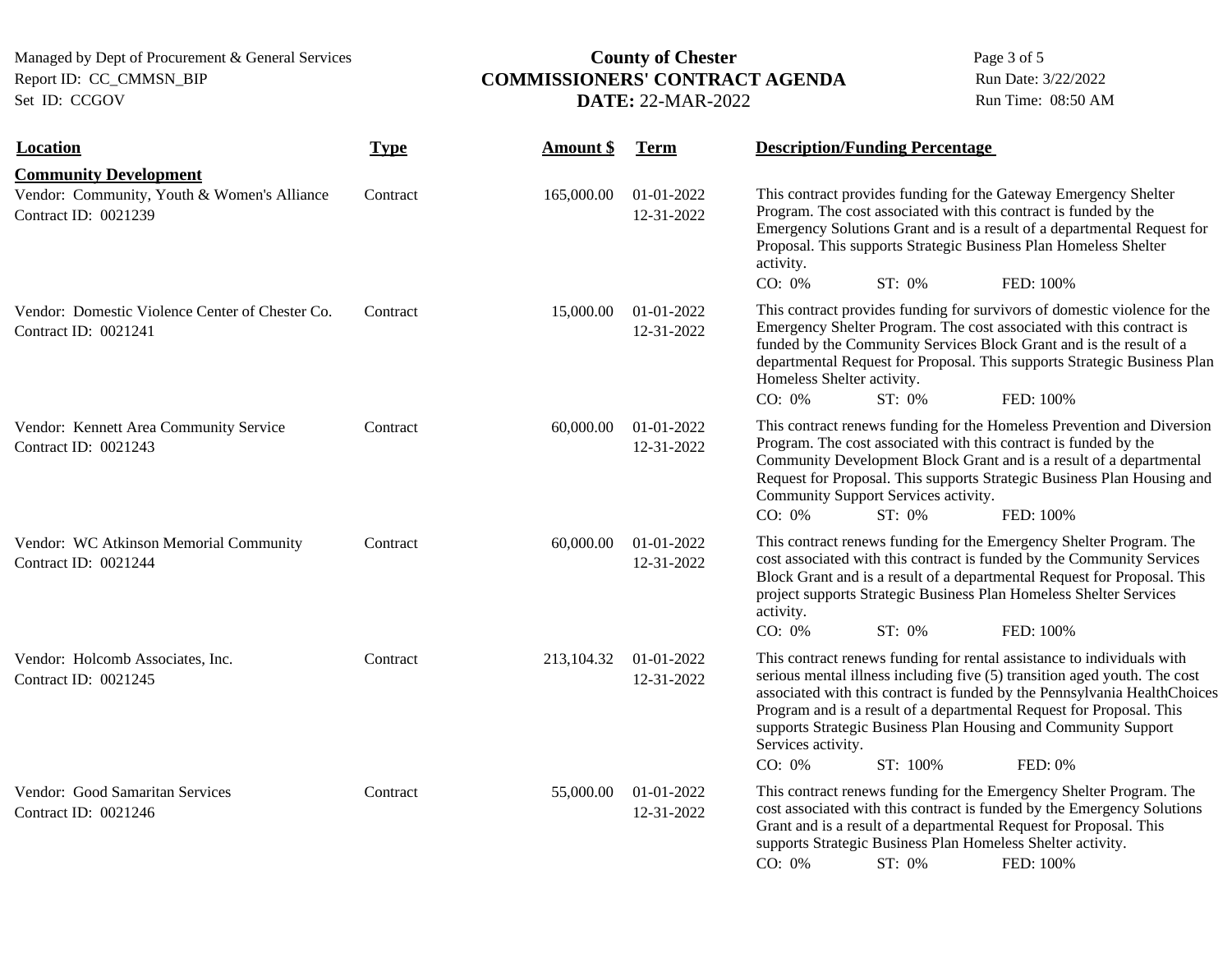# Managed by Dept of Procurement & General Services **COMMISSIONERS' CONTRACT AGENDA** Page 3 of 5<br>Report ID: CC\_CMMSN\_BIP **COMMISSIONERS' CONTRACT AGENDA** Run Date: 3/22/2022 Report ID: CC\_CMMSN\_BIP **COMMISSIONERS' CONTRACT AGENDA** Run Date: 3/22/2022<br>Set ID: CCGOV **DATE:** 22-MAR-2022 Run Time: 08:50 AM DATE: 22-MAR-2022

| <b>Location</b>                                                         | <b>Type</b> | <b>Amount</b> \$ | <b>Term</b>              | <b>Description/Funding Percentage</b>                                                                                                                                                                                                                                                                                                                                                                                                       |
|-------------------------------------------------------------------------|-------------|------------------|--------------------------|---------------------------------------------------------------------------------------------------------------------------------------------------------------------------------------------------------------------------------------------------------------------------------------------------------------------------------------------------------------------------------------------------------------------------------------------|
| <b>Community Development</b>                                            |             |                  |                          |                                                                                                                                                                                                                                                                                                                                                                                                                                             |
| Vendor: Community, Youth & Women's Alliance<br>Contract ID: 0021239     | Contract    | 165,000.00       | 01-01-2022<br>12-31-2022 | This contract provides funding for the Gateway Emergency Shelter<br>Program. The cost associated with this contract is funded by the<br>Emergency Solutions Grant and is a result of a departmental Request for<br>Proposal. This supports Strategic Business Plan Homeless Shelter<br>activity.<br>CO: 0%<br>ST: 0%<br>FED: 100%                                                                                                           |
| Vendor: Domestic Violence Center of Chester Co.<br>Contract ID: 0021241 | Contract    | 15,000.00        | 01-01-2022<br>12-31-2022 | This contract provides funding for survivors of domestic violence for the<br>Emergency Shelter Program. The cost associated with this contract is<br>funded by the Community Services Block Grant and is the result of a<br>departmental Request for Proposal. This supports Strategic Business Plan<br>Homeless Shelter activity.<br>CO: 0%<br>ST: 0%<br>FED: 100%                                                                         |
| Vendor: Kennett Area Community Service<br>Contract ID: 0021243          | Contract    | 60,000.00        | 01-01-2022<br>12-31-2022 | This contract renews funding for the Homeless Prevention and Diversion<br>Program. The cost associated with this contract is funded by the<br>Community Development Block Grant and is a result of a departmental<br>Request for Proposal. This supports Strategic Business Plan Housing and<br>Community Support Services activity.<br>CO: 0%<br>ST: 0%<br>FED: 100%                                                                       |
| Vendor: WC Atkinson Memorial Community<br>Contract ID: 0021244          | Contract    | 60,000.00        | 01-01-2022<br>12-31-2022 | This contract renews funding for the Emergency Shelter Program. The<br>cost associated with this contract is funded by the Community Services<br>Block Grant and is a result of a departmental Request for Proposal. This<br>project supports Strategic Business Plan Homeless Shelter Services<br>activity.<br>CO: 0%<br>ST: 0%<br>FED: 100%                                                                                               |
| Vendor: Holcomb Associates, Inc.<br>Contract ID: 0021245                | Contract    | 213,104.32       | 01-01-2022<br>12-31-2022 | This contract renews funding for rental assistance to individuals with<br>serious mental illness including five (5) transition aged youth. The cost<br>associated with this contract is funded by the Pennsylvania HealthChoices<br>Program and is a result of a departmental Request for Proposal. This<br>supports Strategic Business Plan Housing and Community Support<br>Services activity.<br>$CO: 0\%$<br>ST: 100%<br><b>FED: 0%</b> |
| Vendor: Good Samaritan Services<br>Contract ID: 0021246                 | Contract    | 55,000.00        | 01-01-2022<br>12-31-2022 | This contract renews funding for the Emergency Shelter Program. The<br>cost associated with this contract is funded by the Emergency Solutions<br>Grant and is a result of a departmental Request for Proposal. This<br>supports Strategic Business Plan Homeless Shelter activity.<br>CO: 0%<br>ST: 0%<br>FED: 100%                                                                                                                        |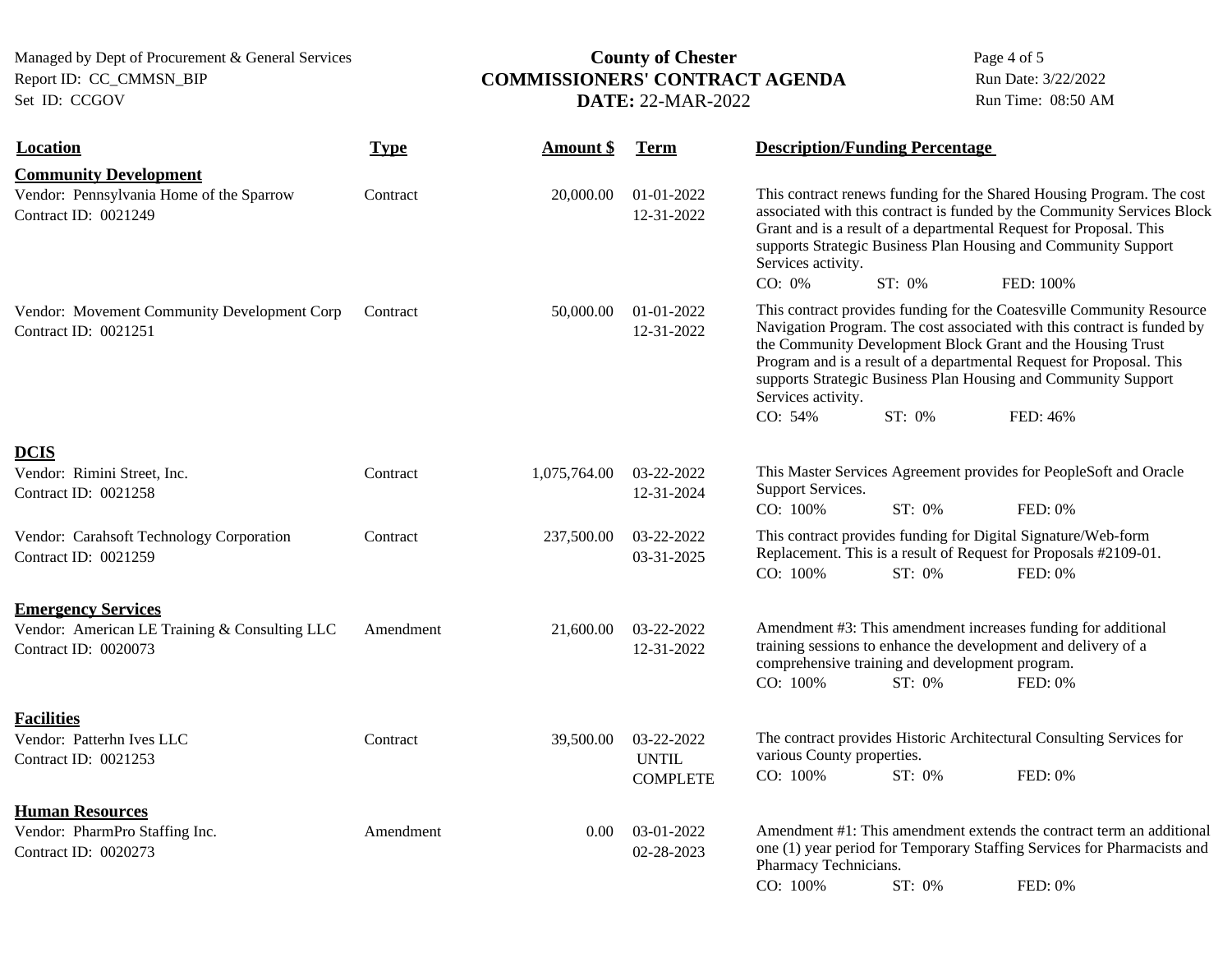# Managed by Dept of Procurement & General Services **COMMISSIONERS' CONTRACT AGENDA** Page 4 of 5<br>Report ID: CC\_CMMSN\_BIP **COMMISSIONERS' CONTRACT AGENDA** Run Date: 3/22/2022 Report ID: CC\_CMMSN\_BIP **COMMISSIONERS' CONTRACT AGENDA** Run Date: 3/22/2022<br>Set ID: CCGOV **DATE:** 22-MAR-2022 Run Time: 08:50 AM **DATE: 22-MAR-2022**

| <b>Location</b>                                                                  | <b>Type</b> | <b>Amount \$</b> | <b>Term</b>                                   | <b>Description/Funding Percentage</b>                                                                                                                                                                                                                                                                                                                                                                            |        |                                                                                                                                              |  |
|----------------------------------------------------------------------------------|-------------|------------------|-----------------------------------------------|------------------------------------------------------------------------------------------------------------------------------------------------------------------------------------------------------------------------------------------------------------------------------------------------------------------------------------------------------------------------------------------------------------------|--------|----------------------------------------------------------------------------------------------------------------------------------------------|--|
| <b>Community Development</b>                                                     |             |                  |                                               |                                                                                                                                                                                                                                                                                                                                                                                                                  |        |                                                                                                                                              |  |
| Vendor: Pennsylvania Home of the Sparrow<br>Contract ID: 0021249                 | Contract    | 20,000.00        | 01-01-2022<br>12-31-2022                      | This contract renews funding for the Shared Housing Program. The cost<br>associated with this contract is funded by the Community Services Block<br>Grant and is a result of a departmental Request for Proposal. This<br>supports Strategic Business Plan Housing and Community Support<br>Services activity.<br>CO: 0%<br>ST: 0%                                                                               |        | FED: 100%                                                                                                                                    |  |
| Vendor: Movement Community Development Corp<br>Contract ID: 0021251              | Contract    | 50,000.00        | 01-01-2022<br>12-31-2022                      | This contract provides funding for the Coatesville Community Resource<br>Navigation Program. The cost associated with this contract is funded by<br>the Community Development Block Grant and the Housing Trust<br>Program and is a result of a departmental Request for Proposal. This<br>supports Strategic Business Plan Housing and Community Support<br>Services activity.<br>CO: 54%<br>ST: 0%<br>FED: 46% |        |                                                                                                                                              |  |
| <b>DCIS</b>                                                                      |             |                  |                                               |                                                                                                                                                                                                                                                                                                                                                                                                                  |        |                                                                                                                                              |  |
| Vendor: Rimini Street, Inc.<br>Contract ID: 0021258                              | Contract    | 1,075,764.00     | 03-22-2022<br>12-31-2024                      | Support Services.<br>CO: 100%                                                                                                                                                                                                                                                                                                                                                                                    | ST: 0% | This Master Services Agreement provides for PeopleSoft and Oracle<br>FED: 0%                                                                 |  |
| Vendor: Carahsoft Technology Corporation<br>Contract ID: 0021259                 | Contract    | 237,500.00       | 03-22-2022<br>03-31-2025                      | CO: 100%                                                                                                                                                                                                                                                                                                                                                                                                         | ST: 0% | This contract provides funding for Digital Signature/Web-form<br>Replacement. This is a result of Request for Proposals #2109-01.<br>FED: 0% |  |
| <b>Emergency Services</b>                                                        |             |                  |                                               |                                                                                                                                                                                                                                                                                                                                                                                                                  |        |                                                                                                                                              |  |
| Vendor: American LE Training & Consulting LLC<br>Contract ID: 0020073            | Amendment   | 21,600.00        | 03-22-2022<br>12-31-2022                      | comprehensive training and development program.<br>CO: 100%                                                                                                                                                                                                                                                                                                                                                      | ST: 0% | Amendment #3: This amendment increases funding for additional<br>training sessions to enhance the development and delivery of a<br>FED: 0%   |  |
| <b>Facilities</b><br>Vendor: Patterhn Ives LLC<br>Contract ID: 0021253           | Contract    | 39,500.00        | 03-22-2022<br><b>UNTIL</b><br><b>COMPLETE</b> | various County properties.<br>CO: 100%                                                                                                                                                                                                                                                                                                                                                                           | ST: 0% | The contract provides Historic Architectural Consulting Services for<br>FED: 0%                                                              |  |
|                                                                                  |             |                  |                                               |                                                                                                                                                                                                                                                                                                                                                                                                                  |        |                                                                                                                                              |  |
| <b>Human Resources</b><br>Vendor: PharmPro Staffing Inc.<br>Contract ID: 0020273 | Amendment   | $0.00\,$         | 03-01-2022<br>02-28-2023                      | Amendment #1: This amendment extends the contract term an additional<br>one (1) year period for Temporary Staffing Services for Pharmacists and<br>Pharmacy Technicians.                                                                                                                                                                                                                                         |        |                                                                                                                                              |  |
|                                                                                  |             |                  |                                               | CO: 100%                                                                                                                                                                                                                                                                                                                                                                                                         | ST: 0% | FED: 0%                                                                                                                                      |  |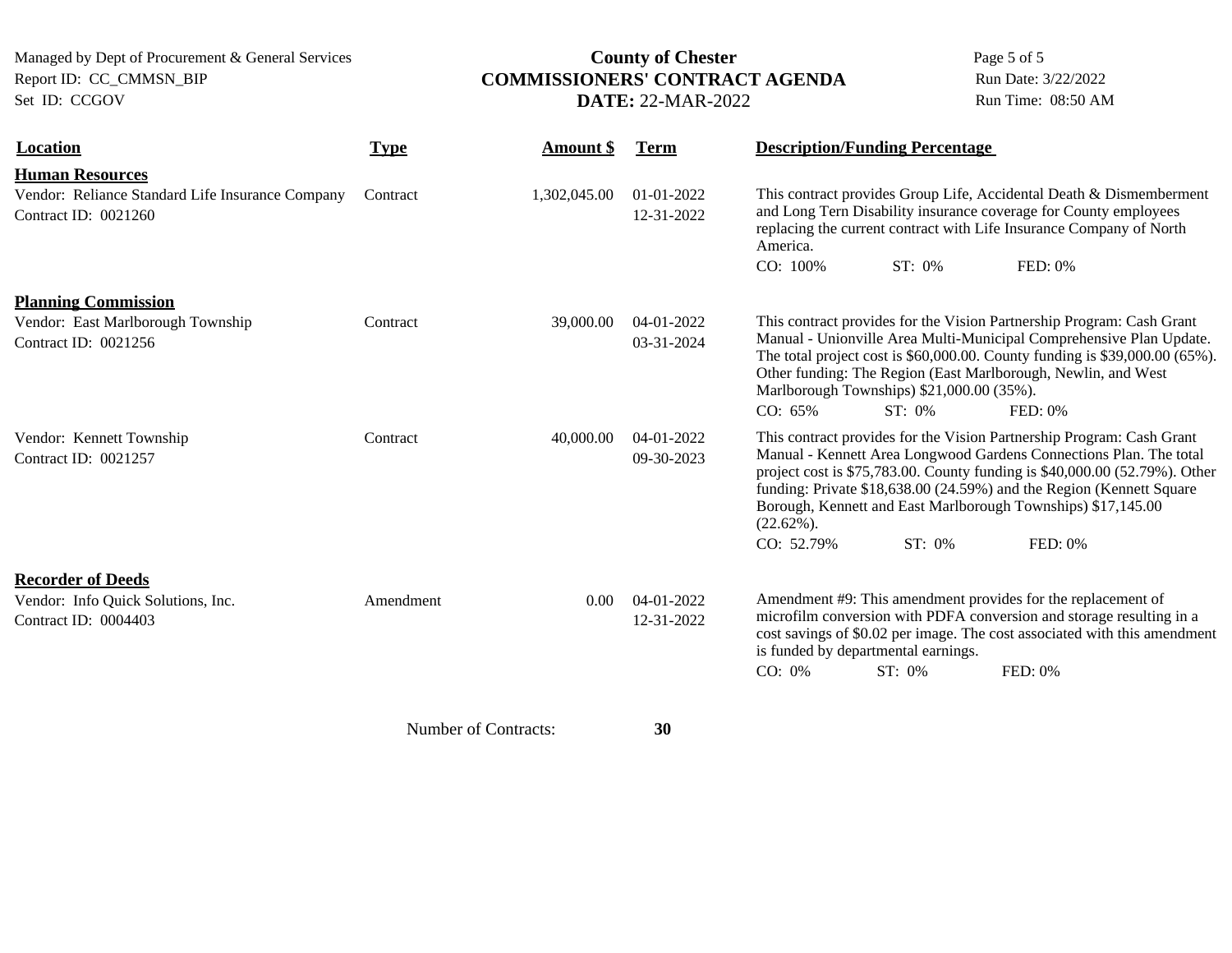# Managed by Dept of Procurement & General Services **COMMISSIONERS' CONTRACT AGENDA** Page 5 of 5<br>Report ID: CC\_CMMSN\_BIP **COMMISSIONERS' CONTRACT AGENDA** Run Date: 3/22/2022 Report ID: CC\_CMMSN\_BIP **COMMISSIONERS' CONTRACT AGENDA** Run Date: 3/22/2022<br>Set ID: CCGOV **DATE:** 22-MAR-2022 Run Time: 08:50 AM **DATE: 22-MAR-2022**

| <b>Location</b>                                                                                    | <b>Type</b> | Amount \$    | <b>Term</b>                    |                                | <b>Description/Funding Percentage</b>                  |                                                                                                                                                                                                                                                                                                                                                                              |
|----------------------------------------------------------------------------------------------------|-------------|--------------|--------------------------------|--------------------------------|--------------------------------------------------------|------------------------------------------------------------------------------------------------------------------------------------------------------------------------------------------------------------------------------------------------------------------------------------------------------------------------------------------------------------------------------|
| <b>Human Resources</b><br>Vendor: Reliance Standard Life Insurance Company<br>Contract ID: 0021260 | Contract    | 1,302,045.00 | $01 - 01 - 2022$<br>12-31-2022 | America.<br>CO: 100%           | ST: 0%                                                 | This contract provides Group Life, Accidental Death & Dismemberment<br>and Long Tern Disability insurance coverage for County employees<br>replacing the current contract with Life Insurance Company of North<br>FED: 0%                                                                                                                                                    |
| <b>Planning Commission</b><br>Vendor: East Marlborough Township<br>Contract ID: 0021256            | Contract    | 39,000.00    | 04-01-2022<br>03-31-2024       | CO: 65%                        | Marlborough Townships) \$21,000.00 (35%).<br>$ST: 0\%$ | This contract provides for the Vision Partnership Program: Cash Grant<br>Manual - Unionville Area Multi-Municipal Comprehensive Plan Update.<br>The total project cost is \$60,000.00. County funding is \$39,000.00 (65%).<br>Other funding: The Region (East Marlborough, Newlin, and West<br>FED: 0%                                                                      |
| Vendor: Kennett Township<br>Contract ID: 0021257                                                   | Contract    | 40,000.00    | 04-01-2022<br>09-30-2023       | $(22.62\%)$ .<br>$CO: 52.79\%$ | ST: 0%                                                 | This contract provides for the Vision Partnership Program: Cash Grant<br>Manual - Kennett Area Longwood Gardens Connections Plan. The total<br>project cost is \$75,783.00. County funding is \$40,000.00 (52.79%). Other<br>funding: Private \$18,638.00 (24.59%) and the Region (Kennett Square<br>Borough, Kennett and East Marlborough Townships) \$17,145.00<br>FED: 0% |
| <b>Recorder of Deeds</b><br>Vendor: Info Quick Solutions, Inc.<br>Contract ID: 0004403             | Amendment   | 0.00         | 04-01-2022<br>12-31-2022       | CO: 0%                         | is funded by departmental earnings.<br>ST: 0%          | Amendment #9: This amendment provides for the replacement of<br>microfilm conversion with PDFA conversion and storage resulting in a<br>cost savings of \$0.02 per image. The cost associated with this amendment<br>FED: 0%                                                                                                                                                 |

Number of Contracts: **30**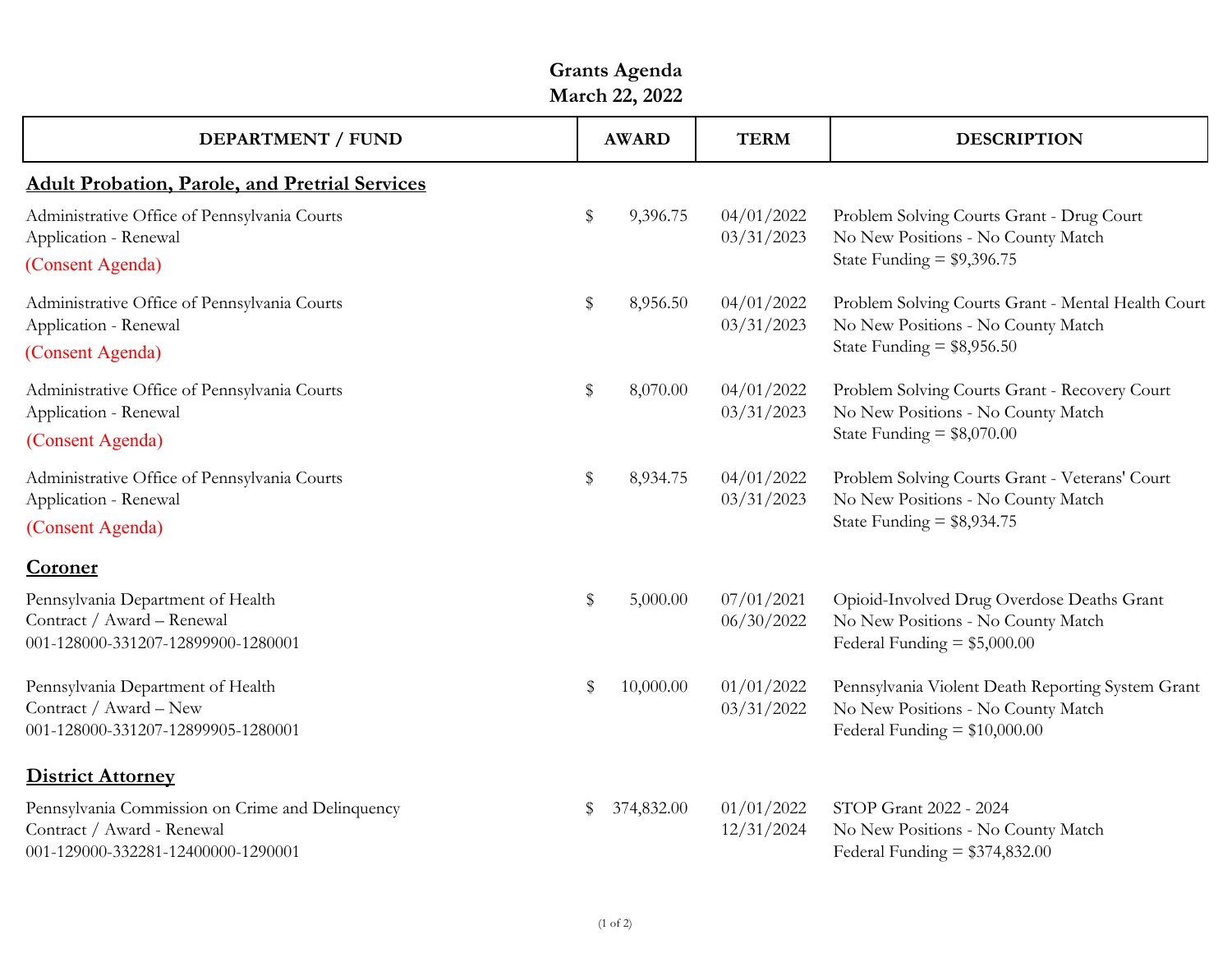| March 22, 2022                                                                                                       |       |              |                          |                                                                                                                           |  |  |  |  |  |
|----------------------------------------------------------------------------------------------------------------------|-------|--------------|--------------------------|---------------------------------------------------------------------------------------------------------------------------|--|--|--|--|--|
| <b>DEPARTMENT / FUND</b>                                                                                             |       | <b>AWARD</b> | <b>TERM</b>              | <b>DESCRIPTION</b>                                                                                                        |  |  |  |  |  |
| <b>Adult Probation, Parole, and Pretrial Services</b>                                                                |       |              |                          |                                                                                                                           |  |  |  |  |  |
| Administrative Office of Pennsylvania Courts<br>Application - Renewal<br>(Consent Agenda)                            | \$    | 9,396.75     | 04/01/2022<br>03/31/2023 | Problem Solving Courts Grant - Drug Court<br>No New Positions - No County Match<br>State Funding = $$9,396.75$            |  |  |  |  |  |
| Administrative Office of Pennsylvania Courts<br>Application - Renewal<br>(Consent Agenda)                            | \$    | 8,956.50     | 04/01/2022<br>03/31/2023 | Problem Solving Courts Grant - Mental Health Court<br>No New Positions - No County Match<br>State Funding = $$8,956.50$   |  |  |  |  |  |
| Administrative Office of Pennsylvania Courts<br>Application - Renewal                                                | \$    | 8,070.00     | 04/01/2022<br>03/31/2023 | Problem Solving Courts Grant - Recovery Court<br>No New Positions - No County Match<br>State Funding = $$8,070.00$        |  |  |  |  |  |
| (Consent Agenda)<br>Administrative Office of Pennsylvania Courts                                                     | \$    | 8,934.75     | 04/01/2022               | Problem Solving Courts Grant - Veterans' Court                                                                            |  |  |  |  |  |
| Application - Renewal<br>(Consent Agenda)                                                                            |       |              | 03/31/2023               | No New Positions - No County Match<br>State Funding = $$8,934.75$                                                         |  |  |  |  |  |
| Coroner                                                                                                              |       |              |                          |                                                                                                                           |  |  |  |  |  |
| Pennsylvania Department of Health<br>Contract / Award - Renewal<br>001-128000-331207-12899900-1280001                | $\$\$ | 5,000.00     | 07/01/2021<br>06/30/2022 | Opioid-Involved Drug Overdose Deaths Grant<br>No New Positions - No County Match<br>Federal Funding $= $5,000.00$         |  |  |  |  |  |
| Pennsylvania Department of Health<br>Contract / Award - New<br>001-128000-331207-12899905-1280001                    | \$    | 10,000.00    | 01/01/2022<br>03/31/2022 | Pennsylvania Violent Death Reporting System Grant<br>No New Positions - No County Match<br>Federal Funding $= $10,000.00$ |  |  |  |  |  |
| <b>District Attorney</b>                                                                                             |       |              |                          |                                                                                                                           |  |  |  |  |  |
| Pennsylvania Commission on Crime and Delinquency<br>Contract / Award - Renewal<br>001-129000-332281-12400000-1290001 | \$    | 374,832.00   | 01/01/2022<br>12/31/2024 | STOP Grant 2022 - 2024<br>No New Positions - No County Match<br>Federal Funding = $$374,832.00$                           |  |  |  |  |  |

**Grants Agenda**